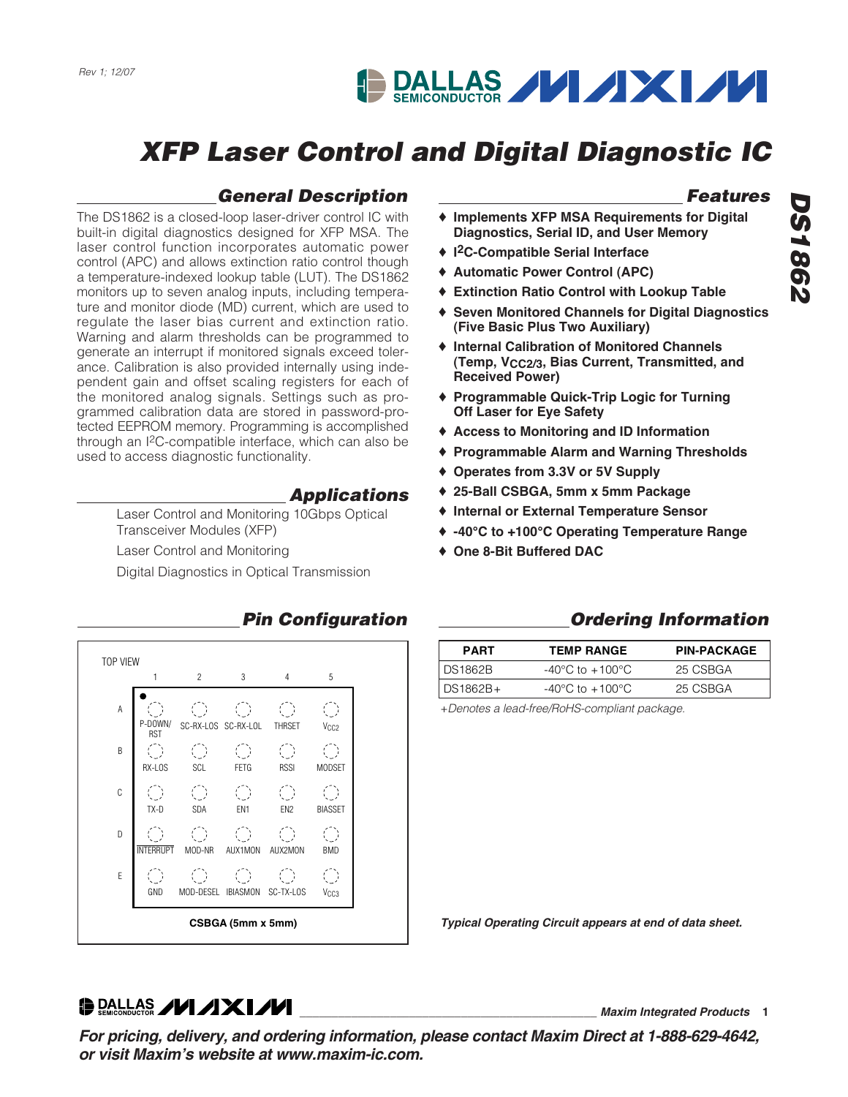# **DALLAS VIXIVI**

# **XFP Laser Control and Digital Diagnostic IC**

### **General Description**

The DS1862 is a closed-loop laser-driver control IC with built-in digital diagnostics designed for XFP MSA. The laser control function incorporates automatic power control (APC) and allows extinction ratio control though a temperature-indexed lookup table (LUT). The DS1862 monitors up to seven analog inputs, including temperature and monitor diode (MD) current, which are used to regulate the laser bias current and extinction ratio. Warning and alarm thresholds can be programmed to generate an interrupt if monitored signals exceed tolerance. Calibration is also provided internally using independent gain and offset scaling registers for each of the monitored analog signals. Settings such as programmed calibration data are stored in password-protected EEPROM memory. Programming is accomplished through an I2C-compatible interface, which can also be used to access diagnostic functionality.

### **Applications**

Laser Control and Monitoring 10Gbps Optical Transceiver Modules (XFP)

Laser Control and Monitoring

Digital Diagnostics in Optical Transmission



### **Pin Configuration**

### **Features**

- ♦ **Implements XFP MSA Requirements for Digital Diagnostics, Serial ID, and User Memory**
- ♦ **I2C-Compatible Serial Interface**
- ♦ **Automatic Power Control (APC)**
- ♦ **Extinction Ratio Control with Lookup Table**
- ♦ **Seven Monitored Channels for Digital Diagnostics (Five Basic Plus Two Auxiliary)**
- ♦ **Internal Calibration of Monitored Channels (Temp, VCC2/3, Bias Current, Transmitted, and Received Power)**
- ♦ **Programmable Quick-Trip Logic for Turning Off Laser for Eye Safety**
- ♦ **Access to Monitoring and ID Information**
- ♦ **Programmable Alarm and Warning Thresholds**
- ♦ **Operates from 3.3V or 5V Supply**
- ♦ **25-Ball CSBGA, 5mm x 5mm Package**
- ♦ **Internal or External Temperature Sensor**
- ♦ **-40°C to +100°C Operating Temperature Range**
- ♦ **One 8-Bit Buffered DAC**

### **Ordering Information**

| <b>PART</b>    | <b>TEMP RANGE</b>                   | <b>PIN-PACKAGE</b> |
|----------------|-------------------------------------|--------------------|
| <b>DS1862B</b> | $-40^{\circ}$ C to $+100^{\circ}$ C | 25 CSBGA           |
| DS1862B+       | $-40^{\circ}$ C to $+100^{\circ}$ C | 25 CSBGA           |

+Denotes a lead-free/RoHS-compliant package.

**Typical Operating Circuit appears at end of data sheet.**

**\_\_\_\_\_\_\_\_\_\_\_\_\_\_\_\_\_\_\_\_\_\_\_\_\_\_\_\_\_\_\_\_\_\_\_\_\_\_\_\_\_\_\_\_\_\_ Maxim Integrated Products 1**

**DRALLAS /VI /IXI/VI** 

**For pricing, delivery, and ordering information, please contact Maxim Direct at 1-888-629-4642, or visit Maxim's website at www.maxim-ic.com.**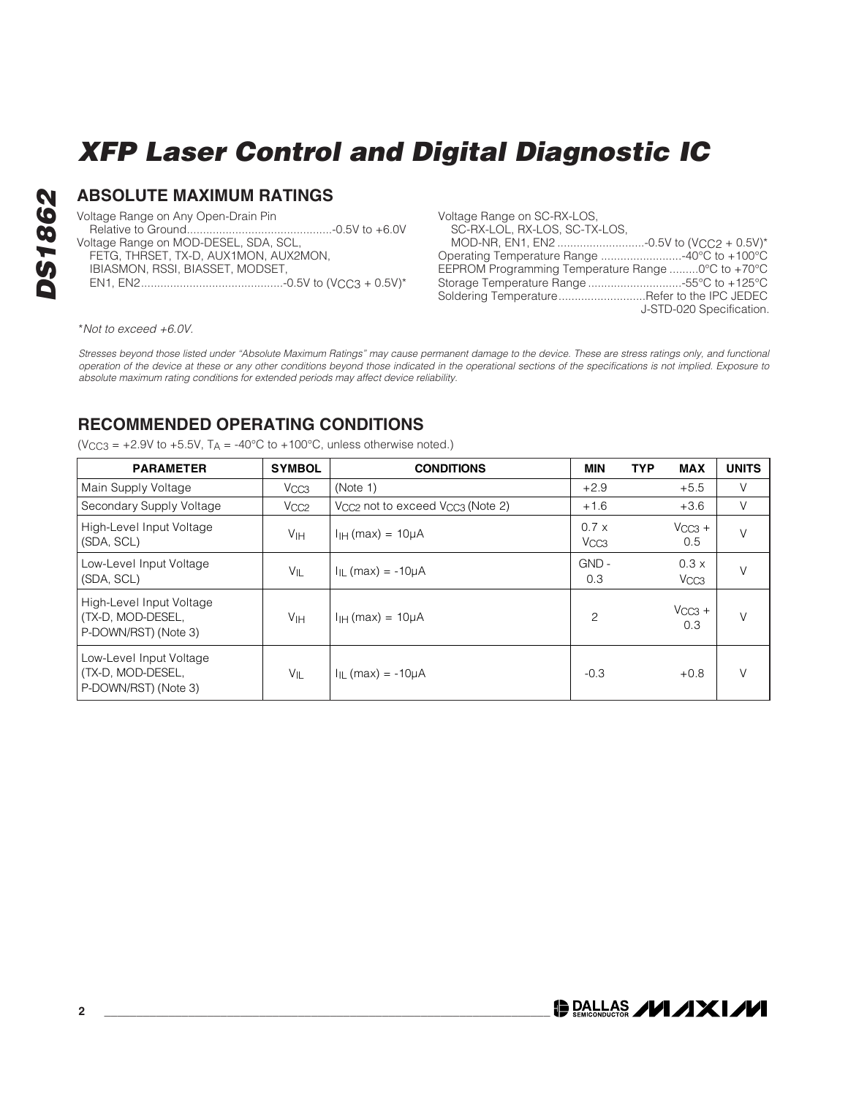Voltage Range on Any Open-Drain Pin Relative to Ground.............................................-0.5V to +6.0V Voltage Range on MOD-DESEL, SDA, SCL,

**ABSOLUTE MAXIMUM RATINGS**

FETG, THRSET, TX-D, AUX1MON, AUX2MON, IBIASMON, RSSI, BIASSET, MODSET,

EN1, EN2............................................-0.5V to (VCC3 + 0.5V)\*

| Voltage Range on SC-RX-LOS.<br>SC-RX-LOL, RX-LOS, SC-TX-LOS, |                          |
|--------------------------------------------------------------|--------------------------|
|                                                              |                          |
|                                                              |                          |
| EEPROM Programming Temperature Range  0°C to +70°C           |                          |
|                                                              |                          |
| Soldering TemperatureRefer to the IPC JEDEC                  |                          |
|                                                              | J-STD-020 Specification. |
|                                                              |                          |

\*Not to exceed +6.0V.

Stresses beyond those listed under "Absolute Maximum Ratings" may cause permanent damage to the device. These are stress ratings only, and functional operation of the device at these or any other conditions beyond those indicated in the operational sections of the specifications is not implied. Exposure to absolute maximum rating conditions for extended periods may affect device reliability.

### **RECOMMENDED OPERATING CONDITIONS**

( $V_{CC3}$  = +2.9V to +5.5V, T<sub>A</sub> = -40°C to +100°C, unless otherwise noted.)

| <b>PARAMETER</b>                                                      | <b>SYMBOL</b>    | <b>CONDITIONS</b>                                        | <b>MIN</b>                       | <b>TYP</b> | <b>MAX</b>               | <b>UNITS</b> |
|-----------------------------------------------------------------------|------------------|----------------------------------------------------------|----------------------------------|------------|--------------------------|--------------|
| Main Supply Voltage                                                   | V <sub>CC3</sub> | (Note 1)                                                 | $+2.9$                           |            | $+5.5$                   | V            |
| Secondary Supply Voltage                                              | V <sub>CC2</sub> | V <sub>CC2</sub> not to exceed V <sub>CC3</sub> (Note 2) | $+1.6$                           |            | $+3.6$                   | V            |
| High-Level Input Voltage<br>(SDA, SCL)                                | V <sub>IH</sub>  | $IIH$ (max) = 10 $\mu$ A                                 | $0.7 \times$<br>V <sub>CC3</sub> |            | $V_{CC3}$ +<br>0.5       | V            |
| Low-Level Input Voltage<br>(SDA, SCL)                                 | VIL              | $I_{IL}$ (max) = -10 $\mu$ A                             | $GND -$<br>0.3                   |            | 0.3x<br>V <sub>CC3</sub> |              |
| High-Level Input Voltage<br>(TX-D, MOD-DESEL,<br>P-DOWN/RST) (Note 3) | V <sub>IH</sub>  | $IIH$ (max) = 10 $\mu$ A                                 | $\overline{c}$                   |            | $V_{CC3}$ +<br>0.3       | V            |
| Low-Level Input Voltage<br>(TX-D, MOD-DESEL,<br>P-DOWN/RST) (Note 3)  | VIL              | $I_{IL}$ (max) = -10 $\mu$ A                             | $-0.3$                           |            | $+0.8$                   | V            |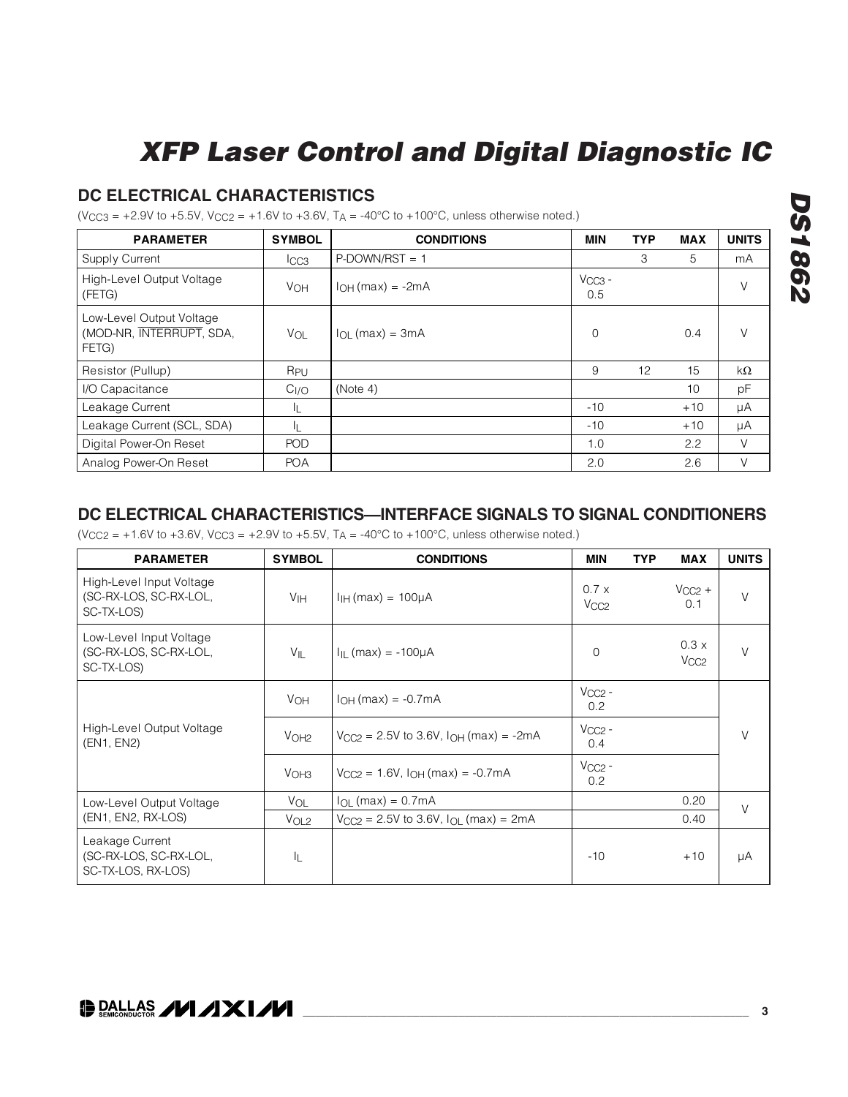### **DC ELECTRICAL CHARACTERISTICS**

 $(V_{\text{CC3}} = +2.9V \text{ to } +5.5V, V_{\text{CC2}} = +1.6V \text{ to } +3.6V, T_A = -40^{\circ}\text{C} \text{ to } +100^{\circ}\text{C}$ , unless otherwise noted.)

| <b>PARAMETER</b>                                              | <b>SYMBOL</b>    | <b>CONDITIONS</b>        | MIN                | <b>TYP</b> | <b>MAX</b> | <b>UNITS</b> |
|---------------------------------------------------------------|------------------|--------------------------|--------------------|------------|------------|--------------|
| <b>Supply Current</b>                                         | $_{\text{ICC3}}$ | $P$ -DOWN/RST = 1        |                    | 3          | 5          | mA           |
| High-Level Output Voltage<br>(FETG)                           | <b>VOH</b>       | $IOH(max) = -2mA$        | $V_{CC3}$ -<br>0.5 |            |            | V            |
| Low-Level Output Voltage<br>(MOD-NR, INTERRUPT, SDA,<br>FETG) | $V_{OL}$         | $I_{\Omega}$ (max) = 3mA | 0                  |            | 0.4        | V            |
| Resistor (Pullup)                                             | R <sub>PU</sub>  |                          | 9                  | 12         | 15         | kΩ           |
| I/O Capacitance                                               | C <sub>I/O</sub> | (Note 4)                 |                    |            | 10         | pF           |
| Leakage Current                                               | ΙL               |                          | $-10$              |            | $+10$      | μA           |
| Leakage Current (SCL, SDA)                                    | IL.              |                          | $-10$              |            | $+10$      | μA           |
| Digital Power-On Reset                                        | <b>POD</b>       |                          | 1.0                |            | 2.2        | V            |
| Analog Power-On Reset                                         | <b>POA</b>       |                          | 2.0                |            | 2.6        | V            |

### **DC ELECTRICAL CHARACTERISTICS—INTERFACE SIGNALS TO SIGNAL CONDITIONERS**

 $(V_{CC2} = +1.6V$  to  $+3.6V$ ,  $V_{CC3} = +2.9V$  to  $+5.5V$ ,  $T_A = -40^{\circ}C$  to  $+100^{\circ}C$ , unless otherwise noted.)

| <b>PARAMETER</b>                                                 | <b>SYMBOL</b>    | <b>CONDITIONS</b>                               | <b>MIN</b>                       | <b>TYP</b> | <b>MAX</b>         | <b>UNITS</b> |
|------------------------------------------------------------------|------------------|-------------------------------------------------|----------------------------------|------------|--------------------|--------------|
| High-Level Input Voltage<br>(SC-RX-LOS, SC-RX-LOL,<br>SC-TX-LOS) | V <sub>IH</sub>  | $IIH$ (max) = 100µA                             | $0.7 \times$<br>V <sub>CC2</sub> |            | $V_{CC2}$ +<br>0.1 | $\vee$       |
| Low-Level Input Voltage<br>(SC-RX-LOS, SC-RX-LOL,<br>SC-TX-LOS)  | VIL              | $I_{IL}$ (max) = -100µA                         | $\mathbf 0$                      |            | 0.3x<br>VCC2       |              |
|                                                                  | VOH              | $I_{OH}$ (max) = $-0.7$ mA                      | $VCC2 -$<br>0.2                  |            |                    |              |
| High-Level Output Voltage<br>(EN1, EN2)                          | V <sub>OH2</sub> | $V_{CC2} = 2.5V$ to 3.6V, $I_{OH}$ (max) = -2mA | $VCC2 -$<br>0.4                  |            |                    | V            |
|                                                                  | V <sub>OH3</sub> | $V_{CC2} = 1.6V$ , $I_{OH}$ (max) = -0.7mA      | $VCC2 -$<br>0.2                  |            |                    |              |
| Low-Level Output Voltage                                         | VOL              | $I_{OL}$ (max) = 0.7mA                          |                                  |            | 0.20               | $\vee$       |
| (EN1, EN2, RX-LOS)                                               | VOL2             | $V_{CC2} = 2.5V$ to 3.6V, $I_{OL}$ (max) = 2mA  |                                  |            | 0.40               |              |
| Leakage Current<br>(SC-RX-LOS, SC-RX-LOL,<br>SC-TX-LOS, RX-LOS)  | ΙL               |                                                 | $-10$                            |            | $+10$              | μA           |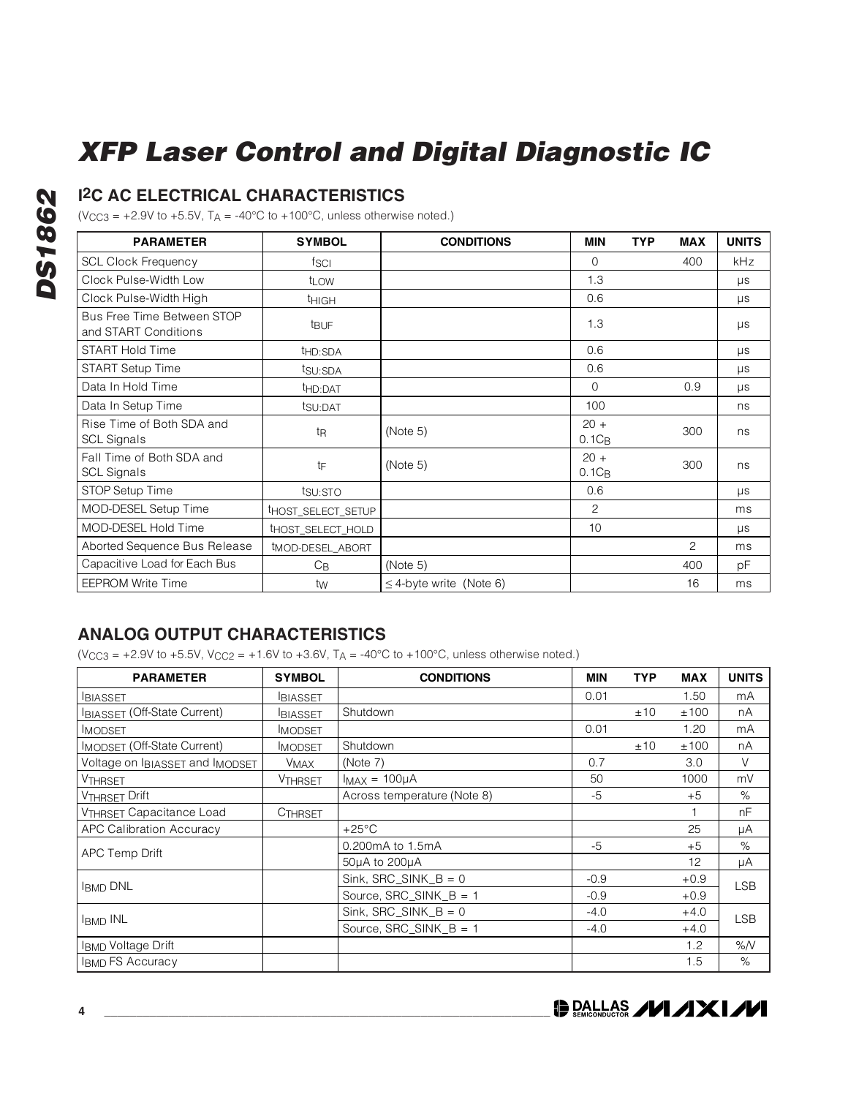### **I2C AC ELECTRICAL CHARACTERISTICS**

( $V_{CC3}$  = +2.9V to +5.5V, T<sub>A</sub> = -40°C to +100°C, unless otherwise noted.)

| <b>PARAMETER</b>                                   | <b>SYMBOL</b>       | <b>CONDITIONS</b>            | <b>MIN</b>         | <b>TYP</b> | <b>MAX</b>     | <b>UNITS</b> |
|----------------------------------------------------|---------------------|------------------------------|--------------------|------------|----------------|--------------|
| <b>SCL Clock Frequency</b>                         | fsci                |                              | 0                  |            | 400            | kHz          |
| Clock Pulse-Width Low                              | t <sub>LOW</sub>    |                              | 1.3                |            |                | $\mu s$      |
| Clock Pulse-Width High                             | <b>THIGH</b>        |                              | 0.6                |            |                | $\mu s$      |
| Bus Free Time Between STOP<br>and START Conditions | <b>t</b> BUF        |                              | 1.3                |            |                | $\mu s$      |
| <b>START Hold Time</b>                             | t <sub>HD:SDA</sub> |                              | 0.6                |            |                | μs           |
| START Setup Time                                   | tsu:SDA             |                              | 0.6                |            |                | $\mu s$      |
| Data In Hold Time                                  | t <sub>HD:DAT</sub> |                              | 0                  |            | 0.9            | $\mu s$      |
| Data In Setup Time                                 | tsu:DAT             |                              | 100                |            |                | ns           |
| Rise Time of Both SDA and<br><b>SCL Signals</b>    | t <sub>R</sub>      | (Note 5)                     | $20 +$<br>$0.1C_B$ |            | 300            | ns           |
| Fall Time of Both SDA and<br><b>SCL Signals</b>    | tF                  | (Note 5)                     | $20 +$<br>$0.1C_B$ |            | 300            | ns           |
| STOP Setup Time                                    | tsu:sto             |                              | 0.6                |            |                | $\mu s$      |
| MOD-DESEL Setup Time                               | thost_select_setup  |                              | 2                  |            |                | ms           |
| MOD-DESEL Hold Time                                | THOST SELECT HOLD   |                              | 10                 |            |                | $\mu s$      |
| Aborted Sequence Bus Release                       | tMOD-DESEL ABORT    |                              |                    |            | $\overline{c}$ | ms           |
| Capacitive Load for Each Bus                       | $C_{B}$             | (Note 5)                     |                    |            | 400            | рF           |
| <b>EEPROM Write Time</b>                           | tw                  | $\leq$ 4-byte write (Note 6) |                    |            | 16             | ms           |

### **ANALOG OUTPUT CHARACTERISTICS**

 $(V_{CC3} = +2.9V$  to  $+5.5V$ ,  $V_{CC2} = +1.6V$  to  $+3.6V$ ,  $T_A = -40^{\circ}C$  to  $+100^{\circ}C$ , unless otherwise noted.)

| <b>PARAMETER</b>                    | <b>SYMBOL</b>  | <b>CONDITIONS</b>           | <b>MIN</b> | <b>TYP</b> | <b>MAX</b> | <b>UNITS</b> |
|-------------------------------------|----------------|-----------------------------|------------|------------|------------|--------------|
| <b>BIASSET</b>                      | <b>BIASSET</b> |                             | 0.01       |            | 1.50       | mA           |
| <b>IBIASSET (Off-State Current)</b> | <b>BIASSET</b> | Shutdown                    |            | ±10        | ±100       | nA           |
| <b>IMODSET</b>                      | <b>IMODSET</b> |                             | 0.01       |            | 1.20       | mA           |
| <b>IMODSET (Off-State Current)</b>  | <b>IMODSET</b> | Shutdown                    |            | ±10        | ±100       | nA           |
| Voltage on IBIASSET and IMODSET     | <b>VMAX</b>    | (Note 7)                    | 0.7        |            | 3.0        | V            |
| <b>VTHRSET</b>                      | <b>VTHRSET</b> | $I_{MAX} = 100\mu A$        | 50         |            | 1000       | mV           |
| <b>VTHRSET Drift</b>                |                | Across temperature (Note 8) | $-5$       |            | $+5$       | $\%$         |
| <b>VTHRSET Capacitance Load</b>     | <b>CTHRSET</b> |                             |            |            |            | nF           |
| <b>APC Calibration Accuracy</b>     |                | $+25^{\circ}$ C             |            |            | 25         | μA           |
| APC Temp Drift                      |                | 0.200mA to 1.5mA            | $-5$       |            | $+5$       | %            |
|                                     |                | 50µA to 200µA               |            |            | 12         | μA           |
|                                     |                | $Sink, SRC_SINK_B = 0$      | $-0.9$     |            | $+0.9$     | <b>LSB</b>   |
| <b>IBMD DNL</b>                     |                | Source, SRC SINK $B = 1$    | $-0.9$     |            | $+0.9$     |              |
| <b>IBMD INL</b>                     |                | $Sink, SRC_SINK_B = 0$      | $-4.0$     |            | $+4.0$     | <b>LSB</b>   |
|                                     |                | Source, $SRC\_SINK_B = 1$   | $-4.0$     |            | $+4.0$     |              |
| <b>IBMD Voltage Drift</b>           |                |                             |            |            | 1.2        | %N           |
| <b>IBMD FS Accuracy</b>             |                |                             |            |            | 1.5        | %            |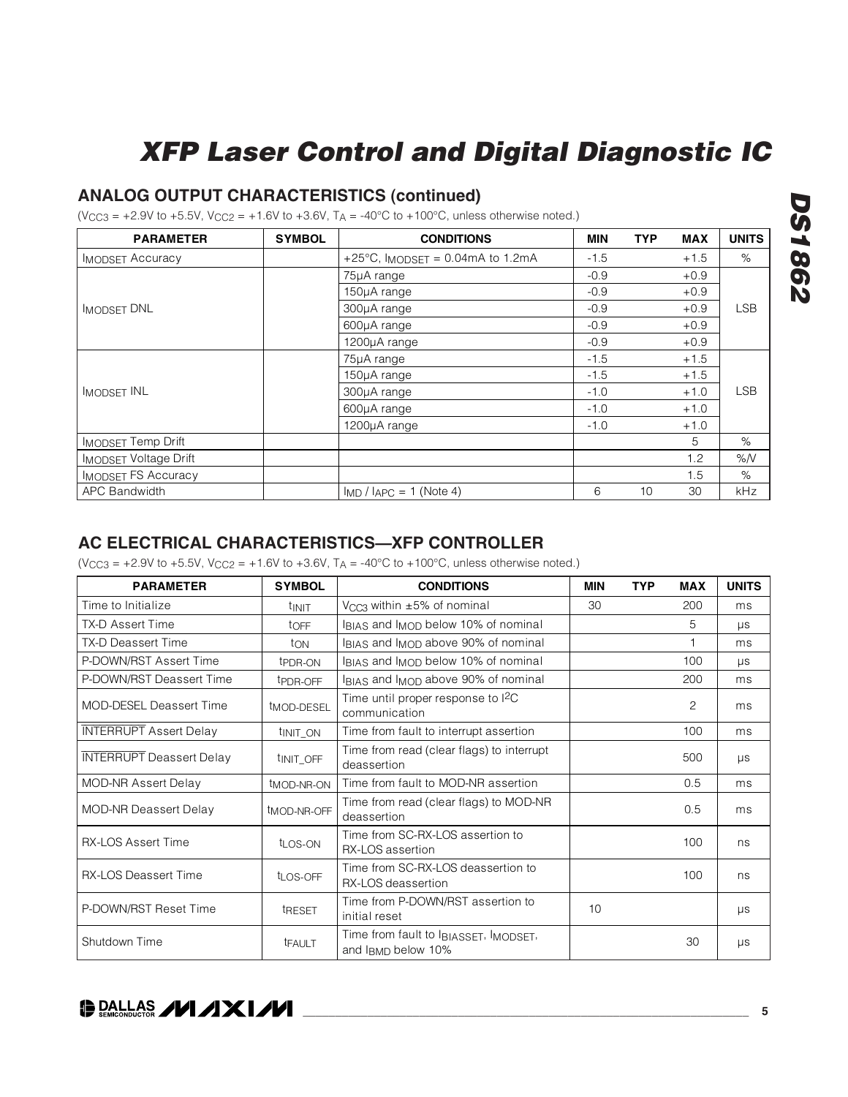### **ANALOG OUTPUT CHARACTERISTICS (continued)**

 $(V_{CC3} = +2.9V$  to  $+5.5V$ ,  $V_{CC2} = +1.6V$  to  $+3.6V$ ,  $T_A = -40^{\circ}C$  to  $+100^{\circ}C$ , unless otherwise noted.)

| <b>PARAMETER</b>             | <b>SYMBOL</b> | <b>CONDITIONS</b>                           | <b>MIN</b> | <b>TYP</b> | <b>MAX</b> | <b>UNITS</b> |
|------------------------------|---------------|---------------------------------------------|------------|------------|------------|--------------|
| <b>IMODSET Accuracy</b>      |               | +25 $^{\circ}$ C, IMODSET = 0.04mA to 1.2mA | $-1.5$     |            | $+1.5$     | %            |
|                              |               | 75µA range                                  | $-0.9$     |            | $+0.9$     |              |
|                              |               | 150µA range                                 | $-0.9$     |            | $+0.9$     |              |
| <b>IMODSET DNL</b>           |               | 300µA range                                 | $-0.9$     |            | $+0.9$     | <b>LSB</b>   |
|                              |               | 600µA range                                 | $-0.9$     |            | $+0.9$     |              |
|                              |               | 1200µA range                                | $-0.9$     |            | $+0.9$     |              |
|                              |               | 75µA range                                  | $-1.5$     |            | $+1.5$     |              |
|                              |               | 150µA range                                 | $-1.5$     |            | $+1.5$     |              |
| <b>IMODSET INL</b>           |               | 300µA range                                 | $-1.0$     |            | $+1.0$     | <b>LSB</b>   |
|                              |               | 600µA range                                 | $-1.0$     |            | $+1.0$     |              |
|                              |               | 1200µA range                                | $-1.0$     |            | $+1.0$     |              |
| <b>IMODSET Temp Drift</b>    |               |                                             |            |            | 5          | $\%$         |
| <b>IMODSET Voltage Drift</b> |               |                                             |            |            | 1.2        | %N           |
| <b>IMODSET FS Accuracy</b>   |               |                                             |            |            | 1.5        | $\%$         |
| <b>APC Bandwidth</b>         |               | $I_{MD}$ / $I_{APC} = 1$ (Note 4)           | 6          | 10         | 30         | <b>kHz</b>   |

### **AC ELECTRICAL CHARACTERISTICS—XFP CONTROLLER**

 $(V_{CC3} = +2.9V$  to  $+5.5V$ ,  $V_{CC2} = +1.6V$  to  $+3.6V$ ,  $T_A = -40^{\circ}C$  to  $+100^{\circ}C$ , unless otherwise noted.)

| <b>PARAMETER</b>                | <b>SYMBOL</b>           | <b>CONDITIONS</b>                                           | MIN | <b>TYP</b> |                | <b>UNITS</b> |
|---------------------------------|-------------------------|-------------------------------------------------------------|-----|------------|----------------|--------------|
| Time to Initialize              | tinit                   | V <sub>CC3</sub> within $\pm 5\%$ of nominal                | 30  |            | 200            | ms           |
| TX-D Assert Time                | toFF                    | IBIAS and IMOD below 10% of nominal                         |     |            | 5              | $\mu s$      |
| <b>TX-D Deassert Time</b>       | ton                     | IBIAS and IMOD above 90% of nominal                         |     |            |                | ms           |
| P-DOWN/RST Assert Time          | t <sub>PDR-ON</sub>     | IBIAS and IMOD below 10% of nominal                         |     |            | 100            | μs           |
| P-DOWN/RST Deassert Time        | t <sub>PDR-OFF</sub>    | IBIAS and IMOD above 90% of nominal                         |     |            | 200            | ms           |
| MOD-DESEL Deassert Time         | t <sub>MOD-DESEL</sub>  | Time until proper response to ${}^{12}C$<br>communication   |     |            | $\overline{c}$ | ms           |
| <b>INTERRUPT</b> Assert Delay   | t <sub>INIT_ON</sub>    | Time from fault to interrupt assertion                      |     |            | 100            | ms           |
| <b>INTERRUPT</b> Deassert Delay | UNIT OFF                | Time from read (clear flags) to interrupt<br>deassertion    |     |            | 500            | $\mu s$      |
| <b>MOD-NR Assert Delay</b>      | tMOD-NR-ON              | Time from fault to MOD-NR assertion                         |     |            | 0.5            | ms           |
| <b>MOD-NR Deassert Delay</b>    | t <sub>MOD-NR-OFF</sub> | Time from read (clear flags) to MOD-NR<br>deassertion       |     |            | 0.5            | ms           |
| <b>RX-LOS Assert Time</b>       | tLOS-ON                 | Time from SC-RX-LOS assertion to<br>RX-LOS assertion        |     |            | 100            | ns           |
| <b>RX-LOS Deassert Time</b>     | t <sub>LOS-OFF</sub>    | Time from SC-RX-LOS deassertion to<br>RX-LOS deassertion    |     |            | 100            | ns           |
| P-DOWN/RST Reset Time           | <b>TRESET</b>           | Time from P-DOWN/RST assertion to<br>initial reset          | 10  |            |                | $\mu s$      |
| Shutdown Time                   | <b>TFAULT</b>           | Time from fault to IBIASSET, IMODSET,<br>and IBMD below 10% |     |            | 30             | $\mu s$      |



**DS1862 DS1862**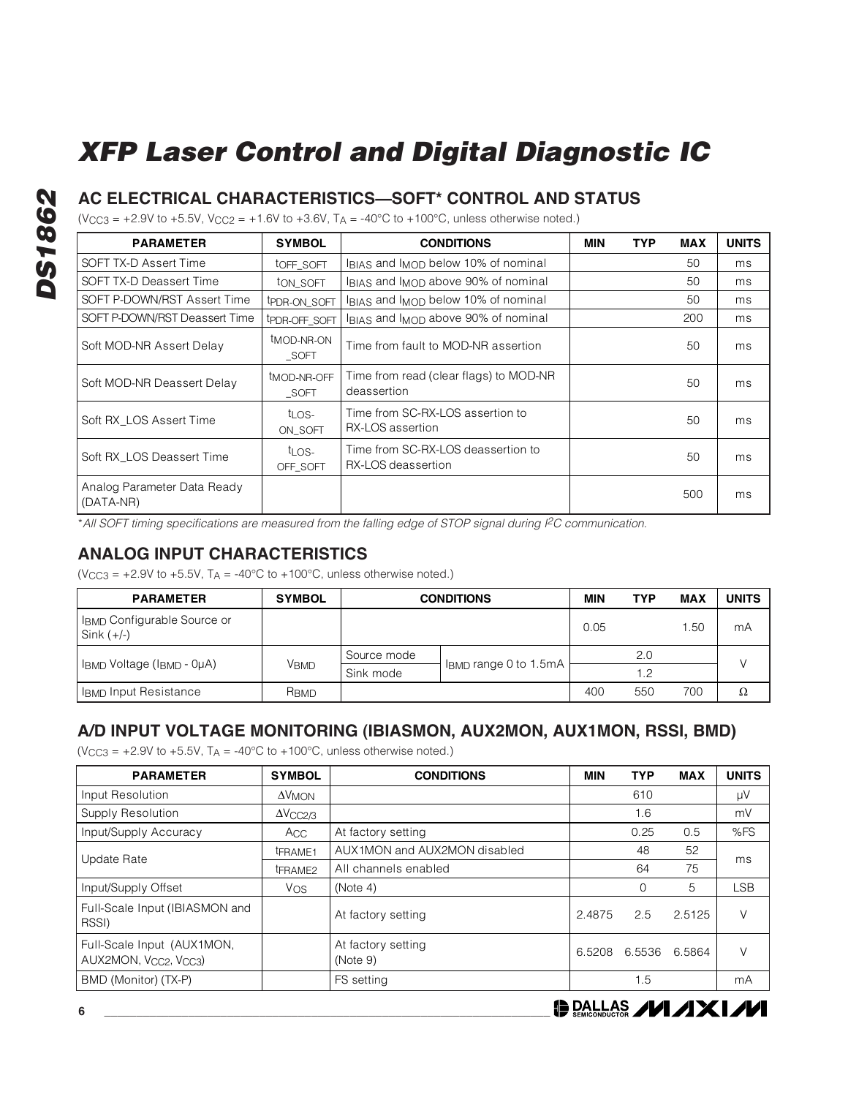### **AC ELECTRICAL CHARACTERISTICS—SOFT\* CONTROL AND STATUS**

 $(V_{CC3} = +2.9V$  to  $+5.5V$ ,  $V_{CC2} = +1.6V$  to  $+3.6V$ ,  $T_A = -40^{\circ}C$  to  $+100^{\circ}C$ , unless otherwise noted.)

| <b>PARAMETER</b>                         | <b>SYMBOL</b>                   | <b>CONDITIONS</b>                                        | <b>MIN</b> | <b>TYP</b> | <b>MAX</b> | <b>UNITS</b> |
|------------------------------------------|---------------------------------|----------------------------------------------------------|------------|------------|------------|--------------|
| SOFT TX-D Assert Time                    | toff soft                       | IBIAS and IMOD below 10% of nominal                      |            |            | 50         | ms           |
| SOFT TX-D Deassert Time                  | ton soft                        | IBIAS and IMOD above 90% of nominal                      |            |            | 50         | ms           |
| SOFT P-DOWN/RST Assert Time              | tPDR-ON_SOFT                    | IBIAS and IMOD below 10% of nominal                      |            |            | 50         | ms           |
| SOFT P-DOWN/RST Deassert Time            | tPDR-OFF SOFT                   | IBIAS and IMOD above 90% of nominal                      |            |            | 200        | ms           |
| Soft MOD-NR Assert Delay                 | t <sub>MOD-NR-ON</sub><br>SOFT  | Time from fault to MOD-NR assertion                      |            |            | 50         | ms           |
| Soft MOD-NR Deassert Delay               | t <sub>MOD-NR-OFF</sub><br>SOFT | Time from read (clear flags) to MOD-NR<br>deassertion    |            |            | 50         | ms           |
| Soft RX LOS Assert Time                  | t <sub>LOS-</sub><br>ON SOFT    | Time from SC-RX-LOS assertion to<br>RX-LOS assertion     |            |            | 50         | ms           |
| Soft RX LOS Deassert Time                | t <sub>LOS-</sub><br>OFF SOFT   | Time from SC-RX-LOS deassertion to<br>RX-LOS deassertion |            |            | 50         | ms           |
| Analog Parameter Data Ready<br>(DATA-NR) |                                 |                                                          |            |            | 500        | ms           |

\*All SOFT timing specifications are measured from the falling edge of STOP signal during I<sup>2</sup>C communication.

### **ANALOG INPUT CHARACTERISTICS**

( $V_{CC3}$  = +2.9V to +5.5V,  $T_A$  = -40°C to +100°C, unless otherwise noted.)

| <b>PARAMETER</b>                                        | <b>SYMBOL</b>          | <b>CONDITIONS</b> | MIN                   | <b>TYP</b> | <b>MAX</b> | <b>UNITS</b> |    |
|---------------------------------------------------------|------------------------|-------------------|-----------------------|------------|------------|--------------|----|
| I <sub>BMD</sub> Configurable Source or<br>Sink $(+/-)$ |                        |                   |                       | 0.05       |            | .50          | mA |
|                                                         | <b>V<sub>BMD</sub></b> | Source mode       | IBMD range 0 to 1.5mA |            | 2.0        |              |    |
| IBMD Voltage (IBMD - 0µA)                               |                        | Sink mode         |                       |            | 1.2        |              |    |
| IBMD Input Resistance                                   | RBMD                   |                   |                       | 400        | 550        | 700          | Ω  |

### **A/D INPUT VOLTAGE MONITORING (IBIASMON, AUX2MON, AUX1MON, RSSI, BMD)**

( $V_{CC3}$  = +2.9V to +5.5V,  $T_A$  = -40°C to +100°C, unless otherwise noted.)

| <b>PARAMETER</b>                                   | <b>SYMBOL</b>   | <b>CONDITIONS</b>              |        | <b>TYP</b> | <b>MAX</b> | <b>UNITS</b> |
|----------------------------------------------------|-----------------|--------------------------------|--------|------------|------------|--------------|
| Input Resolution                                   | $\Delta V$ MON  |                                |        | 610        |            | μV           |
| Supply Resolution                                  | $\Delta$ VCC2/3 |                                |        | 1.6        |            | mV           |
| Input/Supply Accuracy                              | Acc.            | At factory setting             |        | 0.25       | 0.5        | %FS          |
|                                                    | tFRAME1         | AUX1MON and AUX2MON disabled   |        | 48         | 52         | ms           |
| Update Rate                                        | tFRAME2         | All channels enabled           |        | 64         | 75         |              |
| Input/Supply Offset                                | Vos             | (Note 4)                       |        | 0          | 5          | <b>LSB</b>   |
| Full-Scale Input (IBIASMON and<br>RSSI)            |                 | At factory setting             | 2.4875 | 2.5        | 2.5125     | V            |
| Full-Scale Input (AUX1MON,<br>AUX2MON, Vcc2, Vcc3) |                 | At factory setting<br>(Note 9) | 6.5208 | 6.5536     | 6.5864     |              |
| BMD (Monitor) (TX-P)                               |                 | FS setting                     |        | .5         |            | mA           |

**DALLAS /VI /IXI/VI**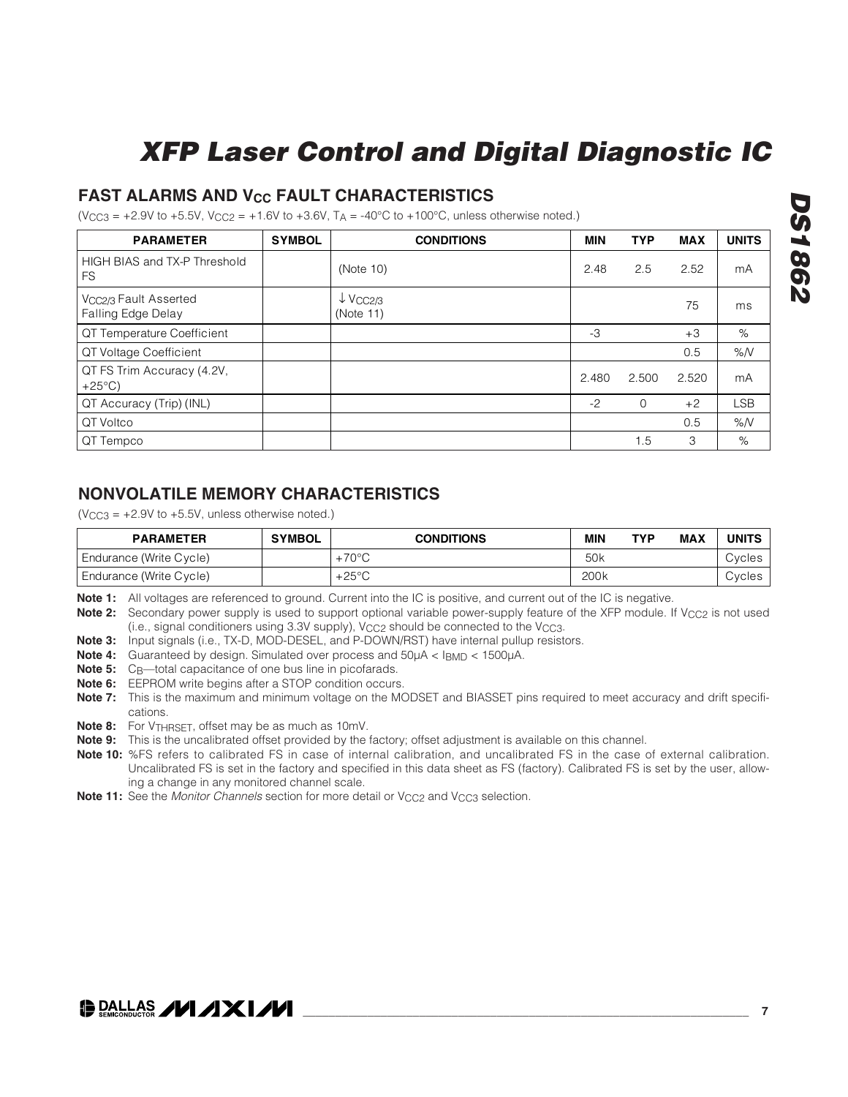### **FAST ALARMS AND V<sub>CC</sub> FAULT CHARACTERISTICS**

 $(V_{CC3} = +2.9V$  to  $+5.5V$ ,  $V_{CC2} = +1.6V$  to  $+3.6V$ ,  $T_A = -40^{\circ}C$  to  $+100^{\circ}C$ , unless otherwise noted.)

| <b>PARAMETER</b>                                        | <b>SYMBOL</b> | <b>CONDITIONS</b>                            | <b>MIN</b> | <b>TYP</b>  | <b>MAX</b> | <b>UNITS</b> |
|---------------------------------------------------------|---------------|----------------------------------------------|------------|-------------|------------|--------------|
| HIGH BIAS and TX-P Threshold<br><b>FS</b>               |               | (Note 10)                                    | 2.48       | 2.5         | 2.52       | mA           |
| V <sub>CC2/3</sub> Fault Asserted<br>Falling Edge Delay |               | $\downarrow$ V <sub>CC2/3</sub><br>(Note 11) |            |             | 75         | ms           |
| QT Temperature Coefficient                              |               |                                              | -3         |             | $+3$       | %            |
| QT Voltage Coefficient                                  |               |                                              |            |             | 0.5        | %N           |
| QT FS Trim Accuracy (4.2V,<br>$+25^{\circ}$ C)          |               |                                              | 2.480      | 2.500       | 2.520      | mA           |
| QT Accuracy (Trip) (INL)                                |               |                                              | $-2$       | $\mathbf 0$ | $+2$       | <b>LSB</b>   |
| QT Voltco                                               |               |                                              |            |             | 0.5        | %N           |
| QT Tempco                                               |               |                                              |            | 1.5         | 3          | %            |

### **NONVOLATILE MEMORY CHARACTERISTICS**

 $(VCC3 = +2.9V$  to  $+5.5V$ , unless otherwise noted.)

| <b>PARAMETER</b>        | <b>SYMBOL</b> | <b>CONDITIONS</b> | <b>MIN</b>      | <b>TYP</b> | <b>MAX</b> | <b>UNITS</b> |
|-------------------------|---------------|-------------------|-----------------|------------|------------|--------------|
| Endurance (Write Cycle) |               | $+70^{\circ}$ C   | 50 <sub>k</sub> |            |            | Cycles       |
| Endurance (Write Cycle) |               | $+25^{\circ}$ C   | 200k            |            |            | Cycles       |

**Note 1:** All voltages are referenced to ground. Current into the IC is positive, and current out of the IC is negative.

**Note 2:** Secondary power supply is used to support optional variable power-supply feature of the XFP module. If V<sub>CC2</sub> is not used (i.e., signal conditioners using 3.3V supply), V<sub>CC2</sub> should be connected to the V<sub>CC3</sub>.

**Note 3:** Input signals (i.e., TX-D, MOD-DESEL, and P-DOWN/RST) have internal pullup resistors.

**Note 4:** Guaranteed by design. Simulated over process and 50μA < IBMD < 1500μA.

**Note 5:** C<sub>B</sub>—total capacitance of one bus line in picofarads.

**Note 6:** EEPROM write begins after a STOP condition occurs.

**Note 7:** This is the maximum and minimum voltage on the MODSET and BIASSET pins required to meet accuracy and drift specifications.

**Note 8:** For VTHRSET, offset may be as much as 10mV.

**Note 9:** This is the uncalibrated offset provided by the factory; offset adjustment is available on this channel.

**Note 10:** %FS refers to calibrated FS in case of internal calibration, and uncalibrated FS in the case of external calibration. Uncalibrated FS is set in the factory and specified in this data sheet as FS (factory). Calibrated FS is set by the user, allowing a change in any monitored channel scale.

**Note 11:** See the *Monitor Channels* section for more detail or V<sub>CC2</sub> and V<sub>CC3</sub> selection.

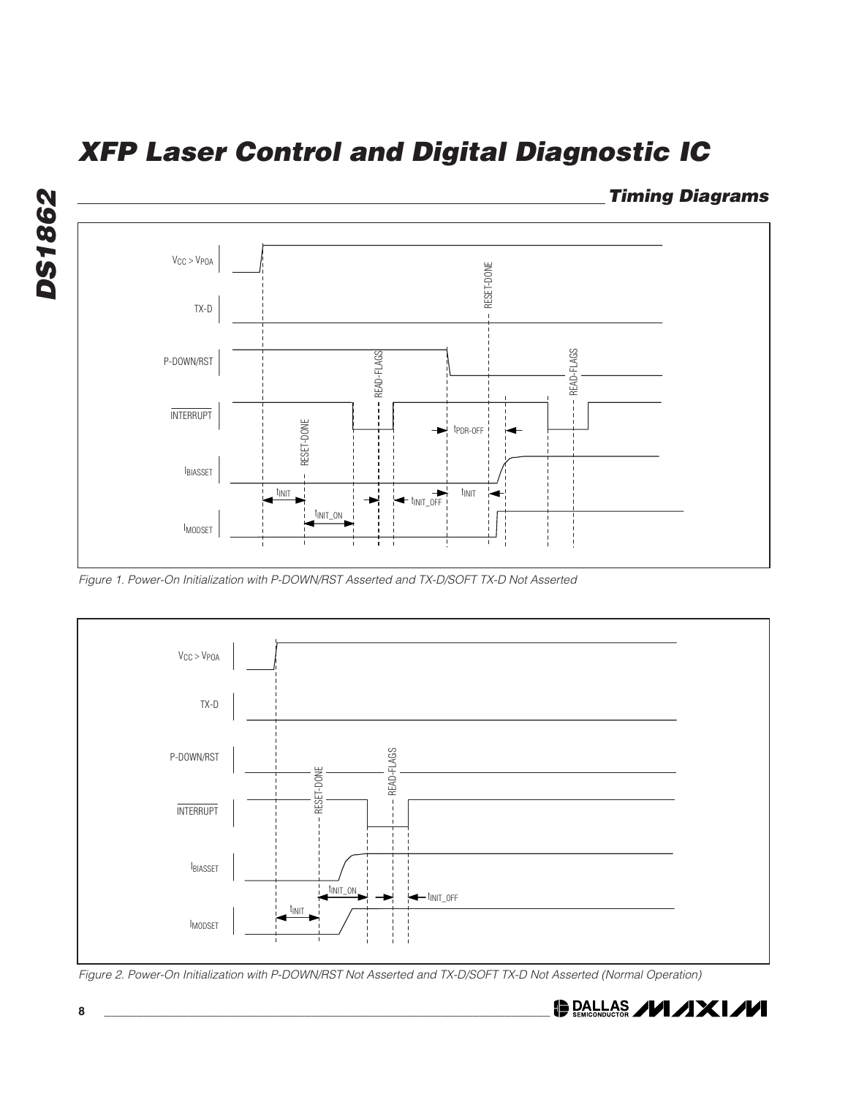

Figure 1. Power-On Initialization with P-DOWN/RST Asserted and TX-D/SOFT TX-D Not Asserted



Figure 2. Power-On Initialization with P-DOWN/RST Not Asserted and TX-D/SOFT TX-D Not Asserted (Normal Operation)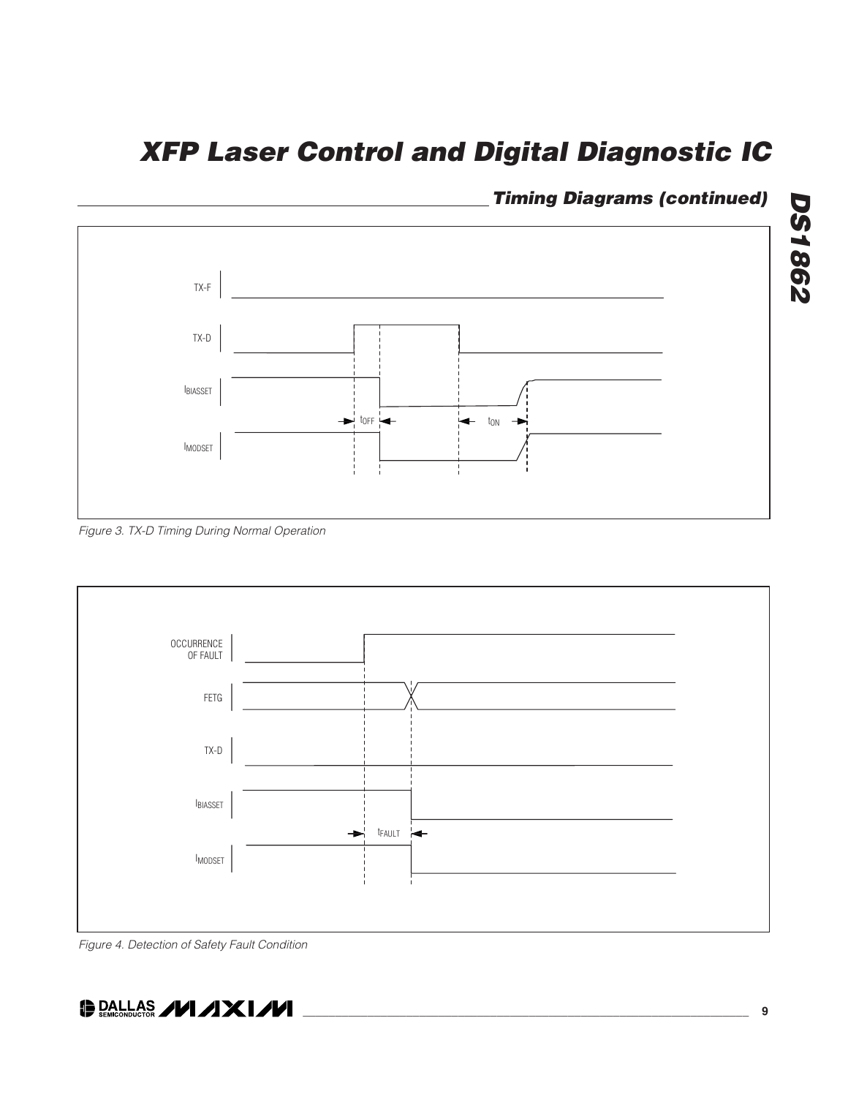

### **Timing Diagrams (continued)**





Figure 4. Detection of Safety Fault Condition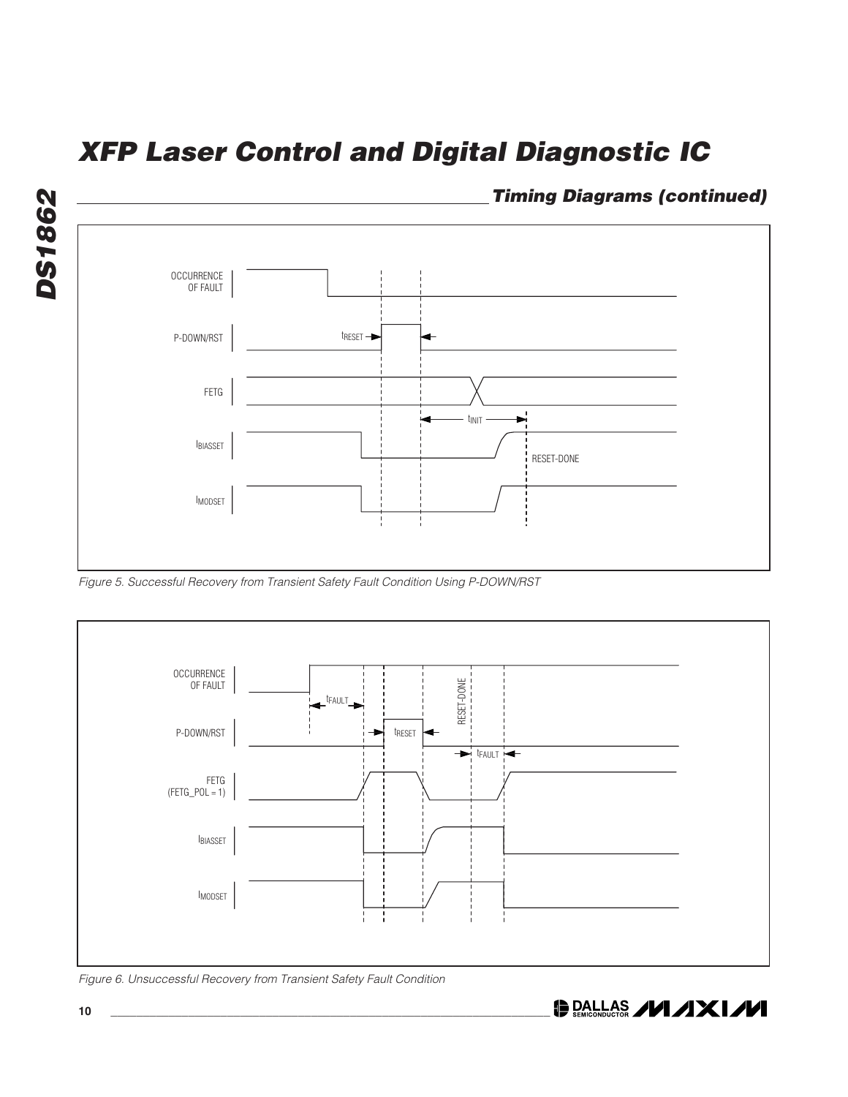

Figure 5. Successful Recovery from Transient Safety Fault Condition Using P-DOWN/RST



Figure 6. Unsuccessful Recovery from Transient Safety Fault Condition

**DALLAS /VI/IXI/VI**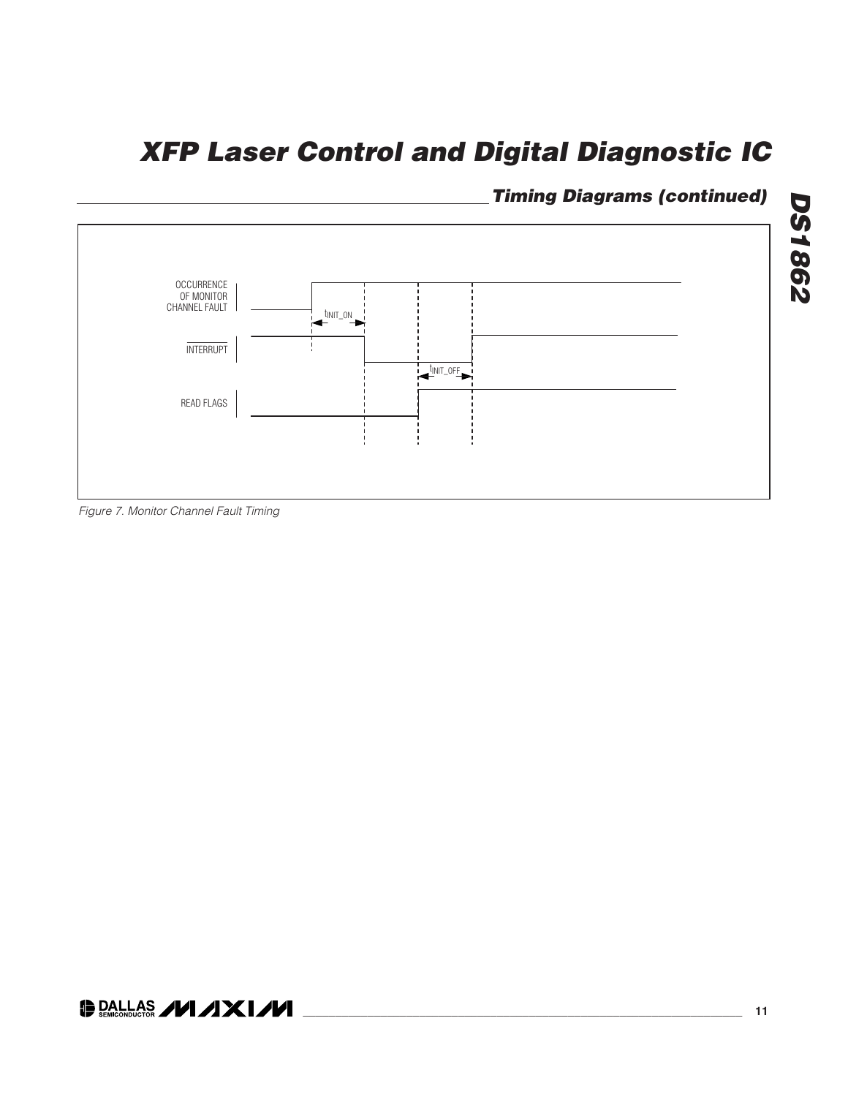### **Timing Diagrams (continued)**



Figure 7. Monitor Channel Fault Timing

**DS1862 DS1862**

### O DALLAS **/VI /IXI/VI**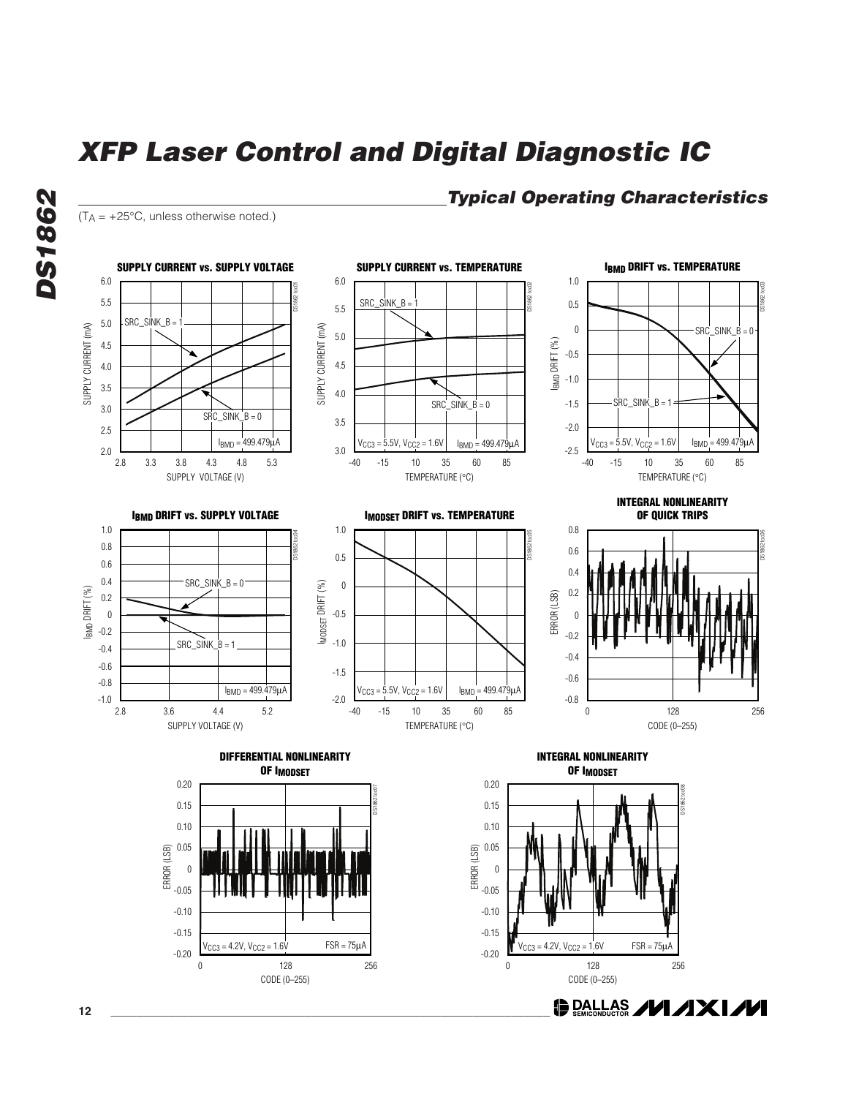$(T_A = +25^{\circ}C$ , unless otherwise noted.)

**DS1862**

**DS1862** 

### **Typical Operating Characteristics**

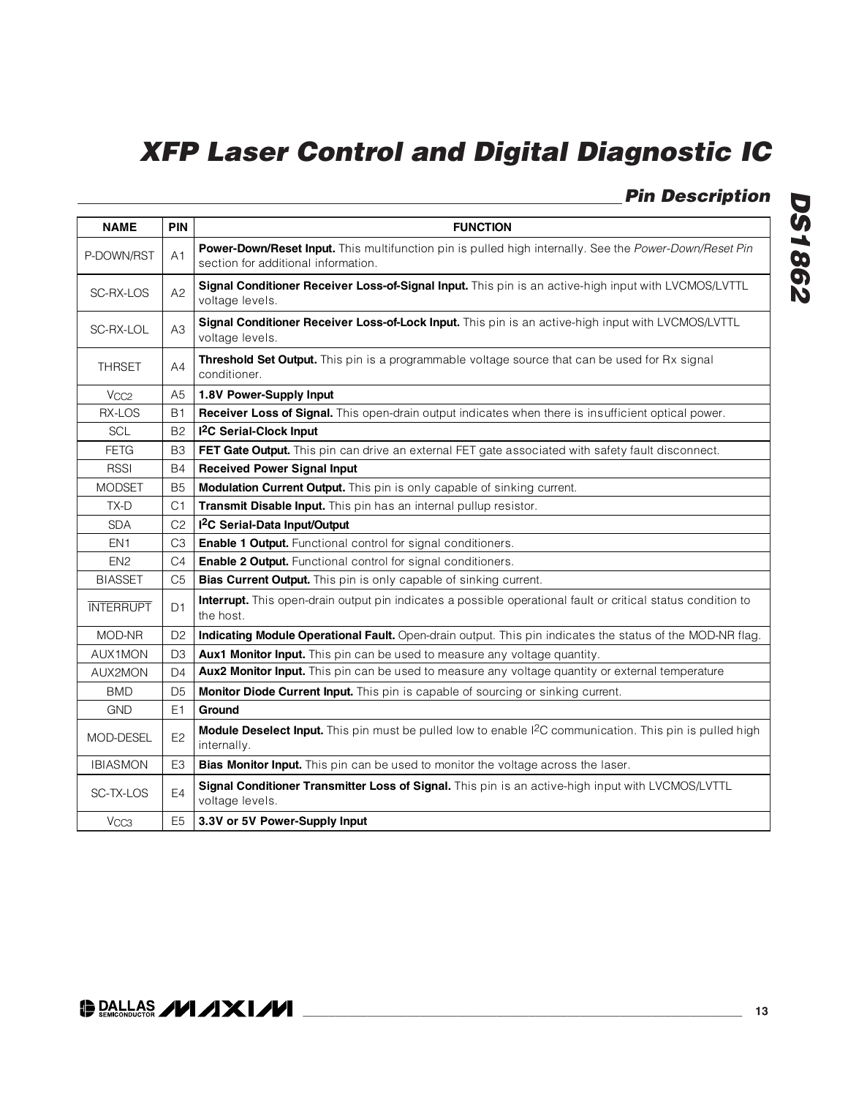**Pin Description**

| <b>NAME</b>      | <b>PIN</b>     | <b>FUNCTION</b>                                                                                                                               |
|------------------|----------------|-----------------------------------------------------------------------------------------------------------------------------------------------|
| P-DOWN/RST       | A1             | Power-Down/Reset Input. This multifunction pin is pulled high internally. See the Power-Down/Reset Pin<br>section for additional information. |
| SC-RX-LOS        | A2             | Signal Conditioner Receiver Loss-of-Signal Input. This pin is an active-high input with LVCMOS/LVTTL<br>voltage levels.                       |
| SC-RX-LOL        | A3             | Signal Conditioner Receiver Loss-of-Lock Input. This pin is an active-high input with LVCMOS/LVTTL<br>voltage levels.                         |
| <b>THRSET</b>    | A4             | Threshold Set Output. This pin is a programmable voltage source that can be used for Rx signal<br>conditioner.                                |
| V <sub>CC2</sub> | A5             | 1.8V Power-Supply Input                                                                                                                       |
| RX-LOS           | <b>B1</b>      | Receiver Loss of Signal. This open-drain output indicates when there is insufficient optical power.                                           |
| SCL              | <b>B2</b>      | <sup>2</sup> C Serial-Clock Input                                                                                                             |
| <b>FETG</b>      | B <sub>3</sub> | FET Gate Output. This pin can drive an external FET gate associated with safety fault disconnect.                                             |
| <b>RSSI</b>      | <b>B4</b>      | <b>Received Power Signal Input</b>                                                                                                            |
| <b>MODSET</b>    | <b>B5</b>      | Modulation Current Output. This pin is only capable of sinking current.                                                                       |
| TX-D             | C1             | Transmit Disable Input. This pin has an internal pullup resistor.                                                                             |
| <b>SDA</b>       | C <sub>2</sub> | I <sup>2</sup> C Serial-Data Input/Output                                                                                                     |
| EN <sub>1</sub>  | C3             | <b>Enable 1 Output.</b> Functional control for signal conditioners.                                                                           |
| EN <sub>2</sub>  | C <sub>4</sub> | Enable 2 Output. Functional control for signal conditioners.                                                                                  |
| <b>BIASSET</b>   | C <sub>5</sub> | Bias Current Output. This pin is only capable of sinking current.                                                                             |
| <b>INTERRUPT</b> | D <sub>1</sub> | Interrupt. This open-drain output pin indicates a possible operational fault or critical status condition to<br>the host.                     |
| MOD-NR           | D <sub>2</sub> | Indicating Module Operational Fault. Open-drain output. This pin indicates the status of the MOD-NR flag.                                     |
| AUX1MON          | D <sub>3</sub> | Aux1 Monitor Input. This pin can be used to measure any voltage quantity.                                                                     |
| AUX2MON          | D4             | Aux2 Monitor Input. This pin can be used to measure any voltage quantity or external temperature                                              |
| <b>BMD</b>       | D <sub>5</sub> | Monitor Diode Current Input. This pin is capable of sourcing or sinking current.                                                              |
| <b>GND</b>       | E <sub>1</sub> | Ground                                                                                                                                        |
| <b>MOD-DESEL</b> | E <sub>2</sub> | Module Deselect Input. This pin must be pulled low to enable I <sup>2</sup> C communication. This pin is pulled high<br>internally.           |
| <b>IBIASMON</b>  | E <sub>3</sub> | Bias Monitor Input. This pin can be used to monitor the voltage across the laser.                                                             |
| SC-TX-LOS        | E4             | Signal Conditioner Transmitter Loss of Signal. This pin is an active-high input with LVCMOS/LVTTL<br>voltage levels.                          |
| V <sub>CC3</sub> | E <sub>5</sub> | 3.3V or 5V Power-Supply Input                                                                                                                 |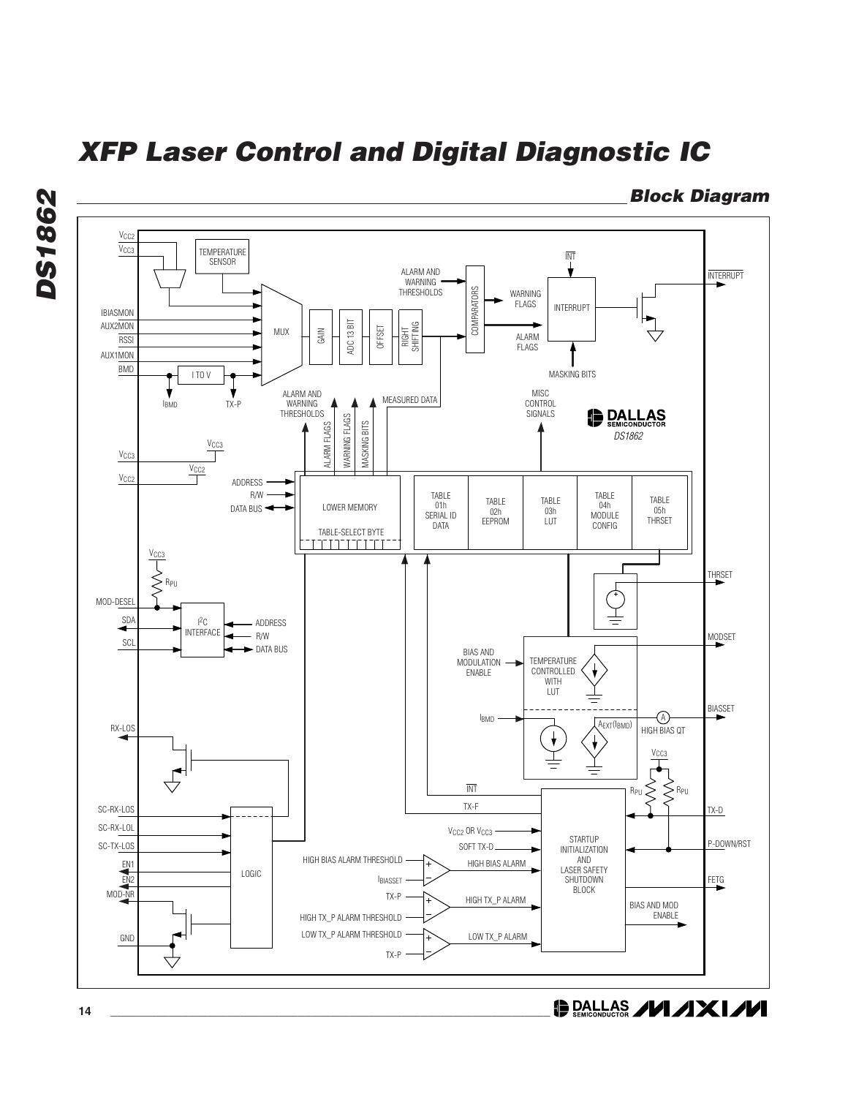

**Block Diagram**

**DALLAS /VI/IXI/VI** 

**DS1862**

**DS1862**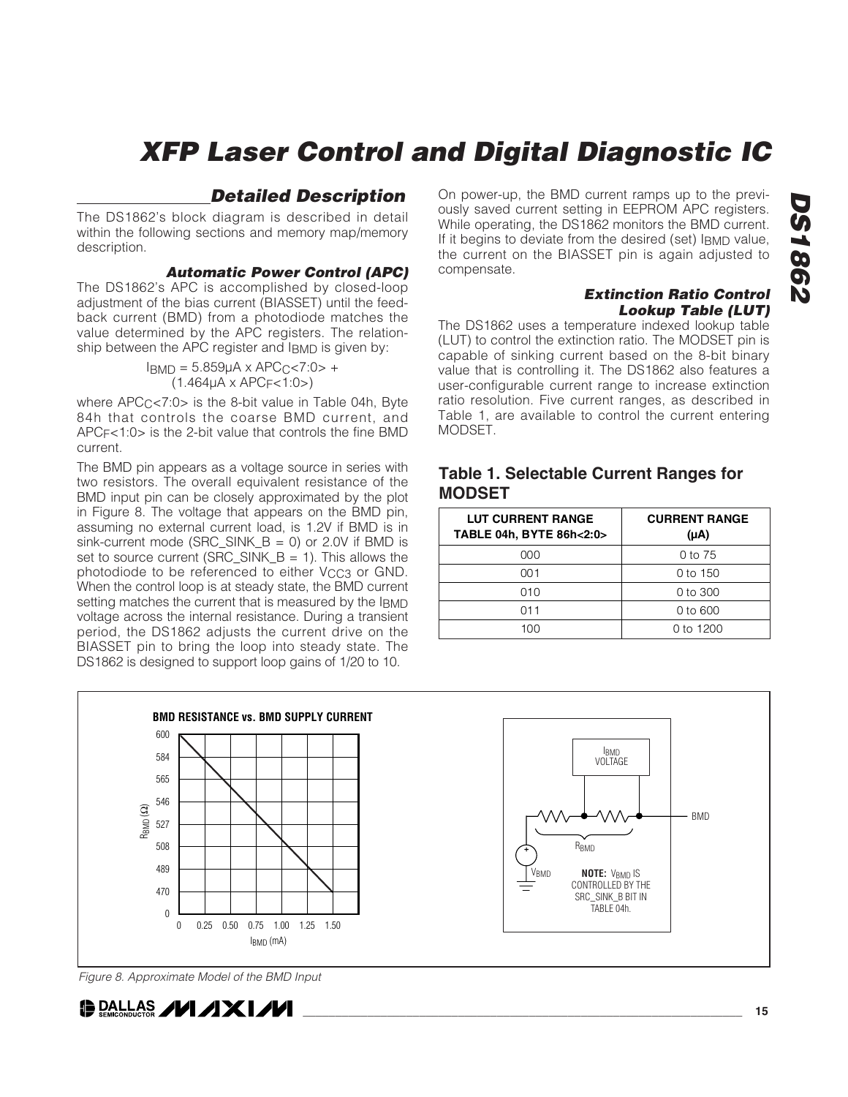### **Detailed Description**

The DS1862's block diagram is described in detail within the following sections and memory map/memory description.

#### **Automatic Power Control (APC)**

The DS1862's APC is accomplished by closed-loop adjustment of the bias current (BIASSET) until the feedback current (BMD) from a photodiode matches the value determined by the APC registers. The relationship between the APC register and IBMD is given by:

> $I_{\text{BMD}} = 5.859 \mu A \times \text{APC}_{C} \le 7:0 > +$  $(1.464\mu A \times APC_F < 1.0)$

where  $APC<sub>C</sub>< 7:0>$  is the 8-bit value in Table 04h, Byte 84h that controls the coarse BMD current, and APCF<1:0> is the 2-bit value that controls the fine BMD current.

The BMD pin appears as a voltage source in series with two resistors. The overall equivalent resistance of the BMD input pin can be closely approximated by the plot in Figure 8. The voltage that appears on the BMD pin, assuming no external current load, is 1.2V if BMD is in sink-current mode (SRC\_SINK\_B = 0) or 2.0V if BMD is set to source current (SRC\_SINK\_B = 1). This allows the photodiode to be referenced to either V<sub>CC3</sub> or GND. When the control loop is at steady state, the BMD current setting matches the current that is measured by the IBMD voltage across the internal resistance. During a transient period, the DS1862 adjusts the current drive on the BIASSET pin to bring the loop into steady state. The DS1862 is designed to support loop gains of 1/20 to 10.

On power-up, the BMD current ramps up to the previously saved current setting in EEPROM APC registers. While operating, the DS1862 monitors the BMD current. If it begins to deviate from the desired (set) IBMD value, the current on the BIASSET pin is again adjusted to compensate.

#### **Extinction Ratio Control Lookup Table (LUT)**

The DS1862 uses a temperature indexed lookup table (LUT) to control the extinction ratio. The MODSET pin is capable of sinking current based on the 8-bit binary value that is controlling it. The DS1862 also features a user-configurable current range to increase extinction ratio resolution. Five current ranges, as described in Table 1, are available to control the current entering MODSET.

### **Table 1. Selectable Current Ranges for MODSET**

| <b>LUT CURRENT RANGE</b><br>TABLE 04h, BYTE 86h<2:0> | <b>CURRENT RANGE</b><br>$(\mu A)$ |
|------------------------------------------------------|-----------------------------------|
| 000                                                  | $0$ to $75$                       |
| 001                                                  | 0 to 150                          |
| 010                                                  | $0$ to 300                        |
| 011                                                  | 0 to 600                          |
| 100                                                  | 0 to $1200$                       |



Figure 8. Approximate Model of the BMD Input

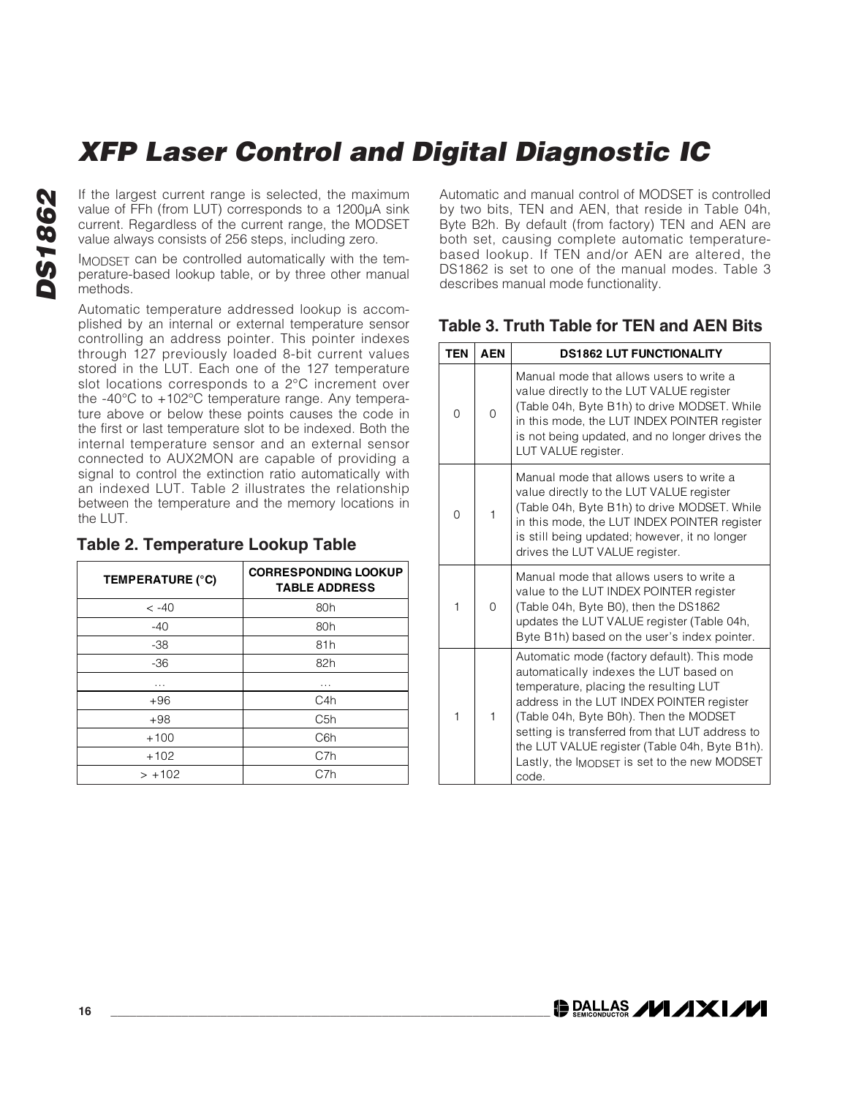If the largest current range is selected, the maximum value of FFh (from LUT) corresponds to a 1200μA sink current. Regardless of the current range, the MODSET value always consists of 256 steps, including zero.

IMODSET can be controlled automatically with the temperature-based lookup table, or by three other manual methods.

Automatic temperature addressed lookup is accomplished by an internal or external temperature sensor controlling an address pointer. This pointer indexes through 127 previously loaded 8-bit current values stored in the LUT. Each one of the 127 temperature slot locations corresponds to a 2°C increment over the -40°C to +102°C temperature range. Any temperature above or below these points causes the code in the first or last temperature slot to be indexed. Both the internal temperature sensor and an external sensor connected to AUX2MON are capable of providing a signal to control the extinction ratio automatically with an indexed LUT. Table 2 illustrates the relationship between the temperature and the memory locations in the LUT.

### **Table 2. Temperature Lookup Table**

| TEMPERATURE (°C) | <b>CORRESPONDING LOOKUP</b><br><b>TABLE ADDRESS</b> |
|------------------|-----------------------------------------------------|
| $<-40$           | 80h                                                 |
| $-40$            | 80h                                                 |
| $-38$            | 81h                                                 |
| $-36$            | 82h                                                 |
| .                | .                                                   |
| $+96$            | C4h                                                 |
| $+98$            | C <sub>5</sub> h                                    |
| $+100$           | C <sub>6</sub> h                                    |
| $+102$           | C7h                                                 |
| $> +102$         | C7h                                                 |

Automatic and manual control of MODSET is controlled by two bits, TEN and AEN, that reside in Table 04h, Byte B2h. By default (from factory) TEN and AEN are both set, causing complete automatic temperaturebased lookup. If TEN and/or AEN are altered, the DS1862 is set to one of the manual modes. Table 3 describes manual mode functionality.

### **Table 3. Truth Table for TEN and AEN Bits**

| <b>TEN</b> | <b>AEN</b> | <b>DS1862 LUT FUNCTIONALITY</b>                                                                                                                                                                                                                                                                                                                                                     |
|------------|------------|-------------------------------------------------------------------------------------------------------------------------------------------------------------------------------------------------------------------------------------------------------------------------------------------------------------------------------------------------------------------------------------|
| $\Omega$   | $\Omega$   | Manual mode that allows users to write a<br>value directly to the LUT VALUE register<br>(Table 04h, Byte B1h) to drive MODSET. While<br>in this mode, the LUT INDEX POINTER register<br>is not being updated, and no longer drives the<br>LUT VALUE register.                                                                                                                       |
| $\Omega$   | 1          | Manual mode that allows users to write a<br>value directly to the LUT VALUE register<br>(Table 04h, Byte B1h) to drive MODSET. While<br>in this mode, the LUT INDEX POINTER register<br>is still being updated; however, it no longer<br>drives the LUT VALUE register.                                                                                                             |
| 1          | $\Omega$   | Manual mode that allows users to write a<br>value to the LUT INDEX POINTER register<br>(Table 04h, Byte B0), then the DS1862<br>updates the LUT VALUE register (Table 04h,<br>Byte B1h) based on the user's index pointer.                                                                                                                                                          |
| 1          | 1          | Automatic mode (factory default). This mode<br>automatically indexes the LUT based on<br>temperature, placing the resulting LUT<br>address in the LUT INDEX POINTER register<br>(Table 04h, Byte B0h). Then the MODSET<br>setting is transferred from that LUT address to<br>the LUT VALUE register (Table 04h, Byte B1h).<br>Lastly, the IMODSET is set to the new MODSET<br>code. |

**DALLAS /VI /IXI/VI**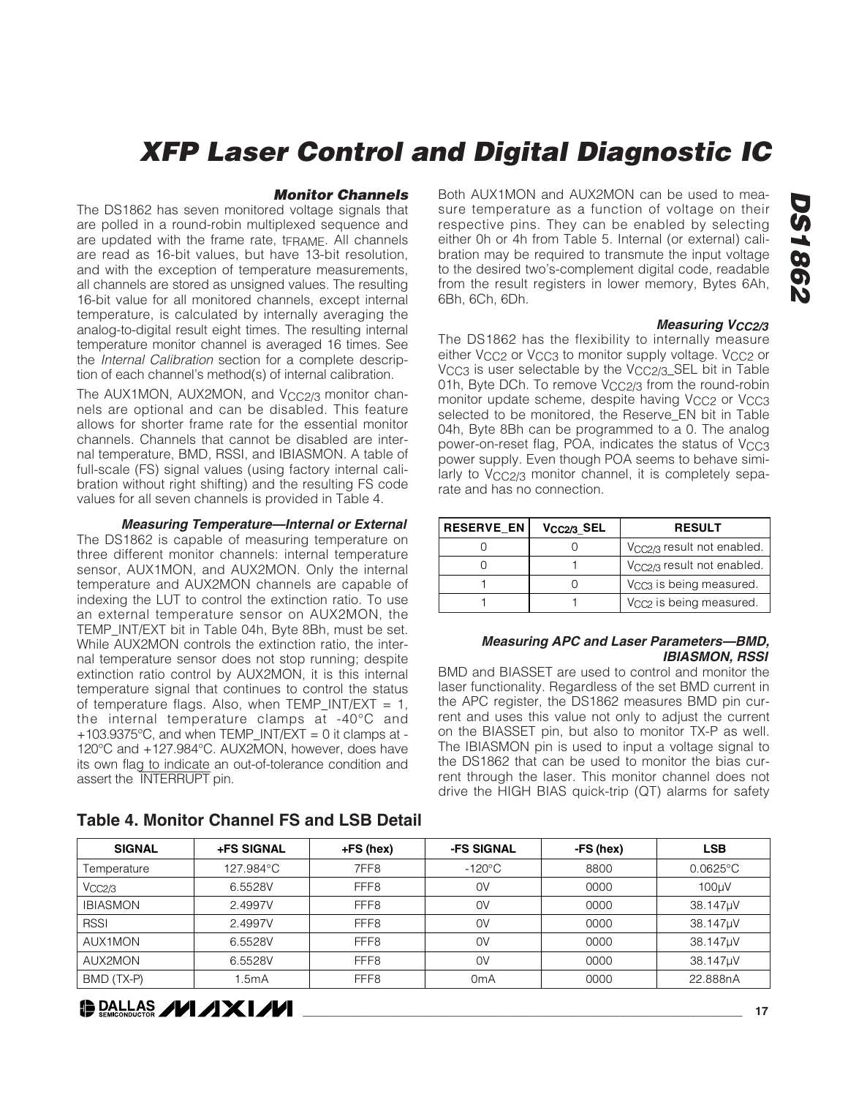#### **Monitor Channels**

The DS1862 has seven monitored voltage signals that are polled in a round-robin multiplexed sequence and are updated with the frame rate, tFRAME. All channels are read as 16-bit values, but have 13-bit resolution, and with the exception of temperature measurements, all channels are stored as unsigned values. The resulting 16-bit value for all monitored channels, except internal temperature, is calculated by internally averaging the analog-to-digital result eight times. The resulting internal temperature monitor channel is averaged 16 times. See the Internal Calibration section for a complete description of each channel's method(s) of internal calibration.

The AUX1MON, AUX2MON, and V<sub>CC2/3</sub> monitor channels are optional and can be disabled. This feature allows for shorter frame rate for the essential monitor channels. Channels that cannot be disabled are internal temperature, BMD, RSSI, and IBIASMON. A table of full-scale (FS) signal values (using factory internal calibration without right shifting) and the resulting FS code values for all seven channels is provided in Table 4.

#### **Measuring Temperature—Internal or External**

The DS1862 is capable of measuring temperature on three different monitor channels: internal temperature sensor, AUX1MON, and AUX2MON. Only the internal temperature and AUX2MON channels are capable of indexing the LUT to control the extinction ratio. To use an external temperature sensor on AUX2MON, the TEMP\_INT/EXT bit in Table 04h, Byte 8Bh, must be set. While AUX2MON controls the extinction ratio, the internal temperature sensor does not stop running; despite extinction ratio control by AUX2MON, it is this internal temperature signal that continues to control the status of temperature flags. Also, when TEMP\_INT/EXT = 1, the internal temperature clamps at -40°C and  $+103.9375$ °C, and when TEMP\_INT/EXT = 0 it clamps at -120°C and +127.984°C. AUX2MON, however, does have its own flag to indicate an out-of-tolerance condition and assert the INTERRUPT pin.

Both AUX1MON and AUX2MON can be used to measure temperature as a function of voltage on their respective pins. They can be enabled by selecting either 0h or 4h from Table 5. Internal (or external) calibration may be required to transmute the input voltage to the desired two's-complement digital code, readable from the result registers in lower memory, Bytes 6Ah, 6Bh, 6Ch, 6Dh.

#### **Measuring V<sub>CC2</sub>/3**

The DS1862 has the flexibility to internally measure either V<sub>CC2</sub> or V<sub>CC3</sub> to monitor supply voltage. V<sub>CC2</sub> or V<sub>CC3</sub> is user selectable by the V<sub>CC2/3</sub>\_SEL bit in Table 01h, Byte DCh. To remove V<sub>CC2/3</sub> from the round-robin monitor update scheme, despite having V<sub>CC2</sub> or V<sub>CC3</sub> selected to be monitored, the Reserve\_EN bit in Table 04h, Byte 8Bh can be programmed to a 0. The analog power-on-reset flag, POA, indicates the status of  $V_{CC3}$ power supply. Even though POA seems to behave similarly to V<sub>CC2/3</sub> monitor channel, it is completely separate and has no connection.

| <b>RESERVE EN</b> | $V_{CC2/3}$ <sub>SEL</sub> | <b>RESULT</b>                          |
|-------------------|----------------------------|----------------------------------------|
|                   |                            | V <sub>CC2/3</sub> result not enabled. |
|                   |                            | V <sub>CC2/3</sub> result not enabled. |
|                   |                            | V <sub>CC3</sub> is being measured.    |
|                   |                            | V <sub>CC2</sub> is being measured.    |

#### **Measuring APC and Laser Parameters—BMD, IBIASMON, RSSI**

BMD and BIASSET are used to control and monitor the laser functionality. Regardless of the set BMD current in the APC register, the DS1862 measures BMD pin current and uses this value not only to adjust the current on the BIASSET pin, but also to monitor TX-P as well. The IBIASMON pin is used to input a voltage signal to the DS1862 that can be used to monitor the bias current through the laser. This monitor channel does not drive the HIGH BIAS quick-trip (QT) alarms for safety

| <b>SIGNAL</b>   | <b>+FS SIGNAL</b> | $+FS$ (hex)      | -FS SIGNAL       | -FS (hex) | <b>LSB</b>         |
|-----------------|-------------------|------------------|------------------|-----------|--------------------|
| Temperature     | 127.984°C         | 7FF8             | $-120^{\circ}$ C | 8800      | $0.0625^{\circ}$ C |
| VCC2/3          | 6.5528V           | FFF <sub>8</sub> | 0V               | 0000      | 100µV              |
| <b>IBIASMON</b> | 2.4997V           | FFF <sub>8</sub> | 0V               | 0000      | 38.147µV           |
| <b>RSSI</b>     | 2.4997V           | FFF <sub>8</sub> | 0V               | 0000      | 38.147µV           |
| AUX1MON         | 6.5528V           | FFF <sub>8</sub> | 0V               | 0000      | 38.147µV           |
| AUX2MON         | 6.5528V           | FFF <sub>8</sub> | 0V               | 0000      | 38.147µV           |
| BMD (TX-P)      | 1.5mA             | FFF <sub>8</sub> | 0mA              | 0000      | 22.888nA           |

#### **Table 4. Monitor Channel FS and LSB Detail**

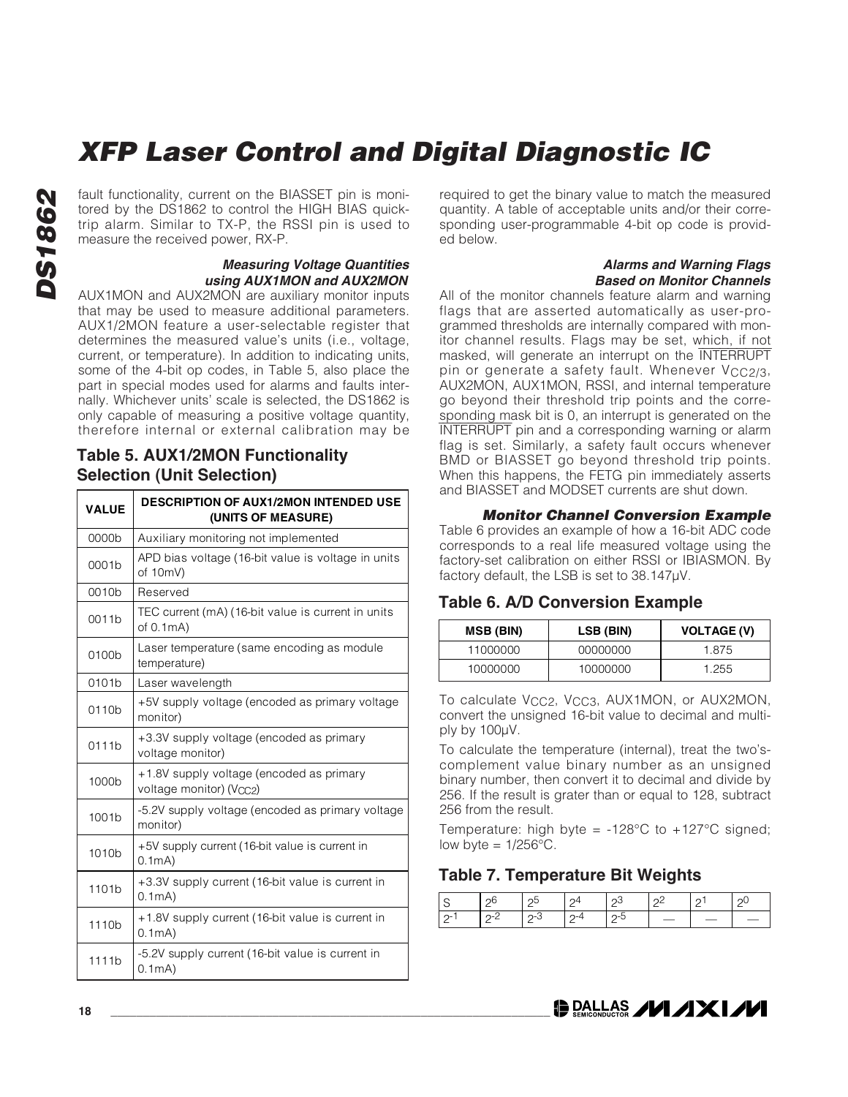fault functionality, current on the BIASSET pin is monitored by the DS1862 to control the HIGH BIAS quicktrip alarm. Similar to TX-P, the RSSI pin is used to measure the received power, RX-P.

#### **Measuring Voltage Quantities using AUX1MON and AUX2MON**

AUX1MON and AUX2MON are auxiliary monitor inputs that may be used to measure additional parameters. AUX1/2MON feature a user-selectable register that determines the measured value's units (i.e., voltage, current, or temperature). In addition to indicating units, some of the 4-bit op codes, in Table 5, also place the part in special modes used for alarms and faults internally. Whichever units' scale is selected, the DS1862 is only capable of measuring a positive voltage quantity, therefore internal or external calibration may be

### **Table 5. AUX1/2MON Functionality Selection (Unit Selection)**

| <b>VALUE</b>      | <b>DESCRIPTION OF AUX1/2MON INTENDED USE</b><br>(UNITS OF MEASURE)  |
|-------------------|---------------------------------------------------------------------|
| 0000b             | Auxiliary monitoring not implemented                                |
| 0001b             | APD bias voltage (16-bit value is voltage in units<br>of 10mV)      |
| 0010 <sub>b</sub> | Reserved                                                            |
| 0011 <sub>b</sub> | TEC current (mA) (16-bit value is current in units<br>of $0.1mA$ )  |
| 0100b             | Laser temperature (same encoding as module<br>temperature)          |
| 0101b             | Laser wavelength                                                    |
| 0110 <sub>b</sub> | +5V supply voltage (encoded as primary voltage<br>monitor)          |
| 0111b             | +3.3V supply voltage (encoded as primary<br>voltage monitor)        |
| 1000 <sub>b</sub> | +1.8V supply voltage (encoded as primary<br>voltage monitor) (Vcc2) |
| 1001b             | -5.2V supply voltage (encoded as primary voltage<br>monitor)        |
| 1010 <sub>b</sub> | +5V supply current (16-bit value is current in<br>0.1mA)            |
| 1101b             | +3.3V supply current (16-bit value is current in<br>0.1mA)          |
| 1110 <sub>b</sub> | +1.8V supply current (16-bit value is current in<br>0.1mA)          |
| 1111b             | -5.2V supply current (16-bit value is current in<br>0.1mA)          |

required to get the binary value to match the measured quantity. A table of acceptable units and/or their corresponding user-programmable 4-bit op code is provided below.

#### **Alarms and Warning Flags Based on Monitor Channels**

All of the monitor channels feature alarm and warning flags that are asserted automatically as user-programmed thresholds are internally compared with monitor channel results. Flags may be set, which, if not masked, will generate an interrupt on the INTERRUPT pin or generate a safety fault. Whenever V<sub>CC2/3</sub>, AUX2MON, AUX1MON, RSSI, and internal temperature go beyond their threshold trip points and the corresponding mask bit is 0, an interrupt is generated on the INTERRUPT pin and a corresponding warning or alarm flag is set. Similarly, a safety fault occurs whenever BMD or BIASSET go beyond threshold trip points. When this happens, the FETG pin immediately asserts and BIASSET and MODSET currents are shut down.

#### **Monitor Channel Conversion Example**

Table 6 provides an example of how a 16-bit ADC code corresponds to a real life measured voltage using the factory-set calibration on either RSSI or IBIASMON. By factory default, the LSB is set to 38.147μV.

### **Table 6. A/D Conversion Example**

| <b>MSB (BIN)</b> | LSB (BIN) | <b>VOLTAGE (V)</b> |
|------------------|-----------|--------------------|
| 11000000         | 00000000  | 1875               |
| 10000000         | 10000000  | 1.255              |

To calculate V<sub>CC2</sub>, V<sub>CC3</sub>, AUX1MON, or AUX2MON, convert the unsigned 16-bit value to decimal and multiply by 100μV.

To calculate the temperature (internal), treat the two'scomplement value binary number as an unsigned binary number, then convert it to decimal and divide by 256. If the result is grater than or equal to 128, subtract 256 from the result.

Temperature: high byte =  $-128^{\circ}$ C to  $+127^{\circ}$ C signed; low byte =  $1/256^{\circ}$ C.

### **Table 7. Temperature Bit Weights**

| Ä.            |      | ΩA          |  |  |
|---------------|------|-------------|--|--|
| $\mathcal{D}$ | ن-1^ | $\Omega$ -4 |  |  |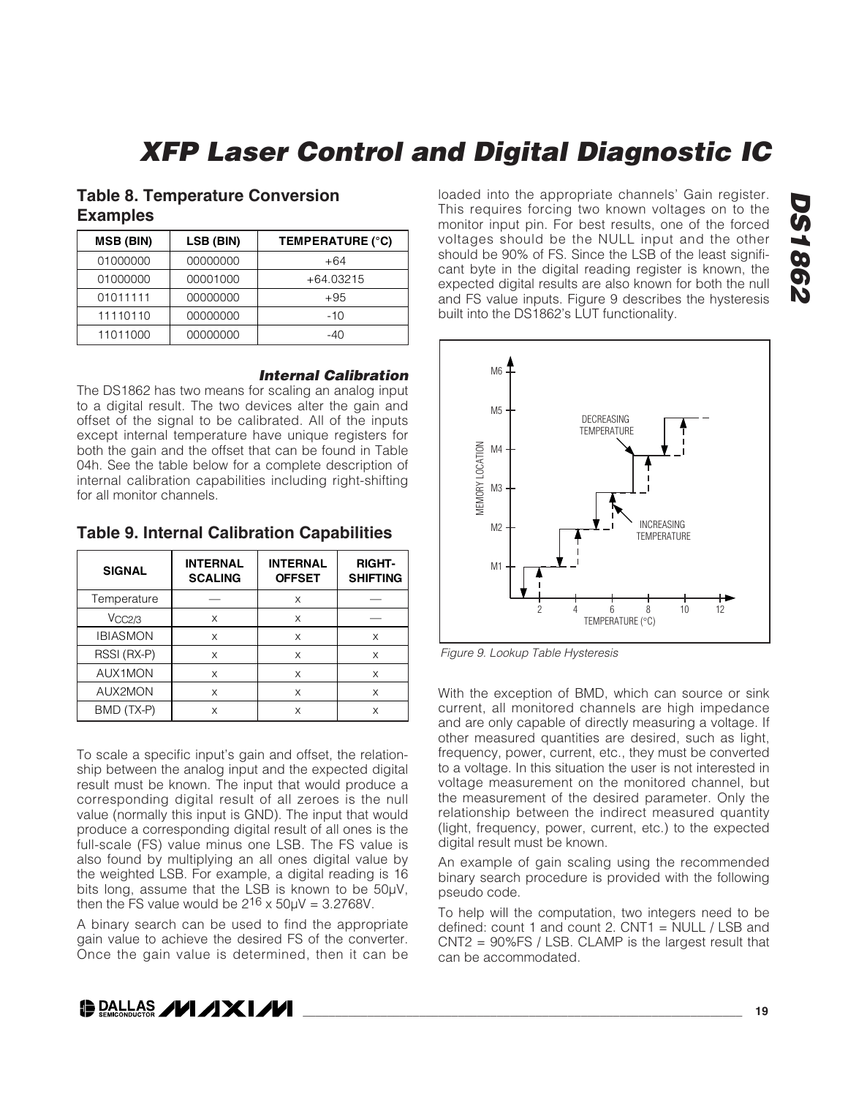### **Table 8. Temperature Conversion Examples**

| <b>MSB (BIN)</b> | LSB (BIN) | TEMPERATURE (°C) |
|------------------|-----------|------------------|
| 01000000         | 00000000  | $+64$            |
| 01000000         | 00001000  | +64.03215        |
| 01011111         | 00000000  | $+95$            |
| 11110110         | 00000000  | -10              |
| 11011000         | 00000000  | -40              |

#### **Internal Calibration**

The DS1862 has two means for scaling an analog input to a digital result. The two devices alter the gain and offset of the signal to be calibrated. All of the inputs except internal temperature have unique registers for both the gain and the offset that can be found in Table 04h. See the table below for a complete description of internal calibration capabilities including right-shifting for all monitor channels.

**Table 9. Internal Calibration Capabilities**

| <b>SIGNAL</b>   | <b>INTERNAL</b><br><b>SCALING</b> | <b>INTERNAL</b><br><b>OFFSET</b> | <b>RIGHT-</b><br><b>SHIFTING</b> |
|-----------------|-----------------------------------|----------------------------------|----------------------------------|
| Temperature     |                                   | X                                |                                  |
| VCC2/3          | X                                 | X                                |                                  |
| <b>IBIASMON</b> | X                                 | X                                | X                                |
| RSSI (RX-P)     | X                                 | X                                | X                                |
| <b>AUX1MON</b>  | X                                 | X                                | X                                |
| AUX2MON         | X                                 | X                                | X                                |
| BMD (TX-P)      | X                                 | X                                | X                                |

To scale a specific input's gain and offset, the relationship between the analog input and the expected digital result must be known. The input that would produce a corresponding digital result of all zeroes is the null value (normally this input is GND). The input that would produce a corresponding digital result of all ones is the full-scale (FS) value minus one LSB. The FS value is also found by multiplying an all ones digital value by the weighted LSB. For example, a digital reading is 16 bits long, assume that the LSB is known to be 50μV, then the FS value would be  $2^{16} \times 50 \mu V = 3.2768V$ .

A binary search can be used to find the appropriate gain value to achieve the desired FS of the converter. Once the gain value is determined, then it can be

loaded into the appropriate channels' Gain register. This requires forcing two known voltages on to the monitor input pin. For best results, one of the forced voltages should be the NULL input and the other should be 90% of FS. Since the LSB of the least significant byte in the digital reading register is known, the expected digital results are also known for both the null and FS value inputs. Figure 9 describes the hysteresis built into the DS1862's LUT functionality.



Figure 9. Lookup Table Hysteresis

With the exception of BMD, which can source or sink current, all monitored channels are high impedance and are only capable of directly measuring a voltage. If other measured quantities are desired, such as light, frequency, power, current, etc., they must be converted to a voltage. In this situation the user is not interested in voltage measurement on the monitored channel, but the measurement of the desired parameter. Only the relationship between the indirect measured quantity (light, frequency, power, current, etc.) to the expected digital result must be known.

An example of gain scaling using the recommended binary search procedure is provided with the following pseudo code.

To help will the computation, two integers need to be defined: count 1 and count 2. CNT1 = NULL / LSB and CNT2 = 90%FS / LSB. CLAMP is the largest result that can be accommodated.

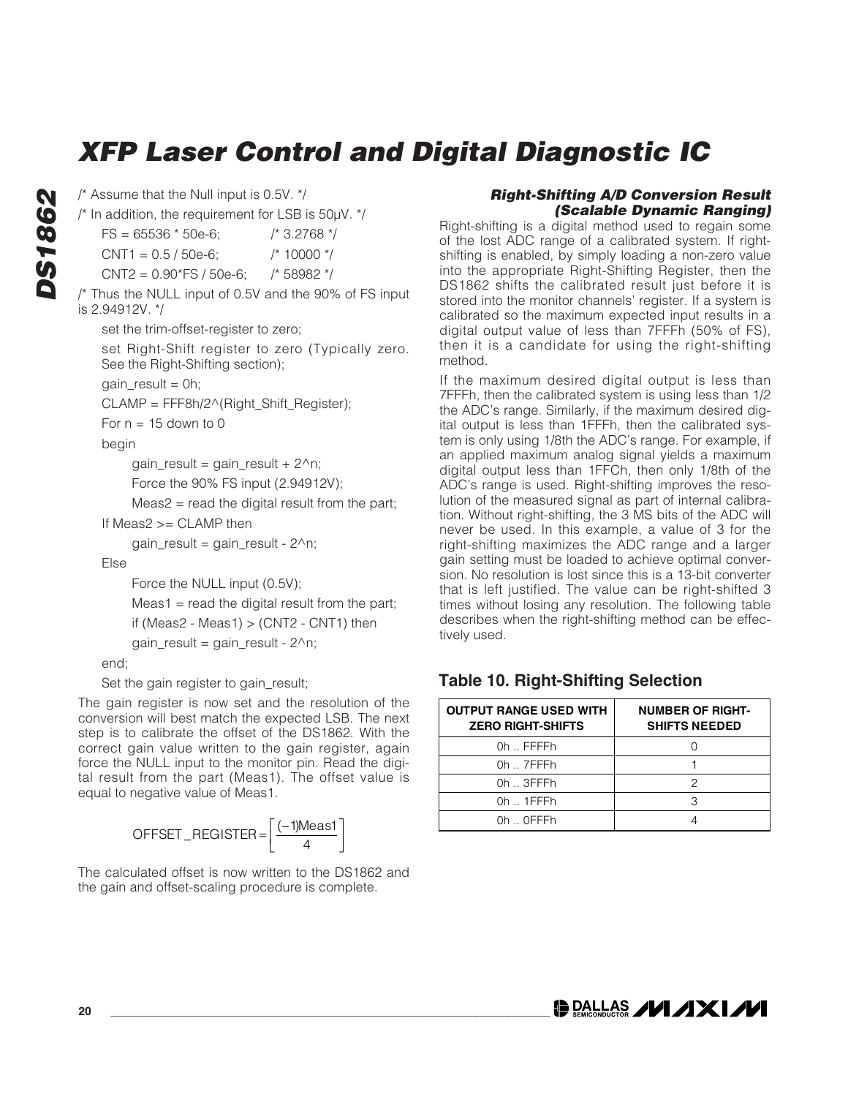**DS1862 DS1862**  /\* Assume that the Null input is 0.5V. \*/

/\* In addition, the requirement for LSB is 50μV. \*/

 $FS = 65536 * 50e-6;$   $\frac{\pi}{3.2768}$  \*/

```
CNT1 = 0.5 / 50e-6; /* 10000 */
```
CNT2 = 0.90\*FS / 50e-6; /\* 58982 \*/

/\* Thus the NULL input of 0.5V and the 90% of FS input is 2.94912V. \*/

set the trim-offset-register to zero;

set Right-Shift register to zero (Typically zero. See the Right-Shifting section);

 $gain\_result = 0h;$ 

CLAMP = FFF8h/2^(Right\_Shift\_Register);

For  $n = 15$  down to 0

begin

gain\_result = gain\_result +  $2^n$ n;

Force the 90% FS input (2.94912V);

Meas2 = read the digital result from the part;

If Meas2 >= CLAMP then

 $gain\_result = gain\_result - 2^n$ ;

Else

Force the NULL input (0.5V);

 $Meas1 = read the digital result from the part;$ 

```
if (Meas2 - Meas1) > (CNT2 - CNT1) then
```

```
gain\_result = gain\_result - 2^n;
```
end;

Set the gain register to gain\_result;

The gain register is now set and the resolution of the conversion will best match the expected LSB. The next step is to calibrate the offset of the DS1862. With the correct gain value written to the gain register, again force the NULL input to the monitor pin. Read the digital result from the part (Meas1). The offset value is equal to negative value of Meas1.

$$
\mathsf{OFFSET\_REGISTER} = \left[\frac{(-1)\mathsf{Meas1}}{4}\right]
$$

The calculated offset is now written to the DS1862 and the gain and offset-scaling procedure is complete.

#### **Right-Shifting A/D Conversion Result (Scalable Dynamic Ranging)**

Right-shifting is a digital method used to regain some of the lost ADC range of a calibrated system. If rightshifting is enabled, by simply loading a non-zero value into the appropriate Right-Shifting Register, then the DS1862 shifts the calibrated result just before it is stored into the monitor channels' register. If a system is calibrated so the maximum expected input results in a digital output value of less than 7FFFh (50% of FS), then it is a candidate for using the right-shifting method.

If the maximum desired digital output is less than 7FFFh, then the calibrated system is using less than 1/2 the ADC's range. Similarly, if the maximum desired digital output is less than 1FFFh, then the calibrated system is only using 1/8th the ADC's range. For example, if an applied maximum analog signal yields a maximum digital output less than 1FFCh, then only 1/8th of the ADC's range is used. Right-shifting improves the resolution of the measured signal as part of internal calibration. Without right-shifting, the 3 MS bits of the ADC will never be used. In this example, a value of 3 for the right-shifting maximizes the ADC range and a larger gain setting must be loaded to achieve optimal conversion. No resolution is lost since this is a 13-bit converter that is left justified. The value can be right-shifted 3 times without losing any resolution. The following table describes when the right-shifting method can be effectively used.

### **Table 10. Right-Shifting Selection**

| <b>OUTPUT RANGE USED WITH</b><br><b>ZERO RIGHT-SHIFTS</b> | <b>NUMBER OF RIGHT-</b><br><b>SHIFTS NEEDED</b> |
|-----------------------------------------------------------|-------------------------------------------------|
| 0h FFFFh                                                  |                                                 |
| $0h$ $7$ FFFh                                             |                                                 |
| $0h$ $\ldots$ 3FFFh                                       | 2                                               |
| $0h$ $\ldots$ 1 FFF h                                     |                                                 |
| Oh OFFFh                                                  |                                                 |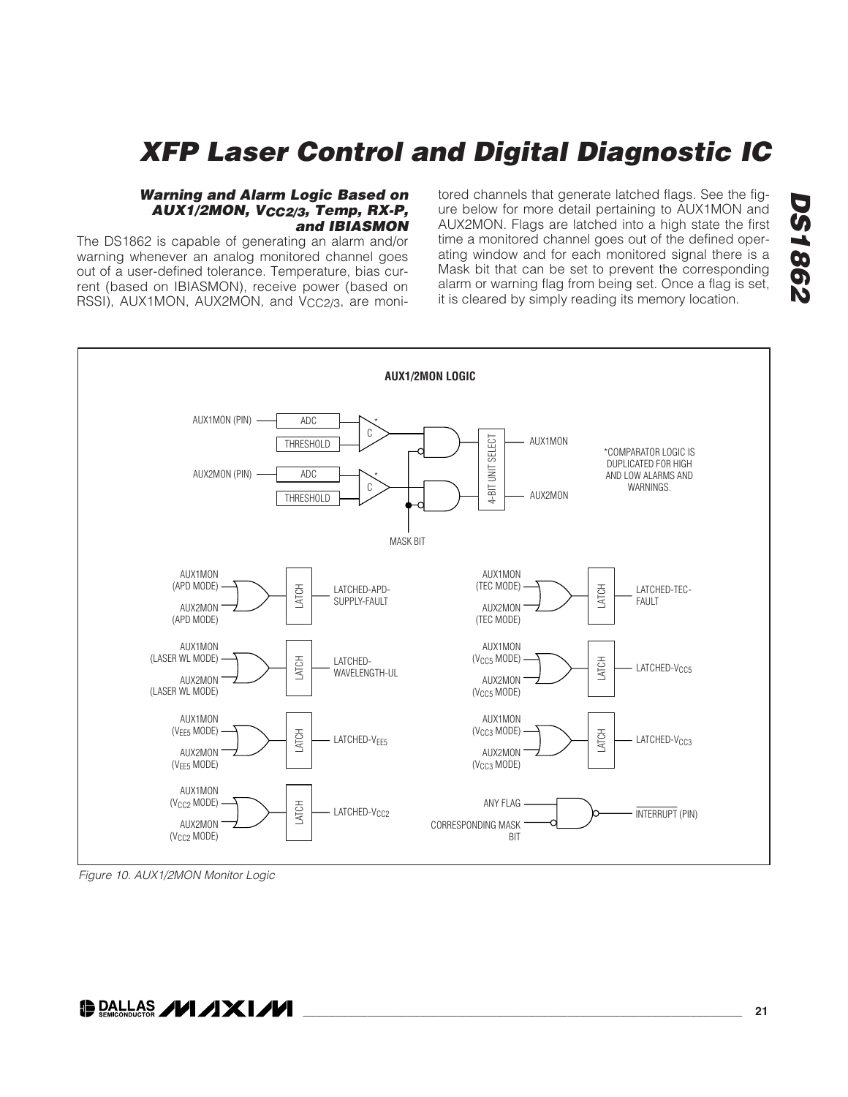#### **Warning and Alarm Logic Based on AUX1/2MON, VCC2/3, Temp, RX-P, and IBIASMON**

The DS1862 is capable of generating an alarm and/or warning whenever an analog monitored channel goes out of a user-defined tolerance. Temperature, bias current (based on IBIASMON), receive power (based on RSSI), AUX1MON, AUX2MON, and V<sub>CC2/3</sub>, are monitored channels that generate latched flags. See the figure below for more detail pertaining to AUX1MON and AUX2MON. Flags are latched into a high state the first time a monitored channel goes out of the defined operating window and for each monitored signal there is a Mask bit that can be set to prevent the corresponding alarm or warning flag from being set. Once a flag is set, it is cleared by simply reading its memory location.



Figure 10. AUX1/2MON Monitor Logic

**DALLAS /VI/IXI/VI**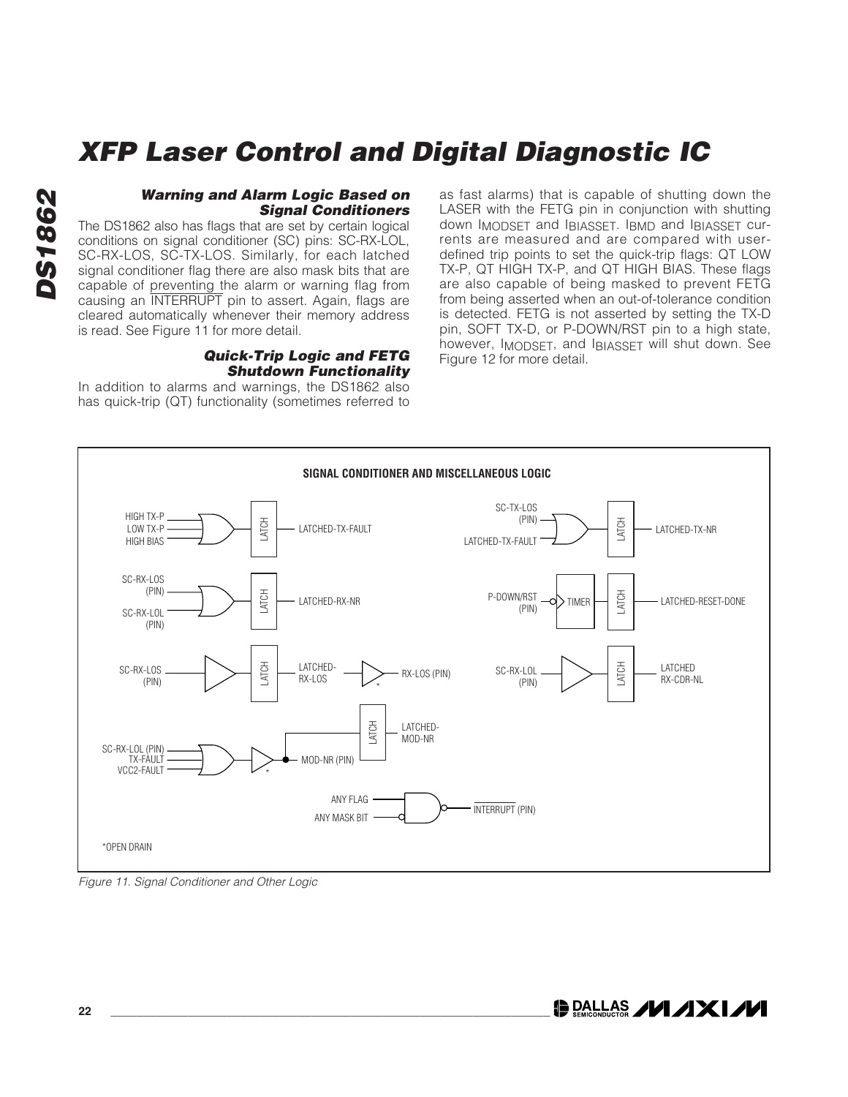#### **Warning and Alarm Logic Based on Signal Conditioners**

The DS1862 also has flags that are set by certain logical conditions on signal conditioner (SC) pins: SC-RX-LOL, SC-RX-LOS, SC-TX-LOS. Similarly, for each latched signal conditioner flag there are also mask bits that are capable of preventing the alarm or warning flag from causing an INTERRUPT pin to assert. Again, flags are cleared automatically whenever their memory address is read. See Figure 11 for more detail.

#### **Quick-Trip Logic and FETG Shutdown Functionality**

In addition to alarms and warnings, the DS1862 also has quick-trip (QT) functionality (sometimes referred to

as fast alarms) that is capable of shutting down the LASER with the FETG pin in conjunction with shutting down IMODSET and IBIASSET. IBMD and IBIASSET currents are measured and are compared with userdefined trip points to set the quick-trip flags: QT LOW TX-P, QT HIGH TX-P, and QT HIGH BIAS. These flags are also capable of being masked to prevent FETG from being asserted when an out-of-tolerance condition is detected. FETG is not asserted by setting the TX-D pin, SOFT TX-D, or P-DOWN/RST pin to a high state, however, IMODSET, and IBIASSET will shut down. See Figure 12 for more detail.



Figure 11. Signal Conditioner and Other Logic

**DALLAS /VI /IXI/VI**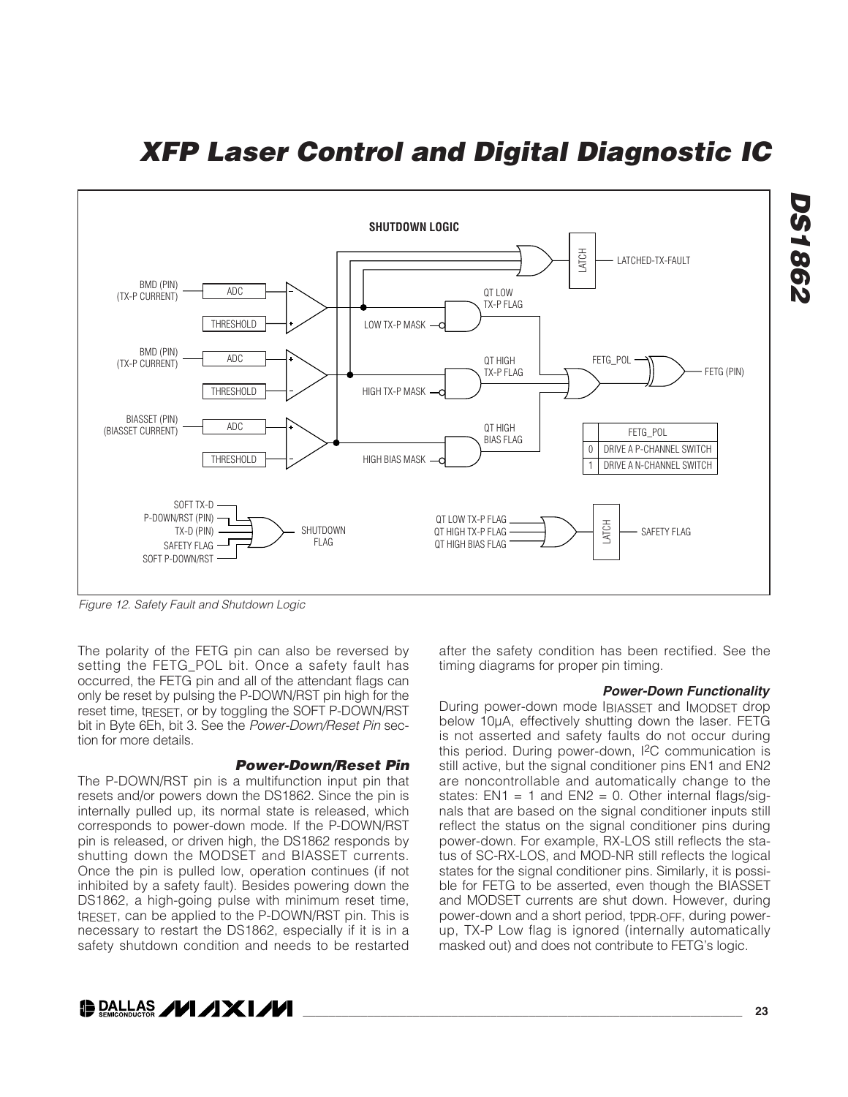

Figure 12. Safety Fault and Shutdown Logic

The polarity of the FETG pin can also be reversed by setting the FETG POL bit. Once a safety fault has occurred, the FETG pin and all of the attendant flags can only be reset by pulsing the P-DOWN/RST pin high for the reset time, tRESET, or by toggling the SOFT P-DOWN/RST bit in Byte 6Eh, bit 3. See the Power-Down/Reset Pin section for more details.

#### **Power-Down/Reset Pin**

The P-DOWN/RST pin is a multifunction input pin that resets and/or powers down the DS1862. Since the pin is internally pulled up, its normal state is released, which corresponds to power-down mode. If the P-DOWN/RST pin is released, or driven high, the DS1862 responds by shutting down the MODSET and BIASSET currents. Once the pin is pulled low, operation continues (if not inhibited by a safety fault). Besides powering down the DS1862, a high-going pulse with minimum reset time, tRESET, can be applied to the P-DOWN/RST pin. This is necessary to restart the DS1862, especially if it is in a safety shutdown condition and needs to be restarted

#### after the safety condition has been rectified. See the timing diagrams for proper pin timing.

#### **Power-Down Functionality**

During power-down mode IBIASSET and IMODSET drop below 10μA, effectively shutting down the laser. FETG is not asserted and safety faults do not occur during this period. During power-down, I2C communication is still active, but the signal conditioner pins EN1 and EN2 are noncontrollable and automatically change to the states:  $EN1 = 1$  and  $EN2 = 0$ . Other internal flags/signals that are based on the signal conditioner inputs still reflect the status on the signal conditioner pins during power-down. For example, RX-LOS still reflects the status of SC-RX-LOS, and MOD-NR still reflects the logical states for the signal conditioner pins. Similarly, it is possible for FETG to be asserted, even though the BIASSET and MODSET currents are shut down. However, during power-down and a short period, tppR-OFF, during powerup, TX-P Low flag is ignored (internally automatically masked out) and does not contribute to FETG's logic.

**DALLAS /VI /IXI/VI** 

**DS1862**

**DS1862**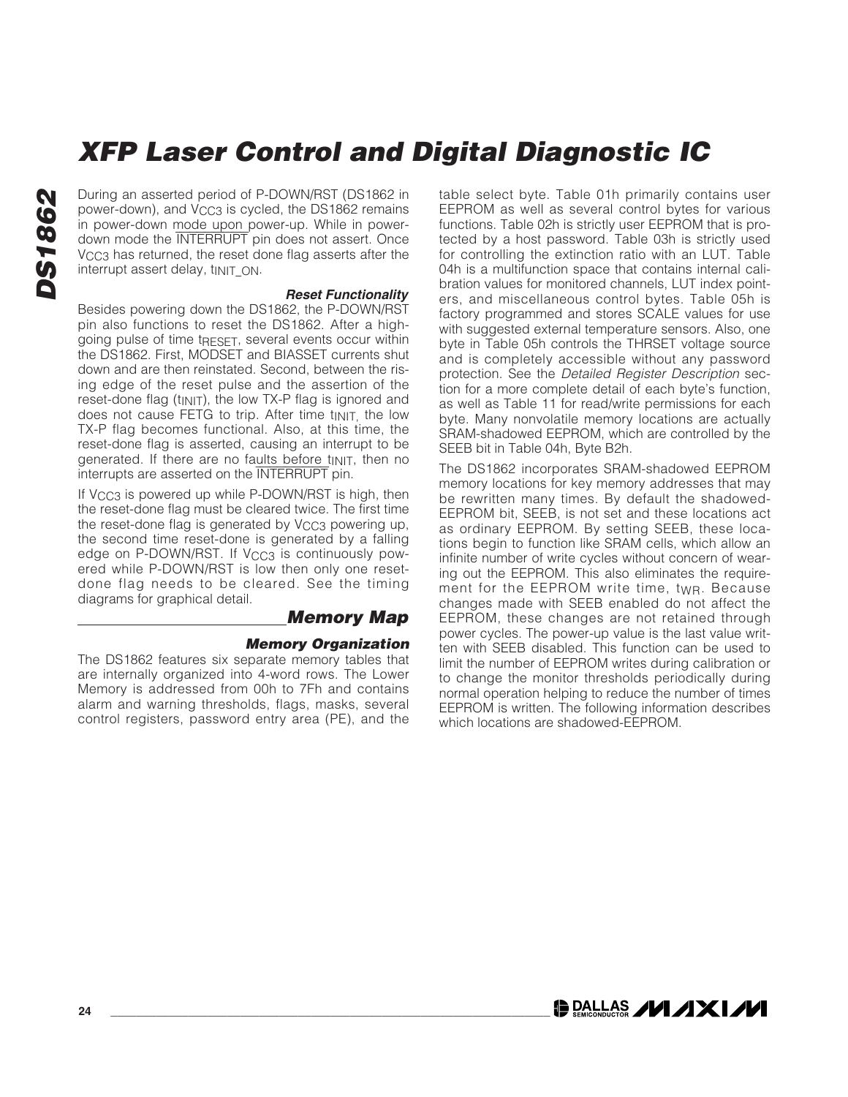During an asserted period of P-DOWN/RST (DS1862 in power-down), and V<sub>CC3</sub> is cycled, the DS1862 remains in power-down mode upon power-up. While in powerdown mode the INTERRUPT pin does not assert. Once V<sub>CC3</sub> has returned, the reset done flag asserts after the interrupt assert delay, tinit ON.

#### **Reset Functionality**

Besides powering down the DS1862, the P-DOWN/RST pin also functions to reset the DS1862. After a highgoing pulse of time tRESET, several events occur within the DS1862. First, MODSET and BIASSET currents shut down and are then reinstated. Second, between the rising edge of the reset pulse and the assertion of the reset-done flag (tINIT), the low TX-P flag is ignored and does not cause FETG to trip. After time t<sub>INIT,</sub> the low TX-P flag becomes functional. Also, at this time, the reset-done flag is asserted, causing an interrupt to be generated. If there are no faults before  $t_{\text{INIT}}$ , then no interrupts are asserted on the INTERRUPT pin.

If  $V_{CC3}$  is powered up while P-DOWN/RST is high, then the reset-done flag must be cleared twice. The first time the reset-done flag is generated by V<sub>CC3</sub> powering up, the second time reset-done is generated by a falling edge on P-DOWN/RST. If V<sub>CC3</sub> is continuously powered while P-DOWN/RST is low then only one resetdone flag needs to be cleared. See the timing diagrams for graphical detail.

#### **Memory Map**

#### **Memory Organization**

The DS1862 features six separate memory tables that are internally organized into 4-word rows. The Lower Memory is addressed from 00h to 7Fh and contains alarm and warning thresholds, flags, masks, several control registers, password entry area (PE), and the table select byte. Table 01h primarily contains user EEPROM as well as several control bytes for various functions. Table 02h is strictly user EEPROM that is protected by a host password. Table 03h is strictly used for controlling the extinction ratio with an LUT. Table 04h is a multifunction space that contains internal calibration values for monitored channels, LUT index pointers, and miscellaneous control bytes. Table 05h is factory programmed and stores SCALE values for use with suggested external temperature sensors. Also, one byte in Table 05h controls the THRSET voltage source and is completely accessible without any password protection. See the Detailed Register Description section for a more complete detail of each byte's function, as well as Table 11 for read/write permissions for each byte. Many nonvolatile memory locations are actually SRAM-shadowed EEPROM, which are controlled by the SEEB bit in Table 04h, Byte B2h.

The DS1862 incorporates SRAM-shadowed EEPROM memory locations for key memory addresses that may be rewritten many times. By default the shadowed-EEPROM bit, SEEB, is not set and these locations act as ordinary EEPROM. By setting SEEB, these locations begin to function like SRAM cells, which allow an infinite number of write cycles without concern of wearing out the EEPROM. This also eliminates the requirement for the EEPROM write time, tWR. Because changes made with SEEB enabled do not affect the EEPROM, these changes are not retained through power cycles. The power-up value is the last value written with SEEB disabled. This function can be used to limit the number of EEPROM writes during calibration or to change the monitor thresholds periodically during normal operation helping to reduce the number of times EEPROM is written. The following information describes which locations are shadowed-EEPROM.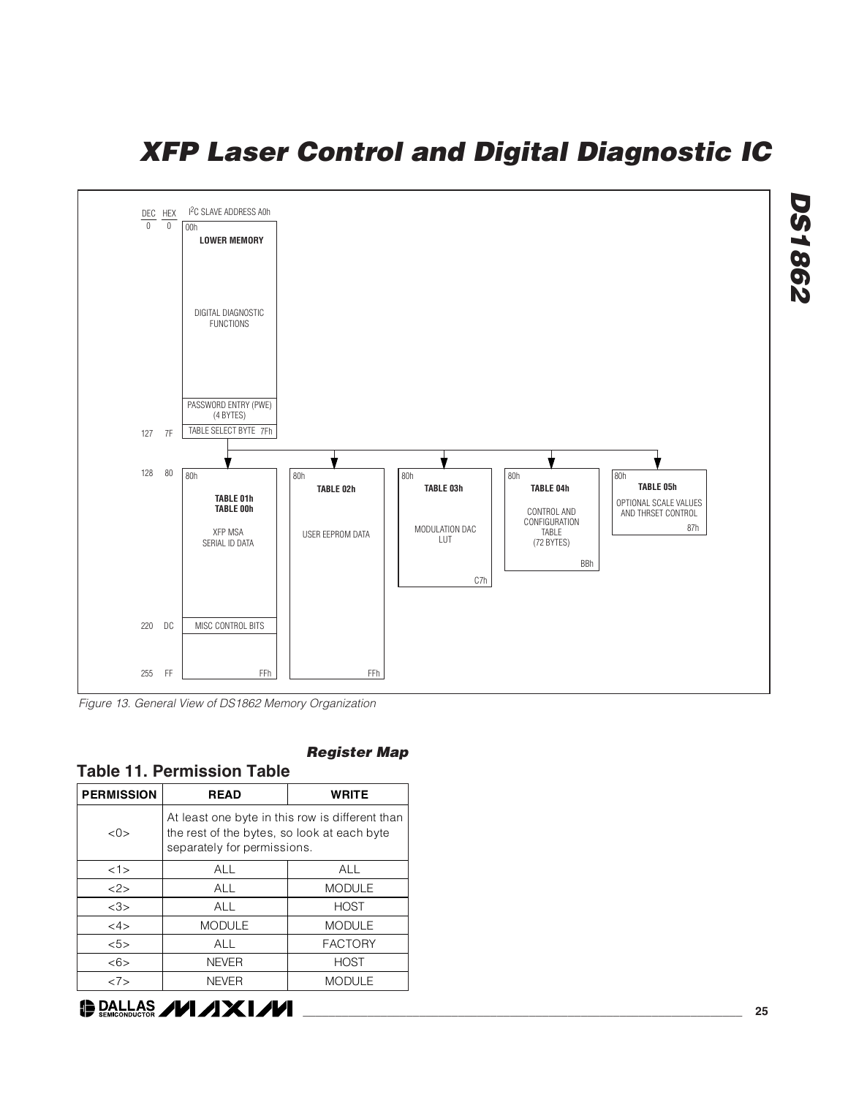

Figure 13. General View of DS1862 Memory Organization

| <b>Table 11. Permission Table</b> |                                                                                                                               |                |  |  |  |  |  |  |  |  |
|-----------------------------------|-------------------------------------------------------------------------------------------------------------------------------|----------------|--|--|--|--|--|--|--|--|
| <b>PERMISSION</b>                 | <b>READ</b>                                                                                                                   | <b>WRITE</b>   |  |  |  |  |  |  |  |  |
| $<\Omega>$                        | At least one byte in this row is different than<br>the rest of the bytes, so look at each byte<br>separately for permissions. |                |  |  |  |  |  |  |  |  |
| <1>                               | ALL                                                                                                                           | <b>ALL</b>     |  |  |  |  |  |  |  |  |
| 2>                                | ALL                                                                                                                           | <b>MODULE</b>  |  |  |  |  |  |  |  |  |
| <3>                               | ALL                                                                                                                           | <b>HOST</b>    |  |  |  |  |  |  |  |  |
| <4>                               | <b>MODULE</b>                                                                                                                 | <b>MODULE</b>  |  |  |  |  |  |  |  |  |
| 55>                               | ALL                                                                                                                           | <b>FACTORY</b> |  |  |  |  |  |  |  |  |
| <6>                               | <b>NEVER</b>                                                                                                                  | <b>HOST</b>    |  |  |  |  |  |  |  |  |
| 27>                               | <b>NEVER</b><br><b>MODULE</b>                                                                                                 |                |  |  |  |  |  |  |  |  |

#### **Register Map**



**\_\_\_\_\_\_\_\_\_\_\_\_\_\_\_\_\_\_\_\_\_\_\_\_\_\_\_\_\_\_\_\_\_\_\_\_\_\_\_\_\_\_\_\_\_\_\_\_\_\_\_\_\_\_\_\_\_\_\_\_\_\_\_\_\_\_\_\_ 25**

**DS1862**

**DS1862**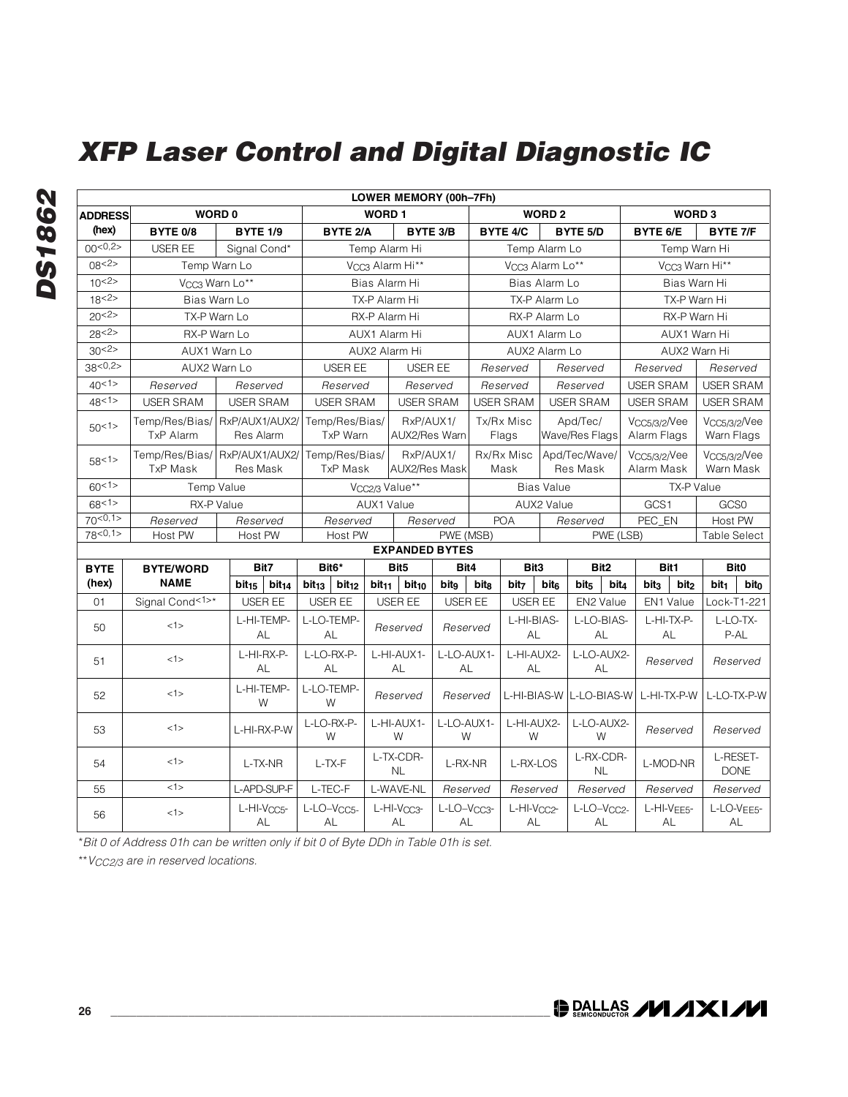|                 |                  |                                                  |                                        |                   | LOWER MEMORY (00h-7Fh)        |                               |                               |                             |                  |                               |                  |                                   |                            |                                        |                  |  |
|-----------------|------------------|--------------------------------------------------|----------------------------------------|-------------------|-------------------------------|-------------------------------|-------------------------------|-----------------------------|------------------|-------------------------------|------------------|-----------------------------------|----------------------------|----------------------------------------|------------------|--|
| <b>ADDRESS</b>  |                  | WORD 0                                           |                                        | <b>WORD1</b>      |                               |                               |                               |                             | <b>WORD 2</b>    |                               |                  | WORD <sub>3</sub>                 |                            |                                        |                  |  |
| (hex)           | BYTE 0/8         | <b>BYTE 1/9</b>                                  | <b>BYTE 2/A</b>                        |                   |                               | BYTE 3/B                      |                               | <b>BYTE 4/C</b>             |                  | <b>BYTE 5/D</b>               |                  |                                   | BYTE 6/E<br>BYTE 7/F       |                                        |                  |  |
| 00<0,2>         | <b>USER EE</b>   | Signal Cond*                                     |                                        |                   | Temp Alarm Hi                 |                               |                               | Temp Alarm Lo               |                  |                               |                  |                                   | Temp Warn Hi               |                                        |                  |  |
| 08 < 2 >        |                  | Temp Warn Lo                                     |                                        |                   | V <sub>CC3</sub> Alarm Hi**   |                               |                               | V <sub>CC3</sub> Alarm Lo** |                  |                               |                  |                                   | V <sub>CC3</sub> Warn Hi** |                                        |                  |  |
| 10<2>           |                  | V <sub>CC3</sub> Warn Lo**                       |                                        |                   | Bias Alarm Hi                 |                               |                               |                             | Bias Alarm Lo    |                               |                  | Bias Warn Hi                      |                            |                                        |                  |  |
| 18 <sup>2</sup> |                  | Bias Warn Lo                                     |                                        |                   | TX-P Alarm Hi                 |                               |                               |                             | TX-P Alarm Lo    |                               |                  | TX-P Warn Hi                      |                            |                                        |                  |  |
| $20{2>}$        |                  | TX-P Warn Lo                                     |                                        |                   | RX-P Alarm Hi                 |                               |                               |                             | RX-P Alarm Lo    |                               |                  | RX-P Warn Hi                      |                            |                                        |                  |  |
| 28 < 2 >        |                  | RX-P Warn Lo                                     |                                        |                   | AUX1 Alarm Hi                 |                               | AUX1 Alarm Lo                 |                             |                  |                               |                  |                                   | AUX1 Warn Hi               |                                        |                  |  |
| 30<2>           |                  | AUX1 Warn Lo                                     |                                        |                   | AUX2 Alarm Hi                 |                               |                               | AUX2 Alarm Lo               |                  |                               |                  |                                   | AUX2 Warn Hi               |                                        |                  |  |
| 38<0.25         |                  | AUX2 Warn Lo                                     | USER EE                                |                   | <b>USER EE</b>                |                               |                               | Reserved                    |                  | Reserved                      |                  | Reserved                          |                            | Reserved                               |                  |  |
| 40<1>           | Reserved         | Reserved                                         | Reserved                               |                   | Reserved                      |                               |                               | Reserved                    |                  | Reserved                      |                  | <b>USER SRAM</b>                  |                            | <b>USER SRAM</b>                       |                  |  |
| 48<1>           | <b>USER SRAM</b> | <b>USER SRAM</b>                                 | <b>USER SRAM</b>                       |                   |                               | <b>USER SRAM</b>              |                               | <b>USER SRAM</b>            |                  | <b>USER SRAM</b>              |                  | <b>USER SRAM</b>                  |                            | <b>USER SRAM</b>                       |                  |  |
| 50<1>           | <b>TxP Alarm</b> | Temp/Res/Bias/ RxP/AUX1/AUX2/<br>Res Alarm       | Temp/Res/Bias/<br>TxP Warn             |                   |                               | RxP/AUX1/<br>AUX2/Res Warn    |                               | Tx/Rx Misc<br>Flags         |                  | Apd/Tec/<br>Wave/Res Flags    |                  | $V_{CC5/3/2}$ /Vee<br>Alarm Flags |                            | $V_{CC5/3/2}/Vee$<br>Warn Flags        |                  |  |
| 58<1>           | <b>TxP Mask</b>  | Temp/Res/Bias/ RxP/AUX1/AUX2/<br><b>Res Mask</b> | Temp/Res/Bias/<br>TxP Mask             |                   |                               | RxP/AUX1/<br>AUX2/Res Mask    |                               | Rx/Rx Misc<br>Mask          |                  | Apd/Tec/Wave/<br>Res Mask     |                  | $V_{CC5/3/2}/Vee$<br>Alarm Mask   |                            | V <sub>CC5/3/2</sub> /Vee<br>Warn Mask |                  |  |
| 60<1>           |                  | Temp Value                                       |                                        |                   | V <sub>CC2/3</sub> Value**    |                               |                               |                             |                  | <b>Bias Value</b>             |                  |                                   |                            | TX-P Value                             |                  |  |
| 68<1>           |                  | RX-P Value                                       |                                        |                   | AUX1 Value                    |                               |                               |                             | AUX2 Value       |                               |                  | GCS1                              |                            | GCS0                                   |                  |  |
| 70<0,1>         | Reserved         | Reserved                                         | Reserved                               |                   |                               | Reserved                      |                               | <b>POA</b>                  |                  | Reserved                      |                  | PEC_EN                            |                            | Host PW                                |                  |  |
| 78 < 0,1>       | Host PW          | Host PW                                          |                                        | Host PW           |                               | PWE (MSB)                     |                               |                             |                  |                               | PWE (LSB)        |                                   |                            | <b>Table Select</b>                    |                  |  |
|                 |                  |                                                  | <b>EXPANDED BYTES</b>                  |                   |                               |                               |                               |                             |                  |                               |                  |                                   |                            |                                        |                  |  |
| <b>BYTE</b>     | <b>BYTE/WORD</b> | Bit7                                             | Bit <sub>6</sub> *                     |                   | Bit <sub>5</sub>              |                               | Bit4                          | Bit3                        |                  | Bit <sub>2</sub>              |                  | Bit1                              |                            |                                        | Bit <sub>0</sub> |  |
| (hex)           | <b>NAME</b>      | bit <sub>15</sub><br>bit <sub>14</sub>           | bit <sub>13</sub><br>bit <sub>12</sub> | bit <sub>11</sub> | $bit_{10}$                    | bito                          | bitg                          | bit <sub>7</sub>            | bite             | bit <sub>5</sub>              | bit <sub>4</sub> | bit <sub>3</sub>                  | bit <sub>2</sub>           | bit <sub>1</sub>                       | bito             |  |
| 01              | Signal Cond<1>*  | USER EE                                          | USER EE                                |                   | <b>USER EE</b>                | <b>USER EE</b>                |                               | USER EE                     |                  |                               | EN2 Value        |                                   | EN1 Value                  |                                        | Lock-T1-221      |  |
| 50              | <1>              | L-HI-TEMP-<br>AL                                 | L-LO-TEMP-<br>AL                       |                   | Reserved                      | Reserved                      |                               | L-HI-BIAS-<br>AL            |                  |                               | L-LO-BIAS-<br>AL |                                   | L-HI-TX-P-<br>AL           |                                        | L-LO-TX-<br>P-AL |  |
| 51              | <1>              | L-HI-RX-P-<br>AL                                 | L-LO-RX-P-<br>AL                       |                   | L-HI-AUX1-<br>AL              | L-LO-AUX1-<br>AL              | L-HI-AUX2-<br>AL              |                             | L-LO-AUX2-<br>AL |                               |                  |                                   | Reserved                   |                                        | Reserved         |  |
| 52              | <1>              | L-HI-TEMP-<br>W                                  | L-LO-TEMP-<br>W                        |                   |                               | Reserved<br>Reserved          |                               |                             |                  | L-HI-BIAS-W LL-LO-BIAS-W      |                  |                                   | L-HI-TX-P-W                |                                        | L-LO-TX-P-W      |  |
| 53              | <1>              | L-HI-RX-P-W                                      | L-LO-RX-P-<br>W                        | L-HI-AUX1-        |                               | L-LO-AUX1-<br>W               |                               | L-HI-AUX2-<br>W             |                  |                               | L-LO-AUX2-<br>W  |                                   | Reserved                   |                                        | Reserved         |  |
| 54              | <1>              | L-TX-NR                                          | L-TX-F                                 | L-TX-CDR-         |                               | L-RX-NR                       | L-RX-LOS                      |                             | L-RX-CDR-<br>NL  |                               |                  |                                   | L-MOD-NR                   | L-RESET-<br><b>DONE</b>                |                  |  |
| 55              | <1>              | L-APD-SUP-F                                      | L-TEC-F                                |                   | L-WAVE-NL                     | Reserved                      |                               | Reserved                    |                  |                               | Reserved         |                                   | Reserved                   |                                        | Reserved         |  |
| 56              | <1>              | L-HI-V <sub>CC5</sub> -<br>AL                    | L-LO-Vcc5-<br>AL                       |                   | L-HI-V <sub>CC3</sub> -<br>AL | L-LO-V <sub>CC3</sub> -<br>AL | L-HI-V <sub>CC2</sub> -<br>AL |                             |                  | L-LO-V <sub>CC2</sub> -<br>AL |                  | L-HI-VEE5-<br>AL                  |                            |                                        | L-LO-VEE5-<br>AL |  |

\*Bit 0 of Address 01h can be written only if bit 0 of Byte DDh in Table 01h is set.

\*\* V<sub>CC2/3</sub> are in reserved locations.

DS1862 **DS1862**

O DALLAS **/VI /IXI/VI**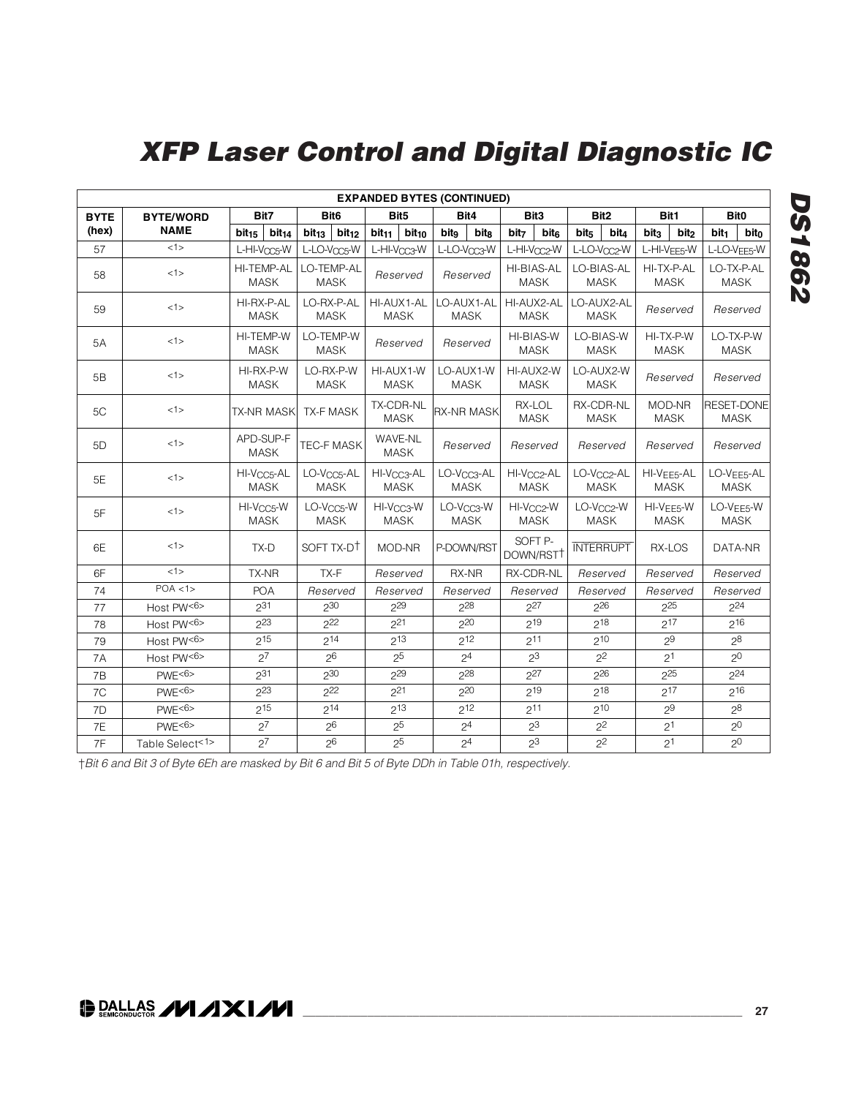| <b>EXPANDED BYTES (CONTINUED)</b> |                  |                          |                           |                   |                                        |                                       |                                        |                      |                                        |                          |                          |                  |                                        |                  |                                        |                          |                                        |  |                       |                   |             |
|-----------------------------------|------------------|--------------------------|---------------------------|-------------------|----------------------------------------|---------------------------------------|----------------------------------------|----------------------|----------------------------------------|--------------------------|--------------------------|------------------|----------------------------------------|------------------|----------------------------------------|--------------------------|----------------------------------------|--|-----------------------|-------------------|-------------|
| <b>BYTE</b>                       | <b>BYTE/WORD</b> |                          | Bit7                      |                   | Bit <sub>6</sub>                       |                                       | Bit5                                   |                      | Bit4                                   |                          | Bit <sub>3</sub>         |                  | Bit <sub>2</sub>                       |                  | Bit1                                   |                          | Bit <sub>0</sub>                       |  |                       |                   |             |
| (hex)                             | <b>NAME</b>      | bit <sub>15</sub>        | bit <sub>14</sub>         | bit <sub>13</sub> | bit <sub>12</sub>                      | bit <sub>11</sub>                     | $bit_{10}$                             | bitg                 | <b>bitg</b>                            | bit <sub>7</sub>         | bit <sub>6</sub>         | bit <sub>5</sub> | bit <sub>4</sub>                       | bit <sub>3</sub> | bit <sub>2</sub>                       | bit <sub>1</sub>         | bit <sub>0</sub>                       |  |                       |                   |             |
| 57                                | <1>              | L-HI-V <sub>CC5</sub> -W |                           |                   | L-LO-Vocs-W                            |                                       | L-HI-V <sub>CC3</sub> -W               |                      | L-LO-V <sub>CC3</sub> -W               | L-HI-V <sub>CC2</sub> -W |                          |                  | L-LO-Vac2-W                            |                  | L-HI-VFF5-W                            | L-LO-V <sub>EE5</sub> -W |                                        |  |                       |                   |             |
| 58                                | <1>              |                          | HI-TEMP-AL<br><b>MASK</b> |                   | LO-TEMP-AL<br><b>MASK</b>              |                                       | Reserved                               |                      | Reserved                               | HI-BIAS-AL               | <b>MASK</b>              |                  | LO-BIAS-AL<br><b>MASK</b>              |                  | HI-TX-P-AL<br><b>MASK</b>              |                          | LO-TX-P-AL<br><b>MASK</b>              |  |                       |                   |             |
| 59                                | <1>              | HI-RX-P-AL               | <b>MASK</b>               |                   | LO-RX-P-AL<br><b>MASK</b>              |                                       | HI-AUX1-AL<br><b>MASK</b>              |                      | LO-AUX1-AL<br><b>MASK</b>              | HI-AUX2-AL               | <b>MASK</b>              |                  | LO-AUX2-AL<br><b>MASK</b>              | Reserved         |                                        |                          | Reserved                               |  |                       |                   |             |
| 5A                                | <1>              | HI-TEMP-W                | <b>MASK</b>               |                   | LO-TEMP-W<br><b>MASK</b>               | Reserved                              |                                        |                      | Reserved                               |                          | HI-BIAS-W<br><b>MASK</b> |                  | LO-BIAS-W<br><b>MASK</b>               |                  | HI-TX-P-W<br><b>MASK</b>               |                          | LO-TX-P-W<br><b>MASK</b>               |  |                       |                   |             |
| 5B                                | <1>              | HI-RX-P-W                | <b>MASK</b>               |                   | LO-RX-P-W<br><b>MASK</b>               | HI-AUX1-W                             | <b>MASK</b>                            | LO-AUX1-W            | <b>MASK</b>                            | HI-AUX2-W                | <b>MASK</b>              |                  | LO-AUX2-W<br><b>MASK</b>               |                  | Reserved                               |                          | Reserved                               |  |                       |                   |             |
| 5C                                | <1>              |                          | <b>TX-NR MASK</b>         |                   | <b>TX-F MASK</b>                       |                                       | TX-CDR-NL<br><b>MASK</b>               |                      | <b>RX-NR MASK</b>                      |                          | RX-LOL<br><b>MASK</b>    |                  |                                        |                  |                                        |                          | RX-CDR-NL<br><b>MASK</b>               |  | MOD-NR<br><b>MASK</b> | <b>RESET-DONE</b> | <b>MASK</b> |
| 5D                                | <1>              | APD-SUP-F                | <b>MASK</b>               |                   | TEC-F MASK                             |                                       | WAVE-NL<br><b>MASK</b>                 |                      | Reserved                               |                          | Reserved                 |                  | Reserved                               | Reserved         |                                        |                          | Reserved                               |  |                       |                   |             |
| 5E                                | <1>              | HI-V <sub>CC5</sub> -AL  | <b>MASK</b>               |                   | LO-V <sub>CC5</sub> -AL<br><b>MASK</b> |                                       | HI-V <sub>CC3</sub> -AL<br><b>MASK</b> |                      | LO-V <sub>CC3</sub> -AL<br><b>MASK</b> | HI-V <sub>CC2</sub> -AL  | <b>MASK</b>              |                  | LO-V <sub>CC2</sub> -AL<br><b>MASK</b> |                  | HI-V <sub>EE5</sub> -AL<br><b>MASK</b> |                          | LO-V <sub>EE5</sub> -AL<br><b>MASK</b> |  |                       |                   |             |
| 5F                                | 1>               | HI-V <sub>CC5</sub> -W   | <b>MASK</b>               |                   | LO-V <sub>CC5</sub> -W<br><b>MASK</b>  | HI-V <sub>CC3</sub> -W<br><b>MASK</b> |                                        |                      | LO-V <sub>CC3</sub> -W<br><b>MASK</b>  | HI-V <sub>CC2</sub> -W   | <b>MASK</b>              |                  | LO-V <sub>CC2</sub> -W<br><b>MASK</b>  |                  | HI-V <sub>EE5</sub> -W<br><b>MASK</b>  |                          | LO-V <sub>FF5</sub> -W<br><b>MASK</b>  |  |                       |                   |             |
| 6E                                | <1>              | TX-D                     |                           |                   | SOFT TX-DT                             |                                       | MOD-NR                                 | P-DOWN/RST           |                                        | DOWN/RSTT                | SOFT <sub>P-</sub>       | <b>INTERRUPT</b> |                                        |                  | RX-LOS                                 | DATA-NR                  |                                        |  |                       |                   |             |
| 6F                                | 1>               |                          | <b>TX-NR</b>              |                   | TX-F                                   |                                       | Reserved                               |                      | RX-NR                                  | <b>RX-CDR-NL</b>         |                          |                  | Reserved                               |                  | Reserved                               |                          | Reserved                               |  |                       |                   |             |
| 74                                | POA < 1          |                          | <b>POA</b>                |                   | Reserved                               |                                       | Reserved                               |                      | Reserved                               |                          | Reserved                 |                  | Reserved                               |                  | Reserved                               |                          | Reserved                               |  |                       |                   |             |
| 77                                | Host PW<6>       | 231                      |                           |                   | 230                                    |                                       | 229                                    |                      | 228                                    | $2^{27}$                 |                          |                  | 226                                    |                  | 225                                    |                          | 224                                    |  |                       |                   |             |
| 78                                | Host PW<6>       | 2 <sup>23</sup>          |                           |                   | 222                                    |                                       | 2 <sup>21</sup>                        | 220                  |                                        | $2^{19}$                 |                          |                  | 218                                    |                  | $2^{17}$                               |                          | $2^{16}$                               |  |                       |                   |             |
| 79                                | Host PW<6>       |                          | $2^{15}$                  |                   | $2^{14}$                               |                                       | 2 <sup>13</sup>                        |                      | $2^{12}$                               | $2^{11}$                 |                          |                  | $2^{10}$                               |                  | 2 <sup>9</sup>                         |                          | $\overline{2^8}$                       |  |                       |                   |             |
| 7A                                | Host PW<6>       |                          | $2^7$                     |                   | 2 <sup>6</sup>                         |                                       | 2 <sup>5</sup>                         |                      | 2 <sup>4</sup>                         | 2 <sup>3</sup>           |                          | 2 <sup>2</sup>   |                                        |                  | 2 <sup>1</sup>                         |                          | 2 <sup>0</sup>                         |  |                       |                   |             |
| 7B                                | PWE<6            | $2^{31}$                 |                           |                   | $2^{30}$                               |                                       | $2^{29}$                               | 228                  |                                        | $2^{27}$                 | $2^{26}$                 |                  |                                        | $2^{25}$         |                                        | $2^{24}$                 |                                        |  |                       |                   |             |
| 7C                                | PWE<6            | 223                      |                           |                   | 222                                    |                                       | 221                                    | 220                  |                                        | 219                      |                          | $2^{18}$         |                                        | $2^{17}$         |                                        |                          | 216                                    |  |                       |                   |             |
| 7D                                | PWE<6            | $2^{15}$                 |                           |                   | $2^{14}$                               |                                       | $2^{13}$                               | $2^{12}$<br>$2^{11}$ |                                        |                          | $2^{10}$                 |                  | $2^9$                                  |                  | $2^8$                                  |                          |                                        |  |                       |                   |             |
| 7E                                | PWE<6            |                          | $2^7$                     |                   | 2 <sup>6</sup>                         |                                       | 2 <sup>5</sup>                         |                      | 2 <sup>4</sup>                         | $2^3$                    |                          |                  | 2 <sup>2</sup>                         |                  | 2 <sup>1</sup>                         |                          | 2 <sup>0</sup>                         |  |                       |                   |             |
| 7F                                | Table Select<1>  |                          | 2 <sup>7</sup>            |                   | 2 <sup>6</sup>                         |                                       | 2 <sup>5</sup>                         |                      | 2 <sup>4</sup>                         |                          | 2 <sup>3</sup>           | 2 <sup>2</sup>   |                                        |                  | 2 <sup>1</sup>                         |                          | 2 <sup>0</sup>                         |  |                       |                   |             |

†Bit 6 and Bit 3 of Byte 6Eh are masked by Bit 6 and Bit 5 of Byte DDh in Table 01h, respectively.

**DALLAS /VI/IXI/VI**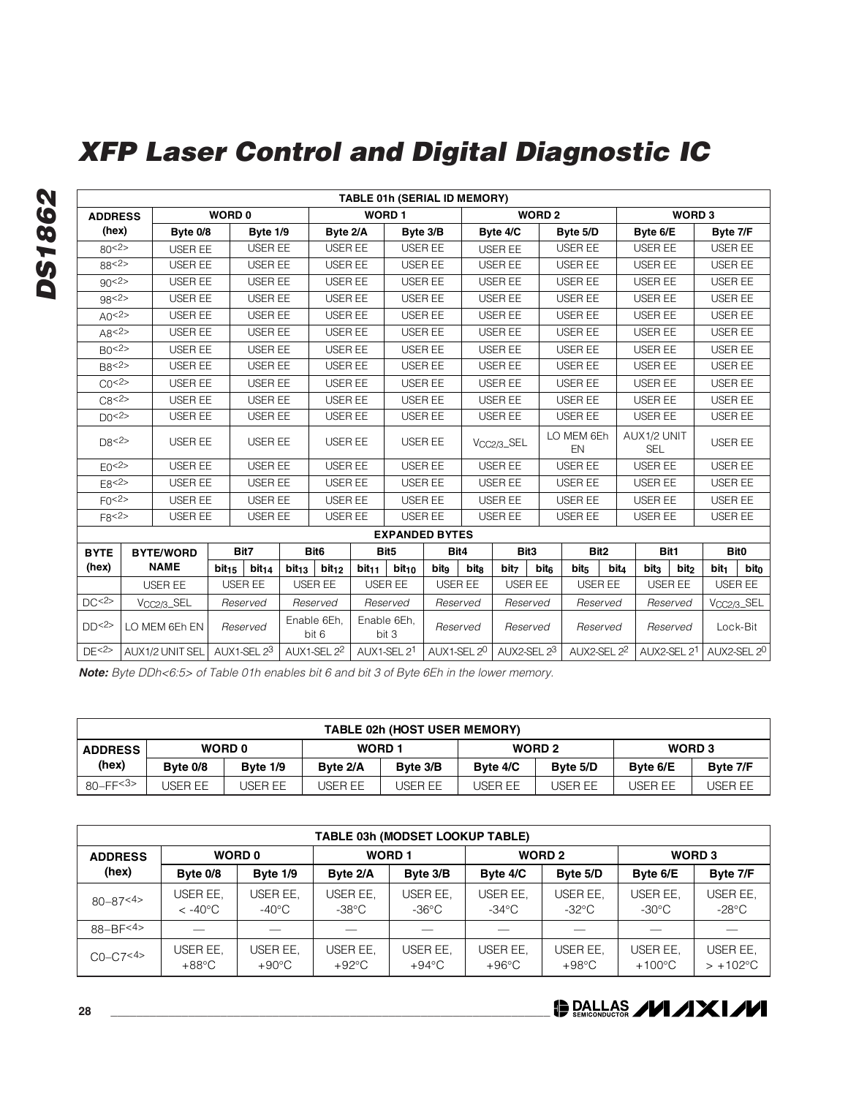|                    |                         |                   |                   |                                        |                      |                   | <b>TABLE 01h (SERIAL ID MEMORY)</b> |                |                |                         |               |                  |                  |                           |                   |                  |                         |  |
|--------------------|-------------------------|-------------------|-------------------|----------------------------------------|----------------------|-------------------|-------------------------------------|----------------|----------------|-------------------------|---------------|------------------|------------------|---------------------------|-------------------|------------------|-------------------------|--|
| <b>ADDRESS</b>     |                         | <b>WORD 0</b>     |                   |                                        |                      |                   | <b>WORD1</b>                        |                |                |                         | <b>WORD 2</b> |                  |                  |                           | WORD <sub>3</sub> |                  |                         |  |
| (hex)              | Byte 0/8                |                   | Byte 1/9          |                                        | Byte 2/A             |                   |                                     | Byte 3/B       |                | Byte 4/C                |               | Byte 5/D         |                  | Byte 6/E                  |                   | Byte 7/F         |                         |  |
| 80<2>              | <b>USER EE</b>          |                   | USER EE           |                                        | USER EE              |                   | USER EE                             |                | <b>USER EE</b> |                         |               | USER EE          |                  | USER EE                   |                   | USER EE          |                         |  |
| 88 < 2>            | USER EE                 |                   | <b>USER EE</b>    |                                        | USER EE              |                   |                                     | USER EE        |                | <b>USER EE</b>          |               | USER EE          |                  | USER EE                   |                   | USER EE          |                         |  |
| 90 < 2 >           | <b>USER EE</b>          |                   | USER EE           |                                        | USER EE              |                   |                                     | <b>USER EE</b> |                | <b>USER EE</b>          |               | <b>USER EE</b>   |                  | <b>USER EE</b>            |                   | <b>USER EE</b>   |                         |  |
| 98 < 2 >           | <b>USER EE</b>          |                   | <b>USER EE</b>    |                                        | USER EE              |                   |                                     | USER EE        |                | USER EE                 |               | <b>USER EE</b>   |                  | USER EE                   |                   | USER EE          |                         |  |
| AO < 2 >           | <b>USER EE</b>          |                   | <b>USER EE</b>    |                                        | USER EE              |                   |                                     | USER EE        |                | <b>USER EE</b>          |               | <b>USER EE</b>   |                  | <b>USER EE</b>            |                   | <b>USER EE</b>   |                         |  |
| A8<2>              | <b>USER EE</b>          |                   | <b>USER EE</b>    |                                        | USER EE              |                   |                                     | <b>USER EE</b> |                | <b>USER EE</b>          |               | <b>USER EE</b>   |                  | <b>USER EE</b>            |                   | <b>USER EE</b>   |                         |  |
| B0<2>              | USER EE                 |                   | <b>USER EE</b>    |                                        | USER EE              |                   |                                     | <b>USER EE</b> |                | <b>USER EE</b>          |               | <b>USER EE</b>   |                  | USER EE                   |                   | <b>USER EE</b>   |                         |  |
| B8 <sub>2</sub>    | USER EE                 |                   | <b>USER EE</b>    |                                        | <b>USER EE</b>       |                   |                                     | USER EE        |                | <b>USER EE</b>          |               | <b>USER EE</b>   |                  | USER EE                   |                   | USER EE          |                         |  |
| C <sub>0</sub> <2> | <b>USER EE</b>          |                   | <b>USER EE</b>    |                                        | USER EE              |                   |                                     | <b>USER EE</b> |                | <b>USER EE</b>          |               | <b>USER EE</b>   | <b>USER EE</b>   |                           |                   | <b>USER EE</b>   |                         |  |
| C8 < 2 >           | USER EE                 |                   | <b>USER EE</b>    |                                        | <b>USER EE</b>       |                   |                                     | USER EE        |                | <b>USER EE</b>          |               | USER EE          |                  | USER EE                   |                   | USER EE          |                         |  |
| DO <sup>2</sup>    | <b>USER EE</b>          |                   | <b>USER EE</b>    |                                        | USER EE              |                   | USER EE                             |                |                | USER EE                 |               | USER EE          |                  | USER EE                   |                   | USER EE          |                         |  |
| DR < 2>            | USER EE                 |                   | <b>USER EE</b>    |                                        | USER EE              |                   |                                     | USER EE        |                | V <sub>CC2/3</sub> _SEL |               | LO MEM 6Eh<br>EN |                  | AUX1/2 UNIT<br><b>SEL</b> |                   | USER EE          |                         |  |
| E0 < 2>            | USER EE                 |                   | <b>USER EE</b>    |                                        | <b>USER EE</b>       |                   |                                     | <b>USER EE</b> |                | USER EE                 |               | <b>USER EE</b>   |                  | USER EE                   |                   | USER EE          |                         |  |
| E8 < 2 >           | <b>USER EE</b>          |                   | <b>USER EE</b>    |                                        | USER EE              |                   | USER EE                             |                |                | USER EE                 |               | <b>USER EE</b>   |                  | USER EE                   |                   | USER EE          |                         |  |
| F() < 2>           | USER EE                 |                   | <b>USER EE</b>    |                                        | USER EE              |                   | USER EE                             |                |                | <b>USER EE</b>          |               | USER EE          |                  | USER EE                   |                   | USER EE          |                         |  |
| F8 < 2 >           | USER EE                 |                   | USER EE           |                                        | USER EE              |                   |                                     | USER EE        |                | USER EE                 |               | USER EE          |                  | USER EE                   |                   | USER EE          |                         |  |
|                    |                         |                   |                   |                                        |                      |                   | <b>EXPANDED BYTES</b>               |                |                |                         |               |                  |                  |                           |                   |                  |                         |  |
| <b>BYTE</b>        | <b>BYTE/WORD</b>        |                   | Bit7              |                                        | Bit <sub>6</sub>     |                   | Bit <sub>5</sub>                    | Bit4           |                | Bit3                    |               |                  | Bit <sub>2</sub> |                           | Bit1              |                  | Bit <sub>0</sub>        |  |
| (hex)              | <b>NAME</b>             | bit <sub>15</sub> | bit <sub>14</sub> | bit <sub>13</sub><br>bit <sub>12</sub> |                      | bit <sub>11</sub> | bit <sub>10</sub>                   | bitg           | bitg           | bit <sub>7</sub>        | bite          | bit <sub>5</sub> | bit <sub>4</sub> | bit <sub>3</sub>          | bit <sub>2</sub>  | bit <sub>1</sub> | bito                    |  |
|                    | USER EE                 |                   | USER EE           |                                        | USER EE              |                   | USER EE                             | USER EE        |                | USER EE                 |               |                  | USER EE          |                           | USER EE           |                  | USER EE                 |  |
| DC < 2>            | V <sub>CC2/3</sub> _SEL |                   | Reserved          |                                        | Reserved             |                   | Reserved                            |                | Reserved       | Reserved                |               |                  | Reserved         |                           | Reserved          |                  | V <sub>CC2/3</sub> _SEL |  |
| DD<2>              | LO MEM 6Eh EN           |                   | Reserved          |                                        | Enable 6Eh,<br>bit 6 |                   | Enable 6Eh,<br>bit 3                |                | Reserved       |                         | Reserved      | Reserved         |                  |                           | Reserved          |                  | Lock-Bit                |  |
| DE < 2>            | AUX1/2 UNIT SEL         |                   | AUX1-SEL 23       |                                        | AUX1-SEL 22          |                   | AUX1-SEL 21                         | AUX1-SEL 20    |                | AUX2-SEL 23             |               |                  | AUX2-SEL 22      |                           | AUX2-SEL 21       |                  | AUX2-SEL 20             |  |

**Note:** Byte DDh<6:5> of Table 01h enables bit 6 and bit 3 of Byte 6Eh in the lower memory.

|                | <b>TABLE 02h (HOST USER MEMORY)</b>                                                                |          |               |          |                   |          |                   |          |  |  |  |  |  |  |
|----------------|----------------------------------------------------------------------------------------------------|----------|---------------|----------|-------------------|----------|-------------------|----------|--|--|--|--|--|--|
| <b>ADDRESS</b> | <b>WORD 0</b>                                                                                      |          | <b>WORD 1</b> |          | WORD <sub>2</sub> |          | WORD <sub>3</sub> |          |  |  |  |  |  |  |
| (hex)          | Byte 0/8                                                                                           | Byte 1/9 | Byte 2/A      | Byte 3/B | Byte 4/C          | Byte 5/D | Byte 6/E          | Byte 7/F |  |  |  |  |  |  |
| $80 - FF 3$    | JSER EE<br><b>JSER EE</b><br>USER EE<br>JSER EE<br>JSER EE<br>USER EE<br>USER EE<br><b>JSER EE</b> |          |               |          |                   |          |                   |          |  |  |  |  |  |  |

|                | <b>TABLE 03h (MODSET LOOKUP TABLE)</b> |                             |                             |                             |                             |                             |                              |                                |  |  |  |
|----------------|----------------------------------------|-----------------------------|-----------------------------|-----------------------------|-----------------------------|-----------------------------|------------------------------|--------------------------------|--|--|--|
| <b>ADDRESS</b> |                                        | <b>WORD 0</b>               |                             | <b>WORD1</b>                |                             | WORD <sub>2</sub>           | WORD <sub>3</sub>            |                                |  |  |  |
| (hex)          | Byte 0/8                               | Byte 1/9                    | Byte 2/A                    | Byte 3/B                    | Byte 4/C                    | Byte 5/D                    | Byte 6/E                     | Byte 7/F                       |  |  |  |
| $80 - 87 < 4$  | USER EE,<br>$< -40^{\circ}$ C          | USER EE,<br>-40°C           | USER EE,<br>-38°C           | USER EE,<br>$-36^{\circ}$ C | USER EE.<br>$-34^{\circ}$ C | USER EE.<br>$-32^{\circ}$ C | USER EE,<br>$-30^{\circ}$ C  | USER EE.<br>$-28\textdegree C$ |  |  |  |
| $88 - B = 4$   |                                        |                             |                             |                             |                             |                             |                              |                                |  |  |  |
| $CO - C7 < 4>$ | USER EE,<br>$+88^{\circ}$ C            | USER EE.<br>$+90^{\circ}$ C | USER EE,<br>$+92^{\circ}$ C | USER EE.<br>$+94^{\circ}$ C | USER EE.<br>$+96^{\circ}$ C | USER EE.<br>$+98^{\circ}$ C | USER EE,<br>$+100^{\circ}$ C | USER EE,<br>$> +102$ °C        |  |  |  |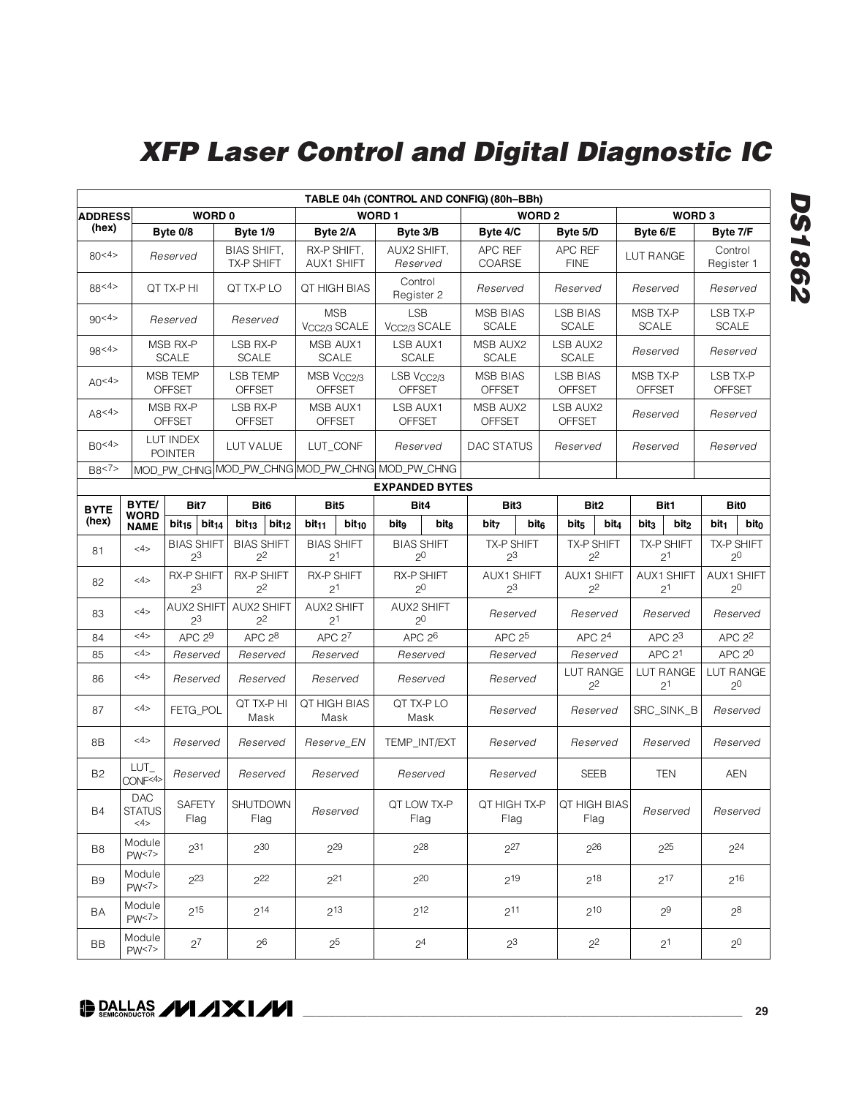| TABLE 04h (CONTROL AND CONFIG) (80h-BBh)                                              |                                                                                       |                                                 |                                  |                                     |                                        |                        |                       |                                         |                                     |                           |                                  |                                     |                           |                                     |                           |                              |  |                              |
|---------------------------------------------------------------------------------------|---------------------------------------------------------------------------------------|-------------------------------------------------|----------------------------------|-------------------------------------|----------------------------------------|------------------------|-----------------------|-----------------------------------------|-------------------------------------|---------------------------|----------------------------------|-------------------------------------|---------------------------|-------------------------------------|---------------------------|------------------------------|--|------------------------------|
| <b>WORD1</b><br><b>WORD 0</b><br><b>WORD 2</b><br>WORD <sub>3</sub><br><b>ADDRESS</b> |                                                                                       |                                                 |                                  |                                     |                                        |                        |                       |                                         |                                     |                           |                                  |                                     |                           |                                     |                           |                              |  |                              |
| (hex)                                                                                 |                                                                                       | Byte 0/8                                        | Byte 1/9                         |                                     | Byte 2/A                               |                        | Byte 3/B              |                                         | Byte 4/C                            |                           | Byte 5/D                         |                                     | Byte 6/E                  |                                     | Byte 7/F                  |                              |  |                              |
| 80<4>                                                                                 |                                                                                       | Reserved                                        | BIAS SHIFT,<br><b>TX-P SHIFT</b> |                                     | RX-P SHIFT,<br><b>AUX1 SHIFT</b>       |                        |                       | AUX2 SHIFT,<br>Reserved                 | APC REF<br>COARSE                   |                           | APC REF<br><b>FINE</b>           |                                     | LUT RANGE                 |                                     | Control<br>Register 1     |                              |  |                              |
| 88 <sup>4</sup>                                                                       |                                                                                       | QT TX-P HI                                      | QT TX-P LO                       |                                     |                                        | QT HIGH BIAS           |                       | Control<br>Register 2                   | Reserved                            |                           | Reserved                         |                                     | Reserved                  |                                     | Reserved                  |                              |  |                              |
| 90 <sub>4</sub>                                                                       |                                                                                       | Reserved                                        | Reserved                         |                                     | <b>MSB</b><br>V <sub>CC2/3</sub> SCALE |                        | <b>LSB</b>            | V <sub>CC2/3</sub> SCALE                | <b>MSB BIAS</b><br><b>SCALE</b>     |                           | <b>LSB BIAS</b><br>SCALE         |                                     | MSB TX-P<br><b>SCALE</b>  |                                     | LSB TX-P<br><b>SCALE</b>  |                              |  |                              |
| 98 <sup>4</sup>                                                                       |                                                                                       | MSB RX-P<br><b>SCALE</b>                        | LSB RX-P<br><b>SCALE</b>         |                                     | MSB AUX1                               | <b>SCALE</b>           |                       | LSB AUX1<br><b>SCALE</b>                | MSB AUX2<br><b>SCALE</b>            |                           | LSB AUX2<br><b>SCALE</b>         |                                     | Reserved                  |                                     | Reserved                  |                              |  |                              |
| AO < 4 >                                                                              |                                                                                       | <b>MSB TEMP</b><br><b>OFFSET</b>                | <b>LSB TEMP</b><br><b>OFFSET</b> |                                     | <b>OFFSET</b>                          | MSB V <sub>CC2/3</sub> |                       | LSB V <sub>CC2/3</sub><br><b>OFFSET</b> | MSB BIAS<br><b>OFFSET</b>           |                           | <b>LSB BIAS</b><br><b>OFFSET</b> |                                     | MSB TX-P<br><b>OFFSET</b> |                                     | LSB TX-P<br><b>OFFSET</b> |                              |  |                              |
| A8 < 4 >                                                                              |                                                                                       | MSB RX-P<br><b>OFFSET</b>                       | LSB RX-P<br><b>OFFSET</b>        |                                     | MSB AUX1<br><b>OFFSET</b>              |                        |                       | LSB AUX1<br><b>OFFSET</b>               |                                     | MSB AUX2<br><b>OFFSET</b> |                                  | LSB AUX2<br><b>OFFSET</b>           | Reserved                  |                                     | Reserved                  |                              |  |                              |
| BO <sup>4</sup>                                                                       |                                                                                       | LUT INDEX<br>LUT VALUE<br><b>POINTER</b>        |                                  |                                     |                                        | LUT_CONF               |                       | Reserved                                | DAC STATUS                          |                           | Reserved                         |                                     | Reserved                  |                                     | Reserved                  |                              |  |                              |
| B8 < 7                                                                                |                                                                                       | MOD_PW_CHNG MOD_PW_CHNG MOD_PW_CHNG MOD_PW_CHNG |                                  |                                     |                                        |                        |                       |                                         |                                     |                           |                                  |                                     |                           |                                     |                           |                              |  |                              |
|                                                                                       |                                                                                       |                                                 |                                  |                                     |                                        |                        | <b>EXPANDED BYTES</b> |                                         |                                     |                           |                                  |                                     |                           |                                     |                           |                              |  |                              |
| <b>BYTE</b>                                                                           | BYTE/<br><b>WORD</b>                                                                  | Bit7                                            |                                  | Bit <sub>6</sub>                    | Bit <sub>5</sub>                       |                        |                       | Bit4                                    | Bit <sub>3</sub>                    |                           |                                  | Bit <sub>2</sub>                    |                           | Bit1                                |                           | Bit <sub>0</sub>             |  |                              |
| (hex)                                                                                 | <b>NAME</b>                                                                           | $bit_{15}$<br>bit <sub>14</sub>                 | bit <sub>13</sub>                | bit <sub>12</sub>                   | bit <sub>11</sub>                      | $bit_{10}$             | bito                  | bit <sub>8</sub>                        | bit <sub>7</sub>                    | bit <sub>6</sub>          | bit <sub>5</sub>                 | bit4                                | bit <sub>3</sub>          | bit <sub>2</sub>                    | bit <sub>1</sub>          | bito                         |  |                              |
| 81                                                                                    | <4>                                                                                   | <b>BIAS SHIFT</b><br>2 <sup>3</sup>             |                                  | <b>BIAS SHIFT</b><br>$2^2$          | <b>BIAS SHIFT</b><br>2 <sup>1</sup>    |                        |                       | <b>BIAS SHIFT</b><br>2 <sup>0</sup>     | TX-P SHIFT<br>2 <sup>3</sup>        |                           |                                  | <b>TX-P SHIFT</b><br>$2^2$          |                           | TX-P SHIFT<br>2 <sup>1</sup>        |                           |                              |  | TX-P SHIFT<br>2 <sup>0</sup> |
| 82                                                                                    | 4 >                                                                                   | <b>RX-P SHIFT</b><br>2 <sup>3</sup>             |                                  | <b>RX-P SHIFT</b><br>2 <sup>2</sup> | <b>RX-P SHIFT</b><br>2 <sup>1</sup>    |                        |                       | <b>RX-P SHIFT</b><br>2 <sup>0</sup>     | <b>AUX1 SHIFT</b><br>2 <sup>3</sup> |                           |                                  | <b>AUX1 SHIFT</b><br>2 <sup>2</sup> |                           | <b>AUX1 SHIFT</b><br>2 <sup>1</sup> |                           | AUX1 SHIFT<br>2 <sup>0</sup> |  |                              |
| 83                                                                                    | 4 >                                                                                   | <b>AUX2 SHIFT</b><br>$2^3$                      |                                  | <b>AUX2 SHIFT</b><br>2 <sup>2</sup> | <b>AUX2 SHIFT</b><br>2 <sup>1</sup>    |                        |                       | <b>AUX2 SHIFT</b><br>2 <sup>0</sup>     |                                     | Reserved                  |                                  | Reserved                            |                           | Reserved                            |                           | Reserved                     |  |                              |
| 84                                                                                    | 4>                                                                                    | APC <sub>29</sub>                               |                                  | APC <sub>28</sub>                   | APC <sub>27</sub>                      |                        | APC 2 <sup>6</sup>    |                                         | APC 2 <sup>5</sup>                  |                           | APC <sub>24</sub>                |                                     |                           | APC <sub>23</sub>                   |                           | APC <sub>2</sub>             |  |                              |
| 85                                                                                    | 4 >                                                                                   | Reserved                                        |                                  | Reserved                            | Reserved                               |                        | Reserved              |                                         | Reserved                            |                           | Reserved                         |                                     |                           | APC <sub>21</sub>                   | APC <sub>20</sub>         |                              |  |                              |
| 86                                                                                    | <4>                                                                                   | Reserved                                        |                                  | Reserved                            | Reserved                               |                        | Reserved              |                                         | Reserved                            |                           | LUT RANGE<br>$2^2$               |                                     |                           | LUT RANGE<br>2 <sup>1</sup>         |                           | LUT RANGE<br>2 <sup>0</sup>  |  |                              |
| 87                                                                                    | <4>                                                                                   | FETG_POL                                        |                                  | QT TX-P HI<br>Mask                  | QT HIGH BIAS<br>Mask                   |                        |                       | QT TX-P LO<br>Mask                      | Reserved                            |                           |                                  | Reserved                            |                           | SRC_SINK_B                          |                           | Reserved                     |  |                              |
| 8B                                                                                    | <4>                                                                                   | Reserved                                        |                                  | Reserved                            | Reserve_EN                             |                        |                       | TEMP INT/EXT                            | Reserved                            |                           |                                  | Reserved                            |                           | Reserved                            |                           | Reserved                     |  |                              |
| B2                                                                                    | LUT_<br>CONF<4>                                                                       | Reserved                                        |                                  | Reserved                            | Reserved                               |                        |                       | Reserved                                | Reserved                            |                           |                                  | <b>SEEB</b>                         |                           | <b>TEN</b>                          |                           | <b>AEN</b>                   |  |                              |
| <b>B4</b>                                                                             | <b>DAC</b><br><b>SAFETY</b><br><b>SHUTDOWN</b><br><b>STATUS</b><br>Flag<br>Flag<br>4> |                                                 |                                  | Reserved                            |                                        | QT LOW TX-P<br>Flag    | QT HIGH TX-P<br>Flag  |                                         | <b>QT HIGH BIAS</b><br>Flag         |                           |                                  | Reserved                            |                           | Reserved                            |                           |                              |  |                              |
| B8                                                                                    | Module<br>231<br>$2^{29}$<br>230<br>PW<7>                                             |                                                 |                                  |                                     | $2^{28}$                               | $2^{27}$               |                       | 226                                     |                                     |                           | $2^{25}$                         |                                     | $2^{24}$                  |                                     |                           |                              |  |                              |
| B9                                                                                    | Module<br>223<br>222<br>PW<7>                                                         |                                                 | 221                              |                                     |                                        | $2^{20}$               | $2^{19}$              |                                         | 218                                 |                           | $2^{17}$                         |                                     | $2^{16}$                  |                                     |                           |                              |  |                              |
| BA                                                                                    | Module<br>$2^{15}$<br>$2^{14}$<br>PW<7>                                               |                                                 | $2^{13}$                         |                                     | $2^{12}$                               |                        | $2^{11}$              |                                         | $2^{10}$                            |                           | $2^9$                            |                                     | $2^8$                     |                                     |                           |                              |  |                              |
| Module<br>$2^7$<br>2 <sup>6</sup><br>BB<br>PW<7>                                      |                                                                                       |                                                 | $2^5$                            |                                     | 2 <sup>4</sup>                         |                        | $2^3$                 |                                         | $2^2$                               |                           | $2^{1}$                          |                                     | 2 <sup>0</sup>            |                                     |                           |                              |  |                              |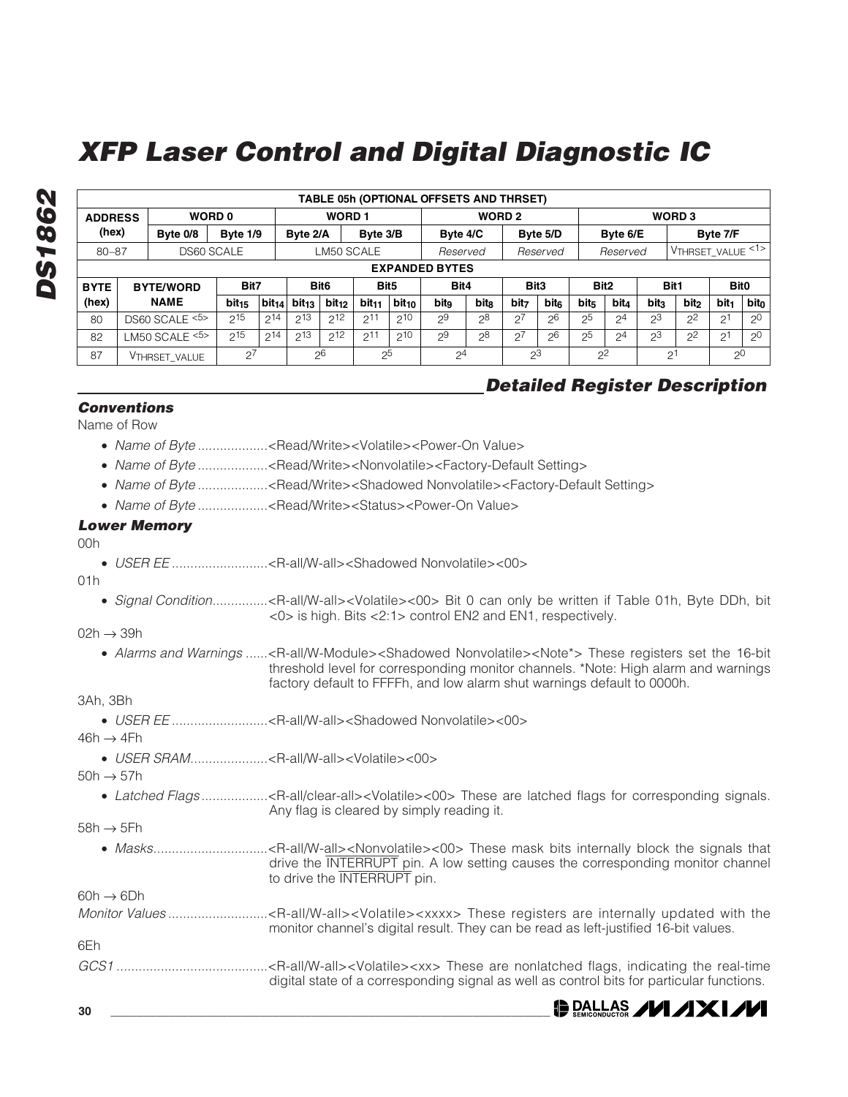|             | TABLE 05h (OPTIONAL OFFSETS AND THRSET)                                                        |                                 |                   |                                   |                                      |                   |                   |            |                          |       |                  |      |                  |                |                  |                  |                  |                  |
|-------------|------------------------------------------------------------------------------------------------|---------------------------------|-------------------|-----------------------------------|--------------------------------------|-------------------|-------------------|------------|--------------------------|-------|------------------|------|------------------|----------------|------------------|------------------|------------------|------------------|
|             | <b>WORD1</b><br>WORD <sub>2</sub><br><b>WORD 0</b><br>WORD <sub>3</sub><br><b>ADDRESS</b>      |                                 |                   |                                   |                                      |                   |                   |            |                          |       |                  |      |                  |                |                  |                  |                  |                  |
| (hex)       |                                                                                                | Byte 0/8                        | Byte 1/9          |                                   | Byte 2/A                             |                   | Byte 3/B          |            | Byte 4/C<br>Byte 5/D     |       |                  |      | Byte 6/E         |                |                  | Byte 7/F         |                  |                  |
|             | VTHRSET_VALUE <1><br>DS60 SCALE<br>LM50 SCALE<br>$80 - 87$<br>Reserved<br>Reserved<br>Reserved |                                 |                   |                                   |                                      |                   |                   |            |                          |       |                  |      |                  |                |                  |                  |                  |                  |
|             | <b>EXPANDED BYTES</b>                                                                          |                                 |                   |                                   |                                      |                   |                   |            |                          |       |                  |      |                  |                |                  |                  |                  |                  |
| <b>BYTE</b> |                                                                                                | <b>BYTE/WORD</b>                | Bit7              |                                   | Bit <sub>6</sub><br>Bit <sub>5</sub> |                   |                   |            | Bit <sub>3</sub><br>Bit4 |       | Bit <sub>2</sub> |      |                  | Bit1           | <b>Bit0</b>      |                  |                  |                  |
| (hex)       |                                                                                                | <b>NAME</b>                     | bit <sub>15</sub> | $\vert$ bit <sub>14</sub> $\vert$ | bit <sub>13</sub>                    | bit <sub>12</sub> | bit <sub>11</sub> | $bit_{10}$ | bitg                     | bits  | bit <sub>7</sub> | bite | bit <sub>5</sub> | <b>bit</b>     | bit <sub>3</sub> | bit <sub>2</sub> | bit <sub>1</sub> | bit <sub>0</sub> |
| 80          |                                                                                                | DS60 SCALE <sup>&lt;5&gt;</sup> | $2^{15}$          | $2^{14}$                          | $2^{13}$                             | $2^{12}$          | $2^{11}$          | $2^{10}$   | 29                       | $2^8$ | $2^7$            | 26   | 2 <sup>5</sup>   | $2^4$          | $2^3$            | 2 <sup>2</sup>   | 2 <sup>1</sup>   | 2 <sup>0</sup>   |
| 82          |                                                                                                | LM50 SCALE $5$                  | 215               | $2^{14}$                          | $2^{13}$                             | $2^{12}$          | $2^{11}$          | $2^{10}$   | 29                       | $2^8$ | $2^7$            | 26   | 25               | 2 <sup>4</sup> | 2 <sup>3</sup>   | $2^2$            | 2 <sup>1</sup>   | 2 <sup>0</sup>   |
| 87          |                                                                                                | VTHRSET VALUE                   | $2^{7}$           |                                   |                                      | 26                | $2^{5}$           |            | 2 <sup>4</sup>           |       | 2 <sup>3</sup>   |      | 2 <sup>2</sup>   |                |                  | 2 <sup>1</sup>   | 2 <sup>0</sup>   |                  |

### **Detailed Register Description**

**DE DALLAS AVI AXIAVI** 

#### **Conventions**

Name of Row

- Name of Byte ...................<Read/Write><Volatile><Power-On Value>
- Name of Byte ..................<Read/Write><Nonvolatile><Factory-Default Setting>
- Name of Byte ......................<Read/Write><Shadowed Nonvolatile><Factory-Default Setting>
- Name of Byte ..................<Read/Write><Status><Power-On Value>

#### **Lower Memory**

 $00h$ 

**DS1862**

**DS1862** 

• USER EE ..........................<R-all/W-all><Shadowed Nonvolatile><00>

#### 01h

• Signal Condition...............<R-all/W-all><Volatile><00> Bit 0 can only be written if Table 01h, Byte DDh, bit <0> is high. Bits <2:1> control EN2 and EN1, respectively.

#### $02h \rightarrow 39h$

• Alarms and Warnings ......<R-all/W-Module><Shadowed Nonvolatile><Note\*> These registers set the 16-bit threshold level for corresponding monitor channels. \*Note: High alarm and warnings factory default to FFFFh, and low alarm shut warnings default to 0000h.

#### 3Ah, 3Bh

• USER EE ............................<R-all/W-all><Shadowed Nonvolatile><00>

 $46h \rightarrow 4Fh$ 

• USER SRAM.....................<R-all/W-all><Volatile><00>

 $50h \rightarrow 57h$ 

• Latched Flags .........................<R-all/clear-all><Volatile><00> These are latched flags for corresponding signals. Any flag is cleared by simply reading it.

 $58h \rightarrow 5Fh$ 

• Masks...............................<R-all/W-all><Nonvolatile><00> These mask bits internally block the signals that drive the INTERRUPT pin. A low setting causes the corresponding monitor channel to drive the INTERRUPT pin.

 $60h \rightarrow 6Dh$ 

- Monitor Values ...............................<R-all/W-all><Volatile><xxxx> These registers are internally updated with the monitor channel's digital result. They can be read as left-justified 16-bit values. 6Eh
- GCS1 .........................................<R-all/W-all><Volatile><xx> These are nonlatched flags, indicating the real-time digital state of a corresponding signal as well as control bits for particular functions.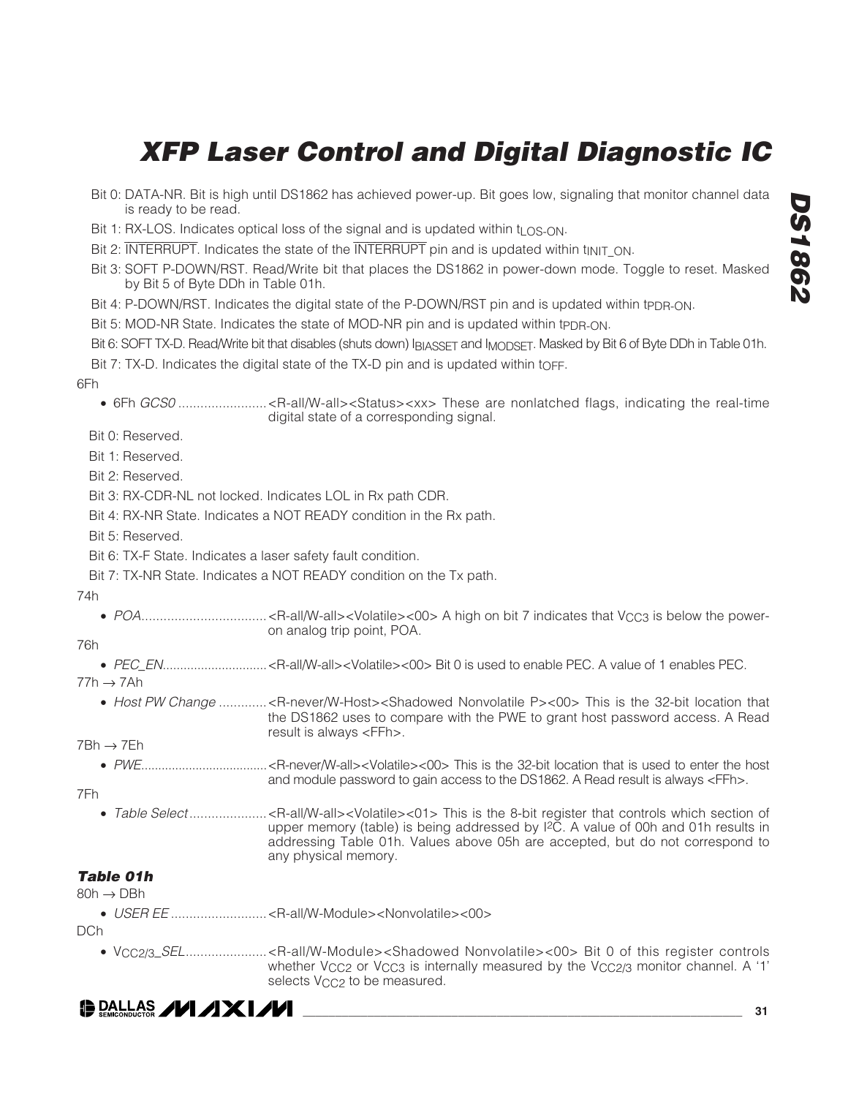| Bit 2: INTERRUPT. Indicates the state of the INTERRUPT pin and is updated within t <sub>INIT</sub> ON.<br>Bit 3: SOFT P-DOWN/RST. Read/Write bit that places the DS1862 in power-down mode. Toggle to reset. Masked<br>by Bit 5 of Byte DDh in Table 01h.<br>Bit 4: P-DOWN/RST. Indicates the digital state of the P-DOWN/RST pin and is updated within tpp <sub>R-ON</sub> .<br>Bit 5: MOD-NR State. Indicates the state of MOD-NR pin and is updated within tppR-ON.<br>Bit 6: SOFT TX-D. Read/Write bit that disables (shuts down) IBIASSET and IMODSET. Masked by Bit 6 of Byte DDh in Table 01h.<br>Bit 7: TX-D. Indicates the digital state of the TX-D pin and is updated within to FF.<br>digital state of a corresponding signal.<br>Bit 0: Reserved.<br>Bit 1: Reserved.<br>Bit 2: Reserved.<br>Bit 3: RX-CDR-NL not locked. Indicates LOL in Rx path CDR.<br>Bit 4: RX-NR State. Indicates a NOT READY condition in the Rx path.<br>Bit 5: Reserved.<br>Bit 6: TX-F State. Indicates a laser safety fault condition.<br>Bit 7: TX-NR State. Indicates a NOT READY condition on the Tx path.<br>on analog trip point, POA.<br>• Host PW Change <r-never w-host=""><shadowed nonvolatile="" p="">&lt;00&gt; This is the 32-bit location that<br/>the DS1862 uses to compare with the PWE to grant host password access. A Read<br/>result is always <ffh>.<br/>and module password to gain access to the DS1862. A Read result is always <ffh>.<br/>Table Select<r-all w-all=""><volatile>&lt;01&gt; This is the 8-bit register that controls which section of<br/>upper memory (table) is being addressed by <sup>[2</sup>C. A value of 00h and 01h results in<br/>addressing Table 01h. Values above 05h are accepted, but do not correspond to<br/>any physical memory.<br/>whether V<sub>CC2</sub> or V<sub>CC3</sub> is internally measured by the V<sub>CC2</sub>/3 monitor channel. A '1'<br/>selects V<sub>CC2</sub> to be measured.</volatile></r-all></ffh></ffh></shadowed></r-never> | $\bigoplus$ DALLAS $\bigcup$ AXI $\bigtriangleup$ | 31 |
|-----------------------------------------------------------------------------------------------------------------------------------------------------------------------------------------------------------------------------------------------------------------------------------------------------------------------------------------------------------------------------------------------------------------------------------------------------------------------------------------------------------------------------------------------------------------------------------------------------------------------------------------------------------------------------------------------------------------------------------------------------------------------------------------------------------------------------------------------------------------------------------------------------------------------------------------------------------------------------------------------------------------------------------------------------------------------------------------------------------------------------------------------------------------------------------------------------------------------------------------------------------------------------------------------------------------------------------------------------------------------------------------------------------------------------------------------------------------------------------------------------------------------------------------------------------------------------------------------------------------------------------------------------------------------------------------------------------------------------------------------------------------------------------------------------------------------------------------------------------------------------------------------------------------------------------------------------------------------------------------------------------|---------------------------------------------------|----|
| 6Fh<br>74h<br>76h<br>$77h \rightarrow 7Ah$<br>7Bh → 7Eh<br>7Fh<br><b>Table 01h</b><br>80h $\rightarrow$ DBh<br>DCh                                                                                                                                                                                                                                                                                                                                                                                                                                                                                                                                                                                                                                                                                                                                                                                                                                                                                                                                                                                                                                                                                                                                                                                                                                                                                                                                                                                                                                                                                                                                                                                                                                                                                                                                                                                                                                                                                        |                                                   |    |
|                                                                                                                                                                                                                                                                                                                                                                                                                                                                                                                                                                                                                                                                                                                                                                                                                                                                                                                                                                                                                                                                                                                                                                                                                                                                                                                                                                                                                                                                                                                                                                                                                                                                                                                                                                                                                                                                                                                                                                                                           |                                                   |    |
|                                                                                                                                                                                                                                                                                                                                                                                                                                                                                                                                                                                                                                                                                                                                                                                                                                                                                                                                                                                                                                                                                                                                                                                                                                                                                                                                                                                                                                                                                                                                                                                                                                                                                                                                                                                                                                                                                                                                                                                                           |                                                   |    |
|                                                                                                                                                                                                                                                                                                                                                                                                                                                                                                                                                                                                                                                                                                                                                                                                                                                                                                                                                                                                                                                                                                                                                                                                                                                                                                                                                                                                                                                                                                                                                                                                                                                                                                                                                                                                                                                                                                                                                                                                           |                                                   |    |
|                                                                                                                                                                                                                                                                                                                                                                                                                                                                                                                                                                                                                                                                                                                                                                                                                                                                                                                                                                                                                                                                                                                                                                                                                                                                                                                                                                                                                                                                                                                                                                                                                                                                                                                                                                                                                                                                                                                                                                                                           |                                                   |    |
|                                                                                                                                                                                                                                                                                                                                                                                                                                                                                                                                                                                                                                                                                                                                                                                                                                                                                                                                                                                                                                                                                                                                                                                                                                                                                                                                                                                                                                                                                                                                                                                                                                                                                                                                                                                                                                                                                                                                                                                                           |                                                   |    |
|                                                                                                                                                                                                                                                                                                                                                                                                                                                                                                                                                                                                                                                                                                                                                                                                                                                                                                                                                                                                                                                                                                                                                                                                                                                                                                                                                                                                                                                                                                                                                                                                                                                                                                                                                                                                                                                                                                                                                                                                           |                                                   |    |
|                                                                                                                                                                                                                                                                                                                                                                                                                                                                                                                                                                                                                                                                                                                                                                                                                                                                                                                                                                                                                                                                                                                                                                                                                                                                                                                                                                                                                                                                                                                                                                                                                                                                                                                                                                                                                                                                                                                                                                                                           |                                                   |    |
|                                                                                                                                                                                                                                                                                                                                                                                                                                                                                                                                                                                                                                                                                                                                                                                                                                                                                                                                                                                                                                                                                                                                                                                                                                                                                                                                                                                                                                                                                                                                                                                                                                                                                                                                                                                                                                                                                                                                                                                                           |                                                   |    |
|                                                                                                                                                                                                                                                                                                                                                                                                                                                                                                                                                                                                                                                                                                                                                                                                                                                                                                                                                                                                                                                                                                                                                                                                                                                                                                                                                                                                                                                                                                                                                                                                                                                                                                                                                                                                                                                                                                                                                                                                           |                                                   |    |
|                                                                                                                                                                                                                                                                                                                                                                                                                                                                                                                                                                                                                                                                                                                                                                                                                                                                                                                                                                                                                                                                                                                                                                                                                                                                                                                                                                                                                                                                                                                                                                                                                                                                                                                                                                                                                                                                                                                                                                                                           |                                                   |    |
|                                                                                                                                                                                                                                                                                                                                                                                                                                                                                                                                                                                                                                                                                                                                                                                                                                                                                                                                                                                                                                                                                                                                                                                                                                                                                                                                                                                                                                                                                                                                                                                                                                                                                                                                                                                                                                                                                                                                                                                                           |                                                   |    |
|                                                                                                                                                                                                                                                                                                                                                                                                                                                                                                                                                                                                                                                                                                                                                                                                                                                                                                                                                                                                                                                                                                                                                                                                                                                                                                                                                                                                                                                                                                                                                                                                                                                                                                                                                                                                                                                                                                                                                                                                           |                                                   |    |
|                                                                                                                                                                                                                                                                                                                                                                                                                                                                                                                                                                                                                                                                                                                                                                                                                                                                                                                                                                                                                                                                                                                                                                                                                                                                                                                                                                                                                                                                                                                                                                                                                                                                                                                                                                                                                                                                                                                                                                                                           |                                                   |    |
|                                                                                                                                                                                                                                                                                                                                                                                                                                                                                                                                                                                                                                                                                                                                                                                                                                                                                                                                                                                                                                                                                                                                                                                                                                                                                                                                                                                                                                                                                                                                                                                                                                                                                                                                                                                                                                                                                                                                                                                                           |                                                   |    |
|                                                                                                                                                                                                                                                                                                                                                                                                                                                                                                                                                                                                                                                                                                                                                                                                                                                                                                                                                                                                                                                                                                                                                                                                                                                                                                                                                                                                                                                                                                                                                                                                                                                                                                                                                                                                                                                                                                                                                                                                           |                                                   |    |
|                                                                                                                                                                                                                                                                                                                                                                                                                                                                                                                                                                                                                                                                                                                                                                                                                                                                                                                                                                                                                                                                                                                                                                                                                                                                                                                                                                                                                                                                                                                                                                                                                                                                                                                                                                                                                                                                                                                                                                                                           |                                                   |    |
|                                                                                                                                                                                                                                                                                                                                                                                                                                                                                                                                                                                                                                                                                                                                                                                                                                                                                                                                                                                                                                                                                                                                                                                                                                                                                                                                                                                                                                                                                                                                                                                                                                                                                                                                                                                                                                                                                                                                                                                                           |                                                   |    |
|                                                                                                                                                                                                                                                                                                                                                                                                                                                                                                                                                                                                                                                                                                                                                                                                                                                                                                                                                                                                                                                                                                                                                                                                                                                                                                                                                                                                                                                                                                                                                                                                                                                                                                                                                                                                                                                                                                                                                                                                           |                                                   |    |
|                                                                                                                                                                                                                                                                                                                                                                                                                                                                                                                                                                                                                                                                                                                                                                                                                                                                                                                                                                                                                                                                                                                                                                                                                                                                                                                                                                                                                                                                                                                                                                                                                                                                                                                                                                                                                                                                                                                                                                                                           |                                                   |    |
|                                                                                                                                                                                                                                                                                                                                                                                                                                                                                                                                                                                                                                                                                                                                                                                                                                                                                                                                                                                                                                                                                                                                                                                                                                                                                                                                                                                                                                                                                                                                                                                                                                                                                                                                                                                                                                                                                                                                                                                                           |                                                   |    |
|                                                                                                                                                                                                                                                                                                                                                                                                                                                                                                                                                                                                                                                                                                                                                                                                                                                                                                                                                                                                                                                                                                                                                                                                                                                                                                                                                                                                                                                                                                                                                                                                                                                                                                                                                                                                                                                                                                                                                                                                           |                                                   |    |
|                                                                                                                                                                                                                                                                                                                                                                                                                                                                                                                                                                                                                                                                                                                                                                                                                                                                                                                                                                                                                                                                                                                                                                                                                                                                                                                                                                                                                                                                                                                                                                                                                                                                                                                                                                                                                                                                                                                                                                                                           |                                                   |    |
|                                                                                                                                                                                                                                                                                                                                                                                                                                                                                                                                                                                                                                                                                                                                                                                                                                                                                                                                                                                                                                                                                                                                                                                                                                                                                                                                                                                                                                                                                                                                                                                                                                                                                                                                                                                                                                                                                                                                                                                                           |                                                   |    |
|                                                                                                                                                                                                                                                                                                                                                                                                                                                                                                                                                                                                                                                                                                                                                                                                                                                                                                                                                                                                                                                                                                                                                                                                                                                                                                                                                                                                                                                                                                                                                                                                                                                                                                                                                                                                                                                                                                                                                                                                           |                                                   |    |
|                                                                                                                                                                                                                                                                                                                                                                                                                                                                                                                                                                                                                                                                                                                                                                                                                                                                                                                                                                                                                                                                                                                                                                                                                                                                                                                                                                                                                                                                                                                                                                                                                                                                                                                                                                                                                                                                                                                                                                                                           |                                                   |    |
|                                                                                                                                                                                                                                                                                                                                                                                                                                                                                                                                                                                                                                                                                                                                                                                                                                                                                                                                                                                                                                                                                                                                                                                                                                                                                                                                                                                                                                                                                                                                                                                                                                                                                                                                                                                                                                                                                                                                                                                                           |                                                   |    |
|                                                                                                                                                                                                                                                                                                                                                                                                                                                                                                                                                                                                                                                                                                                                                                                                                                                                                                                                                                                                                                                                                                                                                                                                                                                                                                                                                                                                                                                                                                                                                                                                                                                                                                                                                                                                                                                                                                                                                                                                           |                                                   |    |
|                                                                                                                                                                                                                                                                                                                                                                                                                                                                                                                                                                                                                                                                                                                                                                                                                                                                                                                                                                                                                                                                                                                                                                                                                                                                                                                                                                                                                                                                                                                                                                                                                                                                                                                                                                                                                                                                                                                                                                                                           |                                                   |    |
|                                                                                                                                                                                                                                                                                                                                                                                                                                                                                                                                                                                                                                                                                                                                                                                                                                                                                                                                                                                                                                                                                                                                                                                                                                                                                                                                                                                                                                                                                                                                                                                                                                                                                                                                                                                                                                                                                                                                                                                                           |                                                   |    |
| Bit 1: RX-LOS. Indicates optical loss of the signal and is updated within $t_{LOS-ON}$ .                                                                                                                                                                                                                                                                                                                                                                                                                                                                                                                                                                                                                                                                                                                                                                                                                                                                                                                                                                                                                                                                                                                                                                                                                                                                                                                                                                                                                                                                                                                                                                                                                                                                                                                                                                                                                                                                                                                  |                                                   |    |
| Bit 0: DATA-NR. Bit is high until DS1862 has achieved power-up. Bit goes low, signaling that monitor channel data<br>is ready to be read.                                                                                                                                                                                                                                                                                                                                                                                                                                                                                                                                                                                                                                                                                                                                                                                                                                                                                                                                                                                                                                                                                                                                                                                                                                                                                                                                                                                                                                                                                                                                                                                                                                                                                                                                                                                                                                                                 |                                                   |    |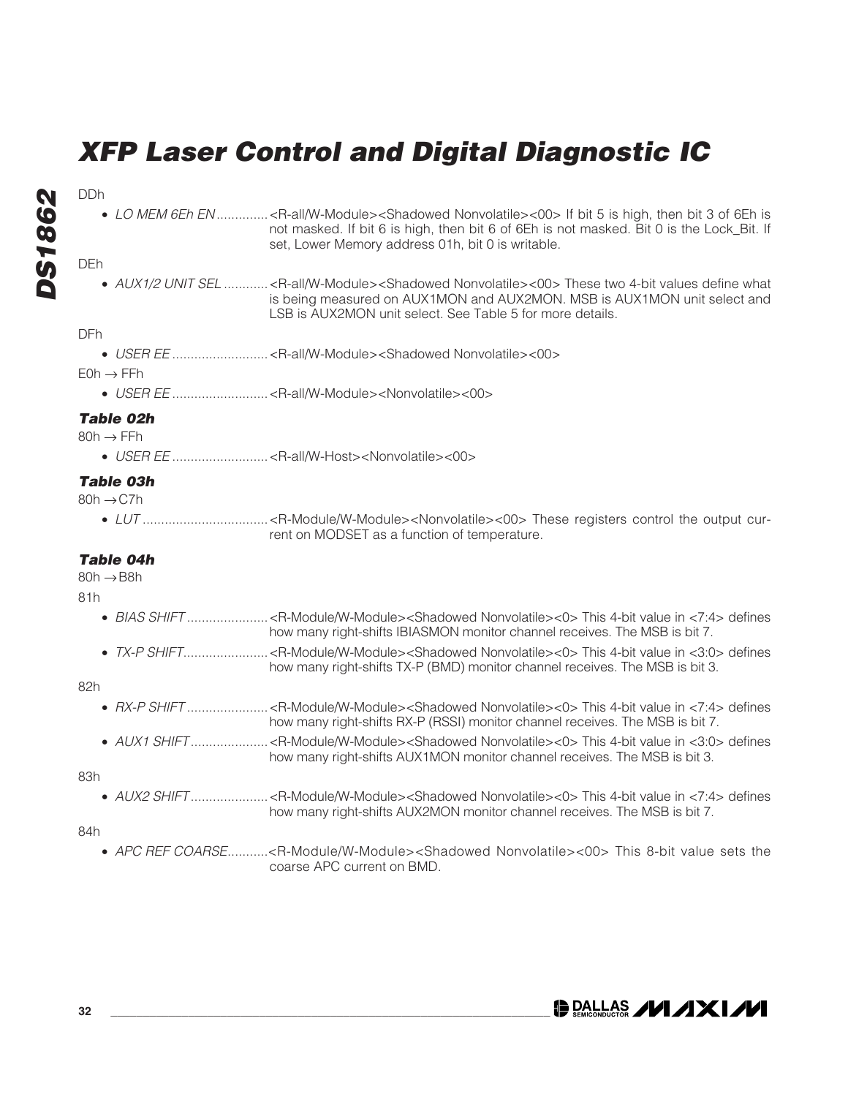# **DS1862** DDh **DS1862**

• LO MEM 6Eh EN ..............< R-all/W-Module><Shadowed Nonvolatile><00> If bit 5 is high, then bit 3 of 6Eh is not masked. If bit 6 is high, then bit 6 of 6Eh is not masked. Bit 0 is the Lock\_Bit. If set, Lower Memory address 01h, bit 0 is writable.

### DEh

• AUX1/2 UNIT SEL ............< R-all/W-Module><Shadowed Nonvolatile><00> These two 4-bit values define what is being measured on AUX1MON and AUX2MON. MSB is AUX1MON unit select and LSB is AUX2MON unit select. See Table 5 for more details.

#### DFh

• USER EE ..........................<R-all/W-Module><Shadowed Nonvolatile><00>

 $FOh \rightarrow FFh$ 

• USER EE ..........................<R-all/W-Module><Nonvolatile><00>

### **Table 02h**

 $80h \rightarrow FFh$ 

• USER EE ..........................<R-all/W-Host><Nonvolatile><00>

### **Table 03h**

- $80h \rightarrow C$ .7h
	- LUT ..................................<R-Module/W-Module><Nonvolatile><00> These registers control the output current on MODSET as a function of temperature.

### **Table 04h**

 $80h \rightarrow B8h$ 

81h

|  | how many right-shifts IBIASMON monitor channel receives. The MSB is bit 7. |
|--|----------------------------------------------------------------------------|

• TX-P SHIFT.......................<R-Module/W-Module><Shadowed Nonvolatile><0> This 4-bit value in <3:0> defines how many right-shifts TX-P (BMD) monitor channel receives. The MSB is bit 3.

82h

|                      | how many right-shifts RX-P (RSSI) monitor channel receives. The MSB is bit 7.    |
|----------------------|----------------------------------------------------------------------------------|
| $\sim$ 11 IV + CLIET | .D. Modula Malula alula alama Manyalatiles and This 4 bit value in 2005, definee |

• AUX1 SHIFT .....................<R-Module/W-Module><Shadowed Nonvolatile><0> This 4-bit value in <3:0> defines how many right-shifts AUX1MON monitor channel receives. The MSB is bit 3.

83h

• AUX2 SHIFT .....................<R-Module/W-Module><Shadowed Nonvolatile><0> This 4-bit value in <7:4> defines how many right-shifts AUX2MON monitor channel receives. The MSB is bit 7.

84h

• APC REF COARSE...........<R-Module/W-Module><Shadowed Nonvolatile><00> This 8-bit value sets the coarse APC current on BMD.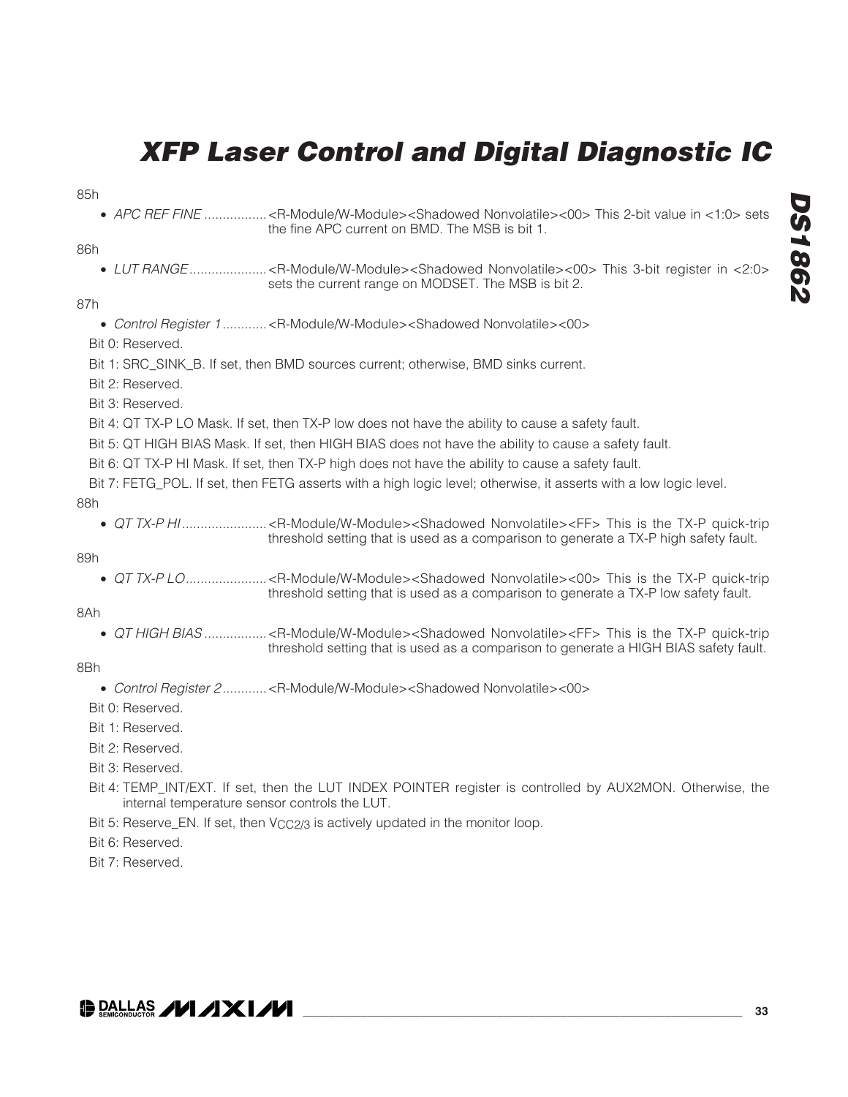- 85h
	- APC REF FINE ...................< R-Module/W-Module><Shadowed Nonvolatile><00> This 2-bit value in <1:0> sets the fine APC current on BMD. The MSB is bit 1.

#### 86h

• LUT RANGE.....................<R-Module/W-Module><Shadowed Nonvolatile><00> This 3-bit register in <2:0> sets the current range on MODSET. The MSB is bit 2.

#### 87h

• Control Register 1 ............<R-Module/W-Module><Shadowed Nonvolatile><00>

Bit 0: Reserved.

Bit 1: SRC\_SINK\_B. If set, then BMD sources current; otherwise, BMD sinks current.

Bit 2: Reserved.

Bit 3: Reserved.

Bit 4: QT TX-P LO Mask. If set, then TX-P low does not have the ability to cause a safety fault.

Bit 5: QT HIGH BIAS Mask. If set, then HIGH BIAS does not have the ability to cause a safety fault.

Bit 6: QT TX-P HI Mask. If set, then TX-P high does not have the ability to cause a safety fault.

Bit 7: FETG\_POL. If set, then FETG asserts with a high logic level; otherwise, it asserts with a low logic level. 88h

• QT TX-P HI..............................<R-Module/W-Module><Shadowed Nonvolatile><FF> This is the TX-P quick-trip threshold setting that is used as a comparison to generate a TX-P high safety fault.

89h

• QT TX-P LO......................<R-Module/W-Module><Shadowed Nonvolatile><00> This is the TX-P quick-trip threshold setting that is used as a comparison to generate a TX-P low safety fault.

8Ah

• QT HIGH BIAS ..................< R-Module/W-Module><Shadowed Nonvolatile><FF> This is the TX-P quick-trip threshold setting that is used as a comparison to generate a HIGH BIAS safety fault.

#### 8Bh

- Control Register 2 ............<R-Module/W-Module><Shadowed Nonvolatile><00>
- Bit 0: Reserved.
- Bit 1: Reserved.
- Bit 2: Reserved.
- Bit 3: Reserved.
- Bit 4: TEMP\_INT/EXT. If set, then the LUT INDEX POINTER register is controlled by AUX2MON. Otherwise, the internal temperature sensor controls the LUT.
- Bit 5: Reserve\_EN. If set, then V<sub>CC2</sub>/3 is actively updated in the monitor loop.

Bit 6: Reserved.

Bit 7: Reserved.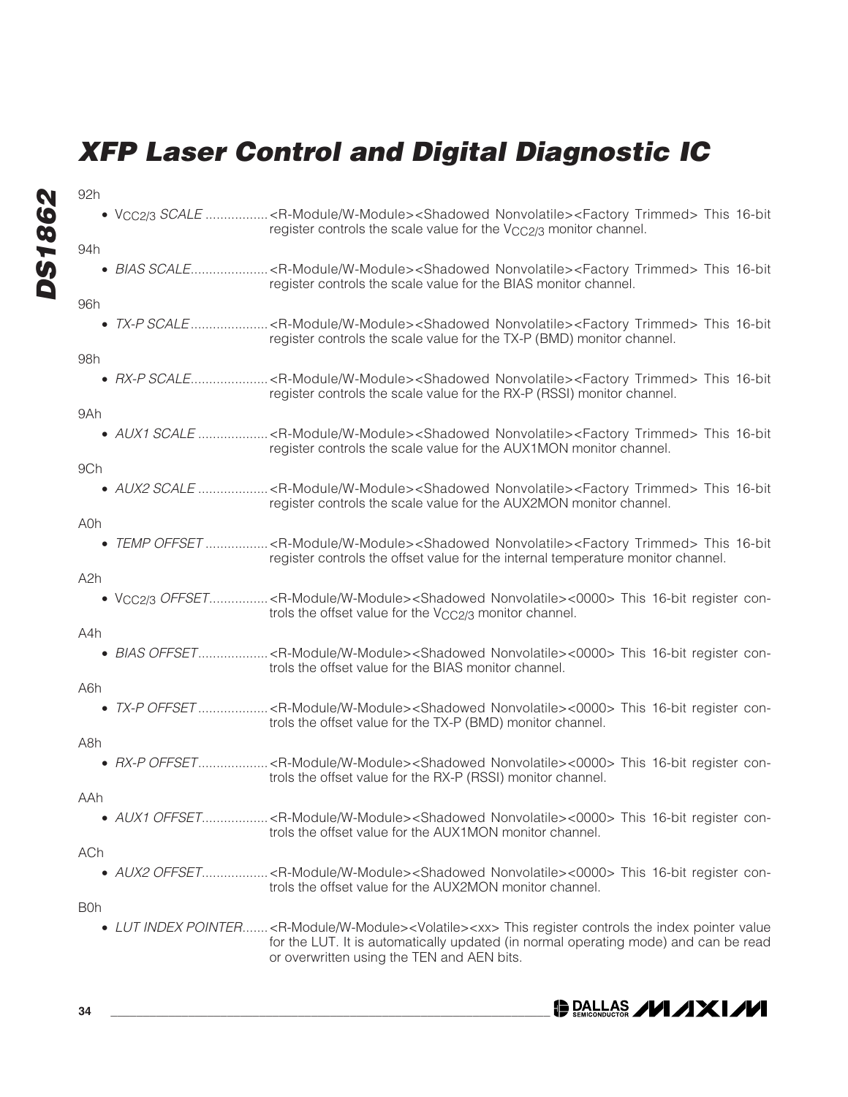**DS1862 DS1862**

92h

94h

• BIAS SCALE......................< R-Module/W-Module><Shadowed Nonvolatile><Factory Trimmed> This 16-bit register controls the scale value for the BIAS monitor channel. 96h • TX-P SCALE.....................<R-Module/W-Module><Shadowed Nonvolatile><Factory Trimmed> This 16-bit register controls the scale value for the TX-P (BMD) monitor channel. 98h • RX-P SCALE.......................< R-Module/W-Module><Shadowed Nonvolatile><Factory Trimmed> This 16-bit register controls the scale value for the RX-P (RSSI) monitor channel. 9Ah • AUX1 SCALE ...................< R-Module/W-Module><Shadowed Nonvolatile><Factory Trimmed> This 16-bit register controls the scale value for the AUX1MON monitor channel. 9Ch

• VCC2/3 SCALE ...................< R-Module/W-Module><Shadowed Nonvolatile><Factory Trimmed> This 16-bit register controls the scale value for the V<sub>CC2/3</sub> monitor channel.

• AUX2 SCALE .....................< R-Module/W-Module><Shadowed Nonvolatile><Factory Trimmed> This 16-bit register controls the scale value for the AUX2MON monitor channel.

#### A0h

• TEMP OFFSET .................<R-Module/W-Module><Shadowed Nonvolatile><Factory Trimmed> This 16-bit register controls the offset value for the internal temperature monitor channel.

#### A2h

• Vcc2/3 OFFSET..................< R-Module/W-Module><Shadowed Nonvolatile><0000> This 16-bit register controls the offset value for the V<sub>CC2</sub>/3 monitor channel.

#### A4h

• BIAS OFFSET...................<R-Module/W-Module><Shadowed Nonvolatile><0000> This 16-bit register controls the offset value for the BIAS monitor channel.

A6h

• TX-P OFFSET ...................< R-Module/W-Module><Shadowed Nonvolatile><0000> This 16-bit register controls the offset value for the TX-P (BMD) monitor channel.

A8h

• RX-P OFFSET...................<R-Module/W-Module><Shadowed Nonvolatile><0000> This 16-bit register controls the offset value for the RX-P (RSSI) monitor channel.

AAh

• AUX1 OFFSET......................< R-Module/W-Module><Shadowed Nonvolatile><0000> This 16-bit register controls the offset value for the AUX1MON monitor channel.

#### ACh

• AUX2 OFFSET......................< R-Module/W-Module><Shadowed Nonvolatile><0000> This 16-bit register controls the offset value for the AUX2MON monitor channel.

B0h

• LUT INDEX POINTER.......<R-Module/W-Module><Volatile><xx> This register controls the index pointer value for the LUT. It is automatically updated (in normal operating mode) and can be read or overwritten using the TEN and AEN bits.

**34 \_\_\_\_\_\_\_\_\_\_\_\_\_\_\_\_\_\_\_\_\_\_\_\_\_\_\_\_\_\_\_\_\_\_\_\_\_\_\_\_\_\_\_\_\_\_\_\_\_\_\_\_\_\_\_\_\_\_\_\_\_\_\_\_\_\_\_\_**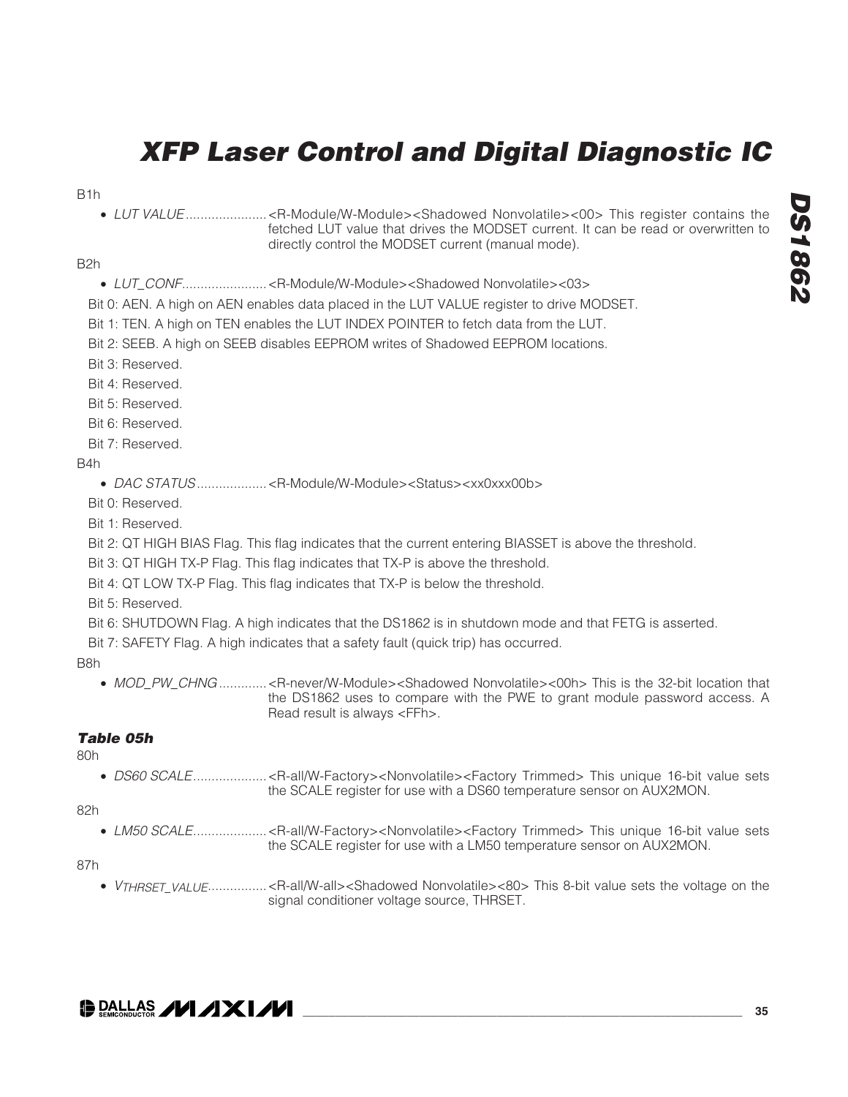B1h

• LUT VALUE......................<R-Module/W-Module><Shadowed Nonvolatile><00> This register contains the fetched LUT value that drives the MODSET current. It can be read or overwritten to directly control the MODSET current (manual mode).

B2h

- LUT\_CONF.......................<R-Module/W-Module><Shadowed Nonvolatile><03>
- Bit 0: AEN. A high on AEN enables data placed in the LUT VALUE register to drive MODSET.
- Bit 1: TEN. A high on TEN enables the LUT INDEX POINTER to fetch data from the LUT.

Bit 2: SEEB. A high on SEEB disables EEPROM writes of Shadowed EEPROM locations.

- Bit 3: Reserved.
- Bit 4: Reserved.
- Bit 5: Reserved.
- Bit 6: Reserved.
- Bit 7: Reserved.

B4h

- DAC STATUS...................<R-Module/W-Module><Status><xx0xxx00b>
- Bit 0: Reserved.
- Bit 1: Reserved.
- Bit 2: QT HIGH BIAS Flag. This flag indicates that the current entering BIASSET is above the threshold.
- Bit 3: QT HIGH TX-P Flag. This flag indicates that TX-P is above the threshold.
- Bit 4: QT LOW TX-P Flag. This flag indicates that TX-P is below the threshold.
- Bit 5: Reserved.
- Bit 6: SHUTDOWN Flag. A high indicates that the DS1862 is in shutdown mode and that FETG is asserted.
- Bit 7: SAFETY Flag. A high indicates that a safety fault (quick trip) has occurred.

B8h

• MOD\_PW\_CHNG..............<R-never/W-Module><Shadowed Nonvolatile><00h> This is the 32-bit location that the DS1862 uses to compare with the PWE to grant module password access. A Read result is always <FFh>.

### **Table 05h**

80h

• DS60 SCALE........................< R-all/W-Factory><Nonvolatile><Factory Trimmed> This unique 16-bit value sets the SCALE register for use with a DS60 temperature sensor on AUX2MON.

82h

• LM50 SCALE.......................<R-all/W-Factory><Nonvolatile><Factory Trimmed> This unique 16-bit value sets the SCALE register for use with a LM50 temperature sensor on AUX2MON.

87h

• VTHRSET\_VALUE.................< R-all/W-all><Shadowed Nonvolatile><80> This 8-bit value sets the voltage on the signal conditioner voltage source, THRSET.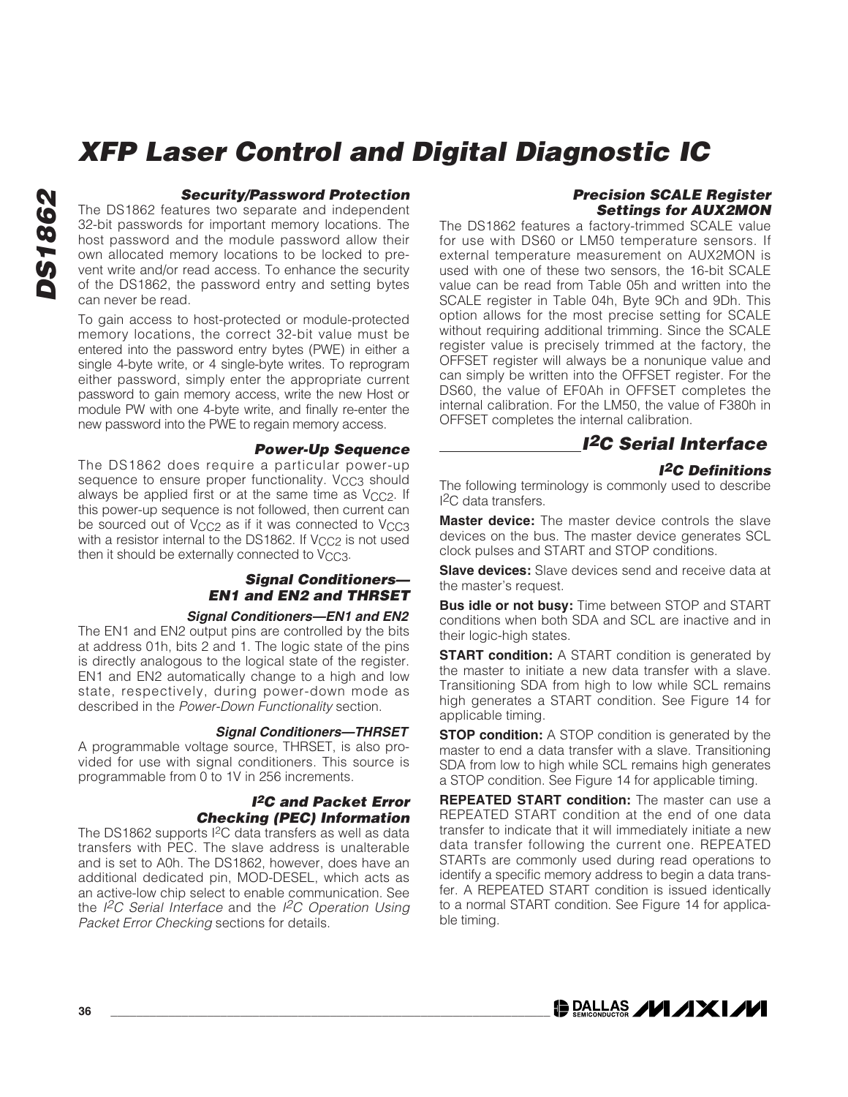#### **Security/Password Protection**

The DS1862 features two separate and independent 32-bit passwords for important memory locations. The host password and the module password allow their own allocated memory locations to be locked to prevent write and/or read access. To enhance the security of the DS1862, the password entry and setting bytes can never be read.

To gain access to host-protected or module-protected memory locations, the correct 32-bit value must be entered into the password entry bytes (PWE) in either a single 4-byte write, or 4 single-byte writes. To reprogram either password, simply enter the appropriate current password to gain memory access, write the new Host or module PW with one 4-byte write, and finally re-enter the new password into the PWE to regain memory access.

#### **Power-Up Sequence**

The DS1862 does require a particular power-up sequence to ensure proper functionality. V<sub>CC3</sub> should always be applied first or at the same time as V<sub>CC2</sub>. If this power-up sequence is not followed, then current can be sourced out of V<sub>CC2</sub> as if it was connected to V<sub>CC3</sub> with a resistor internal to the DS1862. If V<sub>CC2</sub> is not used then it should be externally connected to V<sub>CC3</sub>.

#### **Signal Conditioners— EN1 and EN2 and THRSET**

#### **Signal Conditioners—EN1 and EN2**

The EN1 and EN2 output pins are controlled by the bits at address 01h, bits 2 and 1. The logic state of the pins is directly analogous to the logical state of the register. EN1 and EN2 automatically change to a high and low state, respectively, during power-down mode as described in the Power-Down Functionality section.

#### **Signal Conditioners—THRSET**

A programmable voltage source, THRSET, is also provided for use with signal conditioners. This source is programmable from 0 to 1V in 256 increments.

#### **I2C and Packet Error Checking (PEC) Information**

The DS1862 supports I2C data transfers as well as data transfers with PEC. The slave address is unalterable and is set to A0h. The DS1862, however, does have an additional dedicated pin, MOD-DESEL, which acts as an active-low chip select to enable communication. See the  $I^2C$  Serial Interface and the  $I^2C$  Operation Using Packet Error Checking sections for details.

#### **Precision SCALE Register Settings for AUX2MON**

The DS1862 features a factory-trimmed SCALE value for use with DS60 or LM50 temperature sensors. If external temperature measurement on AUX2MON is used with one of these two sensors, the 16-bit SCALE value can be read from Table 05h and written into the SCALE register in Table 04h, Byte 9Ch and 9Dh. This option allows for the most precise setting for SCALE without requiring additional trimming. Since the SCALE register value is precisely trimmed at the factory, the OFFSET register will always be a nonunique value and can simply be written into the OFFSET register. For the DS60, the value of EF0Ah in OFFSET completes the internal calibration. For the LM50, the value of F380h in OFFSET completes the internal calibration.

### **I2C Serial Interface**

#### **I2C Definitions**

The following terminology is commonly used to describe I 2C data transfers.

**Master device:** The master device controls the slave devices on the bus. The master device generates SCL clock pulses and START and STOP conditions.

**Slave devices:** Slave devices send and receive data at the master's request.

**Bus idle or not busy:** Time between STOP and START conditions when both SDA and SCL are inactive and in their logic-high states.

**START condition:** A START condition is generated by the master to initiate a new data transfer with a slave. Transitioning SDA from high to low while SCL remains high generates a START condition. See Figure 14 for applicable timing.

**STOP condition:** A STOP condition is generated by the master to end a data transfer with a slave. Transitioning SDA from low to high while SCL remains high generates a STOP condition. See Figure 14 for applicable timing.

**REPEATED START condition:** The master can use a REPEATED START condition at the end of one data transfer to indicate that it will immediately initiate a new data transfer following the current one. REPEATED STARTs are commonly used during read operations to identify a specific memory address to begin a data transfer. A REPEATED START condition is issued identically to a normal START condition. See Figure 14 for applicable timing.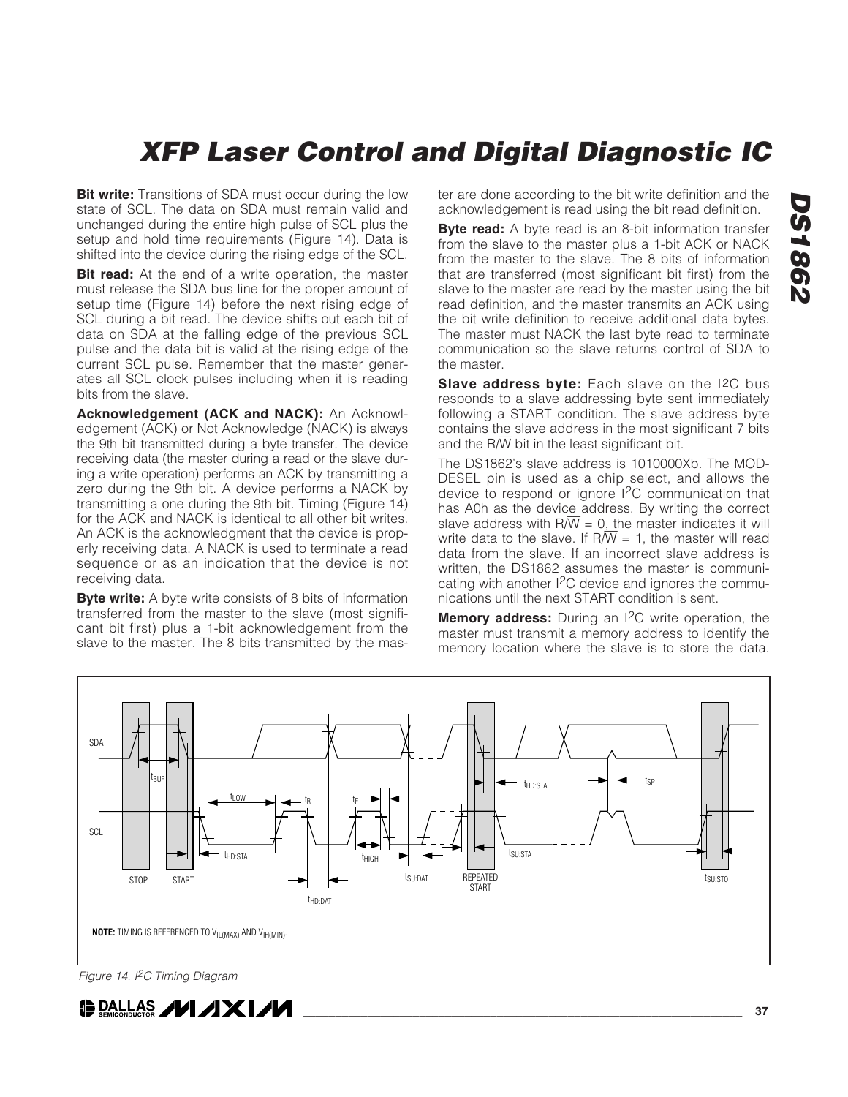**Bit write:** Transitions of SDA must occur during the low state of SCL. The data on SDA must remain valid and unchanged during the entire high pulse of SCL plus the setup and hold time requirements (Figure 14). Data is shifted into the device during the rising edge of the SCL.

**Bit read:** At the end of a write operation, the master must release the SDA bus line for the proper amount of setup time (Figure 14) before the next rising edge of SCL during a bit read. The device shifts out each bit of data on SDA at the falling edge of the previous SCL pulse and the data bit is valid at the rising edge of the current SCL pulse. Remember that the master generates all SCL clock pulses including when it is reading bits from the slave.

**Acknowledgement (ACK and NACK):** An Acknowledgement (ACK) or Not Acknowledge (NACK) is always the 9th bit transmitted during a byte transfer. The device receiving data (the master during a read or the slave during a write operation) performs an ACK by transmitting a zero during the 9th bit. A device performs a NACK by transmitting a one during the 9th bit. Timing (Figure 14) for the ACK and NACK is identical to all other bit writes. An ACK is the acknowledgment that the device is properly receiving data. A NACK is used to terminate a read sequence or as an indication that the device is not receiving data.

**Byte write:** A byte write consists of 8 bits of information transferred from the master to the slave (most significant bit first) plus a 1-bit acknowledgement from the slave to the master. The 8 bits transmitted by the master are done according to the bit write definition and the acknowledgement is read using the bit read definition.

**Byte read:** A byte read is an 8-bit information transfer from the slave to the master plus a 1-bit ACK or NACK from the master to the slave. The 8 bits of information that are transferred (most significant bit first) from the slave to the master are read by the master using the bit read definition, and the master transmits an ACK using the bit write definition to receive additional data bytes. The master must NACK the last byte read to terminate communication so the slave returns control of SDA to the master.

**Slave address byte:** Each slave on the I2C bus responds to a slave addressing byte sent immediately following a START condition. The slave address byte contains the slave address in the most significant 7 bits and the  $R/\overline{W}$  bit in the least significant bit.

The DS1862's slave address is 1010000Xb. The MOD-DESEL pin is used as a chip select, and allows the device to respond or ignore I2C communication that has A0h as the device address. By writing the correct slave address with  $R/\overline{W} = 0$ , the master indicates it will write data to the slave. If  $R/\overline{W}$  = 1, the master will read data from the slave. If an incorrect slave address is written, the DS1862 assumes the master is communicating with another I2C device and ignores the communications until the next START condition is sent.

**Memory address:** During an I<sup>2</sup>C write operation, the master must transmit a memory address to identify the memory location where the slave is to store the data.



Figure 14. I<sup>2</sup>C Timing Diagram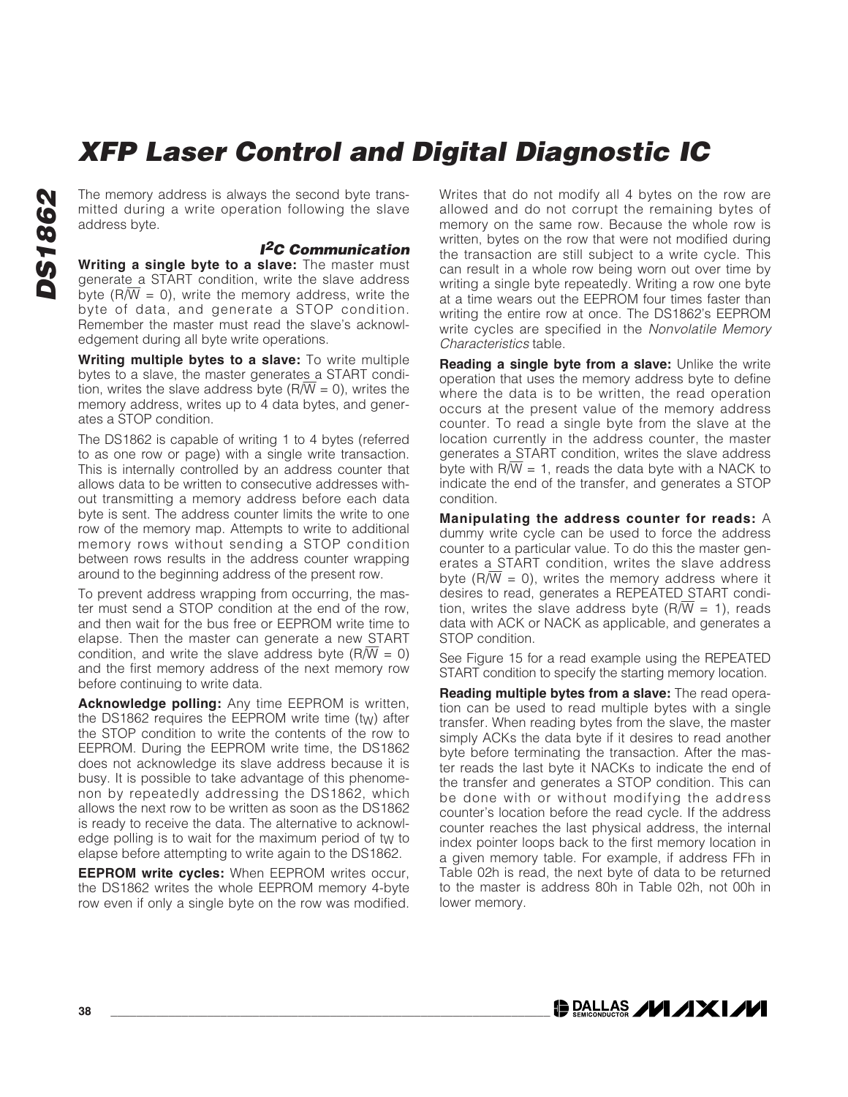The memory address is always the second byte transmitted during a write operation following the slave address byte.

#### **I2C Communication**

**Writing a single byte to a slave:** The master must generate a START condition, write the slave address byte ( $\overline{R/W}$  = 0), write the memory address, write the byte of data, and generate a STOP condition. Remember the master must read the slave's acknowledgement during all byte write operations.

**Writing multiple bytes to a slave:** To write multiple bytes to a slave, the master generates a START condition, writes the slave address byte  $(R/\overline{W} = 0)$ , writes the memory address, writes up to 4 data bytes, and generates a STOP condition.

The DS1862 is capable of writing 1 to 4 bytes (referred to as one row or page) with a single write transaction. This is internally controlled by an address counter that allows data to be written to consecutive addresses without transmitting a memory address before each data byte is sent. The address counter limits the write to one row of the memory map. Attempts to write to additional memory rows without sending a STOP condition between rows results in the address counter wrapping around to the beginning address of the present row.

To prevent address wrapping from occurring, the master must send a STOP condition at the end of the row, and then wait for the bus free or EEPROM write time to elapse. Then the master can generate a new START condition, and write the slave address byte ( $\overline{R/W} = 0$ ) and the first memory address of the next memory row before continuing to write data.

**Acknowledge polling:** Any time EEPROM is written, the DS1862 requires the EEPROM write time  $(t_W)$  after the STOP condition to write the contents of the row to EEPROM. During the EEPROM write time, the DS1862 does not acknowledge its slave address because it is busy. It is possible to take advantage of this phenomenon by repeatedly addressing the DS1862, which allows the next row to be written as soon as the DS1862 is ready to receive the data. The alternative to acknowledge polling is to wait for the maximum period of tw to elapse before attempting to write again to the DS1862.

**EEPROM write cycles:** When EEPROM writes occur, the DS1862 writes the whole EEPROM memory 4-byte row even if only a single byte on the row was modified. Writes that do not modify all 4 bytes on the row are allowed and do not corrupt the remaining bytes of memory on the same row. Because the whole row is written, bytes on the row that were not modified during the transaction are still subject to a write cycle. This can result in a whole row being worn out over time by writing a single byte repeatedly. Writing a row one byte at a time wears out the EEPROM four times faster than writing the entire row at once. The DS1862's EEPROM write cycles are specified in the Nonvolatile Memory Characteristics table.

**Reading a single byte from a slave:** Unlike the write operation that uses the memory address byte to define where the data is to be written, the read operation occurs at the present value of the memory address counter. To read a single byte from the slave at the location currently in the address counter, the master generates a START condition, writes the slave address byte with  $R/W = 1$ , reads the data byte with a NACK to indicate the end of the transfer, and generates a STOP condition.

**Manipulating the address counter for reads:** A dummy write cycle can be used to force the address counter to a particular value. To do this the master generates a START condition, writes the slave address byte ( $\overline{R/W}$  = 0), writes the memory address where it desires to read, generates a REPEATED START condition, writes the slave address byte  $(R/\overline{W} = 1)$ , reads data with ACK or NACK as applicable, and generates a STOP condition.

See Figure 15 for a read example using the REPEATED START condition to specify the starting memory location.

**Reading multiple bytes from a slave:** The read operation can be used to read multiple bytes with a single transfer. When reading bytes from the slave, the master simply ACKs the data byte if it desires to read another byte before terminating the transaction. After the master reads the last byte it NACKs to indicate the end of the transfer and generates a STOP condition. This can be done with or without modifying the address counter's location before the read cycle. If the address counter reaches the last physical address, the internal index pointer loops back to the first memory location in a given memory table. For example, if address FFh in Table 02h is read, the next byte of data to be returned to the master is address 80h in Table 02h, not 00h in lower memory.

**DALLAS /VI /IXI/VI**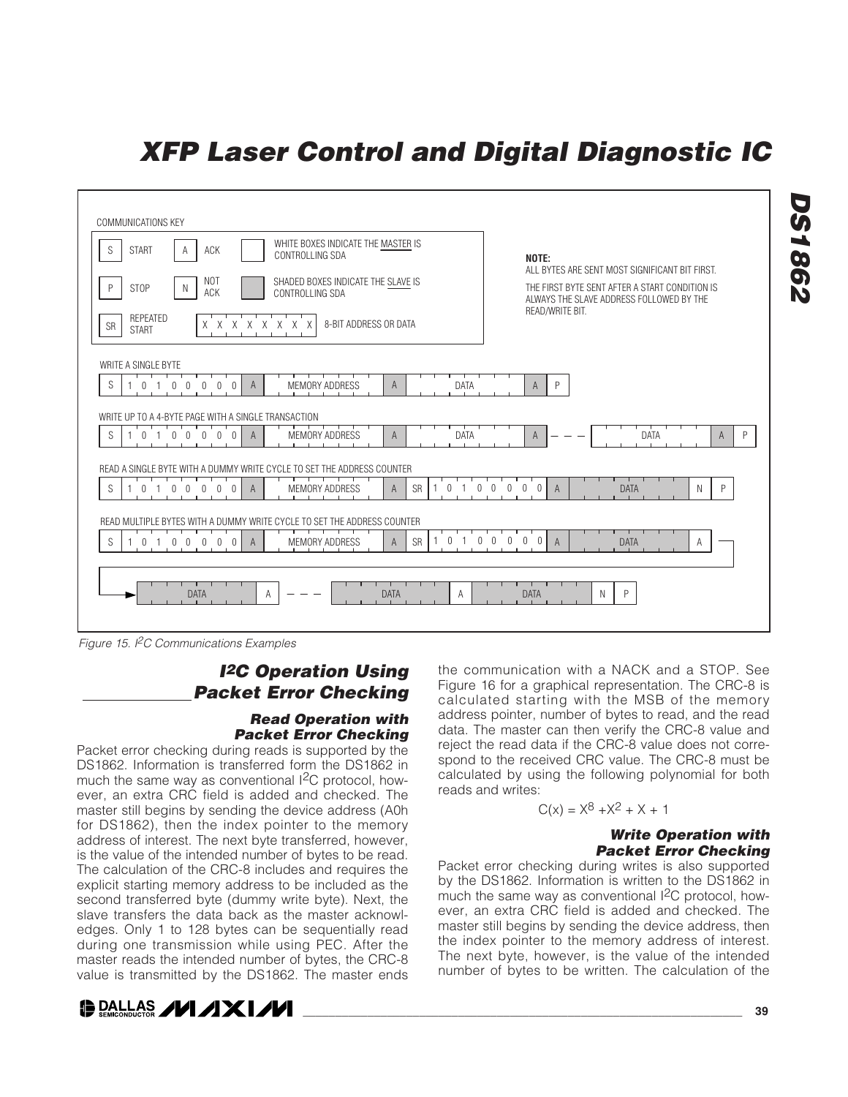

Figure 15. I<sup>2</sup>C Communications Examples

### **I<sup>2</sup>C Operation Using Packet Error Checking**

#### **Read Operation with Packet Error Checking**

Packet error checking during reads is supported by the DS1862. Information is transferred form the DS1862 in much the same way as conventional I<sup>2</sup>C protocol, however, an extra CRC field is added and checked. The master still begins by sending the device address (A0h for DS1862), then the index pointer to the memory address of interest. The next byte transferred, however, is the value of the intended number of bytes to be read. The calculation of the CRC-8 includes and requires the explicit starting memory address to be included as the second transferred byte (dummy write byte). Next, the slave transfers the data back as the master acknowledges. Only 1 to 128 bytes can be sequentially read during one transmission while using PEC. After the master reads the intended number of bytes, the CRC-8 value is transmitted by the DS1862. The master ends



the communication with a NACK and a STOP. See Figure 16 for a graphical representation. The CRC-8 is calculated starting with the MSB of the memory address pointer, number of bytes to read, and the read data. The master can then verify the CRC-8 value and reject the read data if the CRC-8 value does not correspond to the received CRC value. The CRC-8 must be calculated by using the following polynomial for both reads and writes:

### $C(x) = X^8 + X^2 + X + 1$

#### **Write Operation with Packet Error Checking**

Packet error checking during writes is also supported by the DS1862. Information is written to the DS1862 in much the same way as conventional  ${}^{12}C$  protocol, however, an extra CRC field is added and checked. The master still begins by sending the device address, then the index pointer to the memory address of interest. The next byte, however, is the value of the intended number of bytes to be written. The calculation of the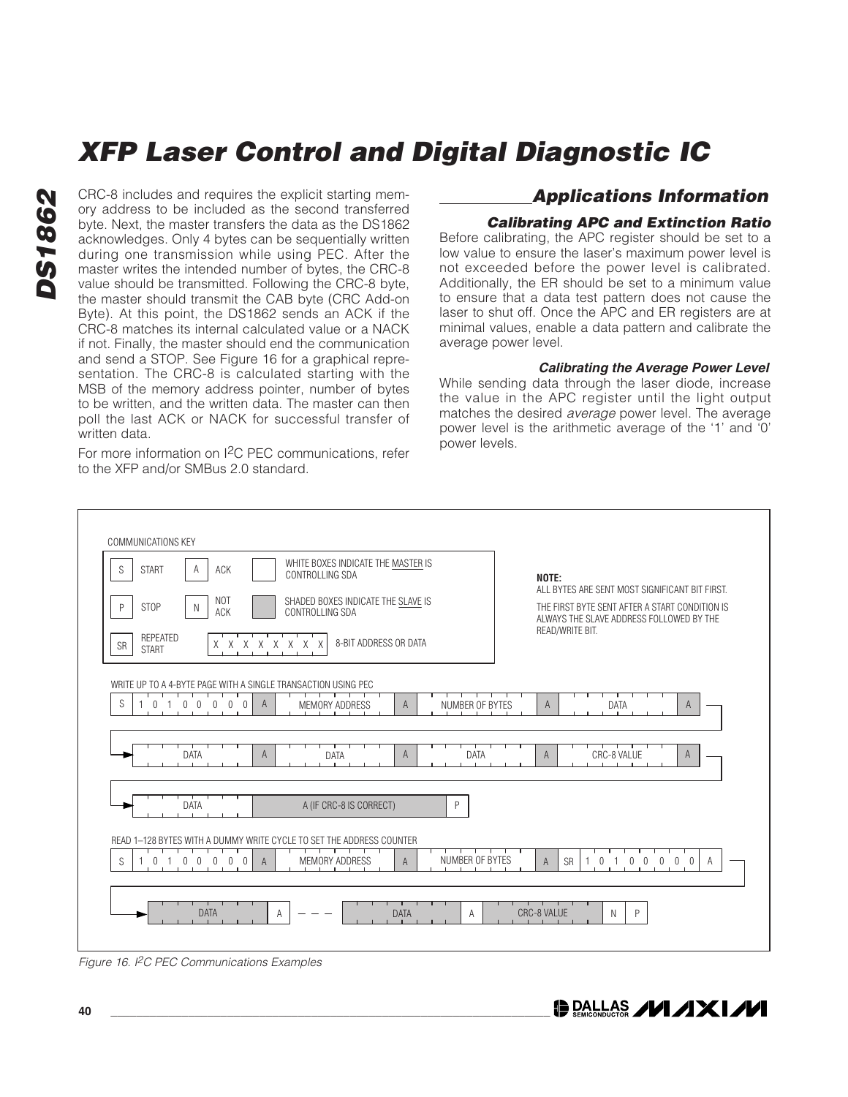**DS1862 DS1862**

CRC-8 includes and requires the explicit starting memory address to be included as the second transferred byte. Next, the master transfers the data as the DS1862 acknowledges. Only 4 bytes can be sequentially written during one transmission while using PEC. After the master writes the intended number of bytes, the CRC-8 value should be transmitted. Following the CRC-8 byte, the master should transmit the CAB byte (CRC Add-on Byte). At this point, the DS1862 sends an ACK if the CRC-8 matches its internal calculated value or a NACK if not. Finally, the master should end the communication and send a STOP. See Figure 16 for a graphical representation. The CRC-8 is calculated starting with the MSB of the memory address pointer, number of bytes to be written, and the written data. The master can then poll the last ACK or NACK for successful transfer of written data.

For more information on I2C PEC communications, refer to the XFP and/or SMBus 2.0 standard.

### **Applications Information**

#### **Calibrating APC and Extinction Ratio**

Before calibrating, the APC register should be set to a low value to ensure the laser's maximum power level is not exceeded before the power level is calibrated. Additionally, the ER should be set to a minimum value to ensure that a data test pattern does not cause the laser to shut off. Once the APC and ER registers are at minimal values, enable a data pattern and calibrate the average power level.

#### **Calibrating the Average Power Level**

While sending data through the laser diode, increase the value in the APC register until the light output matches the desired average power level. The average power level is the arithmetic average of the '1' and '0' power levels.



Figure 16. I<sup>2</sup>C PEC Communications Examples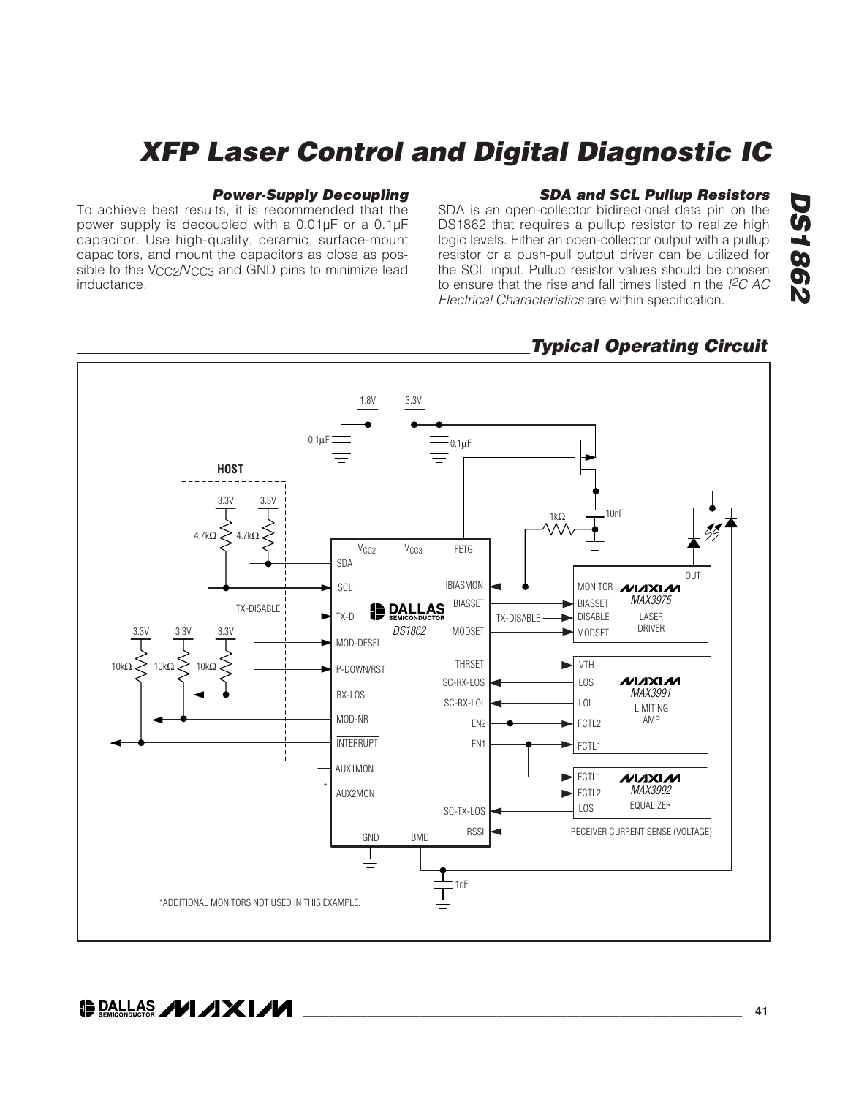#### **Power-Supply Decoupling**

To achieve best results, it is recommended that the power supply is decoupled with a 0.01μF or a 0.1μF capacitor. Use high-quality, ceramic, surface-mount capacitors, and mount the capacitors as close as possible to the  $V_{CC2}/V_{CC3}$  and GND pins to minimize lead inductance.

#### **SDA and SCL Pullup Resistors**

SDA is an open-collector bidirectional data pin on the DS1862 that requires a pullup resistor to realize high logic levels. Either an open-collector output with a pullup resistor or a push-pull output driver can be utilized for the SCL input. Pullup resistor values should be chosen to ensure that the rise and fall times listed in the  $I<sup>2</sup>C$  AC Electrical Characteristics are within specification.



### **Typical Operating Circuit**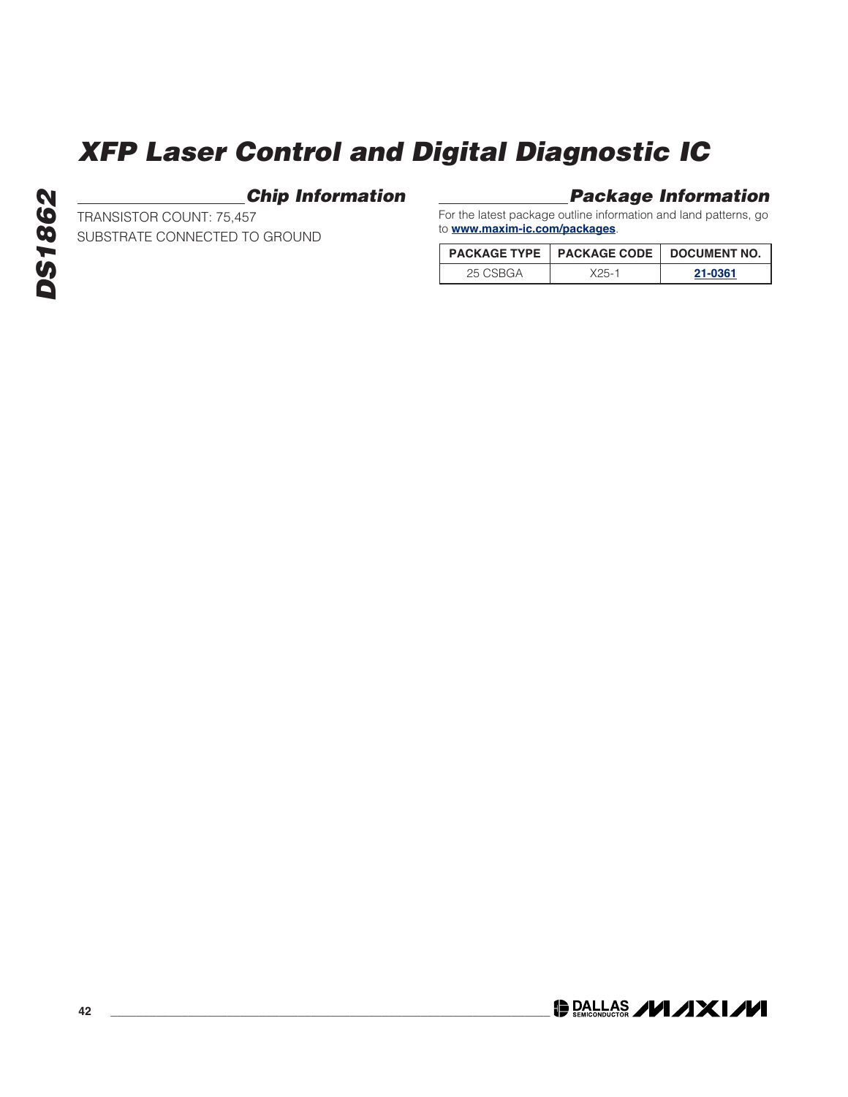### **Chip Information**

**Package Information**

For the latest package outline information and land patterns, go to **www.maxim-ic.com/packages**.

|          | <b>PACKAGE TYPE   PACKAGE CODE   DOCUMENT NO.</b> |         |  |
|----------|---------------------------------------------------|---------|--|
| 25 CSBGA | $X25 - 1$                                         | 21-0361 |  |



TRANSISTOR COUNT: 75,457

SUBSTRATE CONNECTED TO GROUND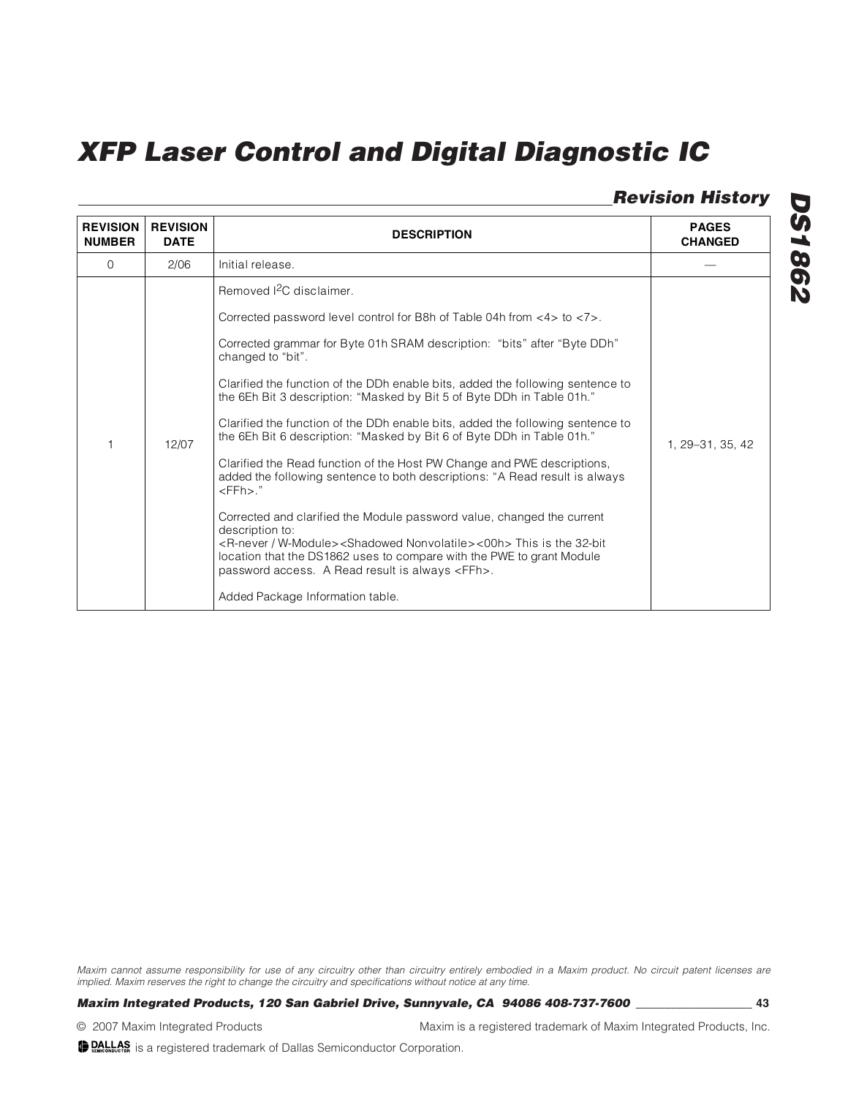### **Revision History**

| <b>REVISION</b><br><b>NUMBER</b> | <b>REVISION</b><br><b>DATE</b> | <b>DESCRIPTION</b>                                                                                                                                                                                                                                                                                                                                                                                                                                                                                                                                                                                                                                                                                                                                                                                                                                                                                                                                                                                                                                                                          | <b>PAGES</b><br><b>CHANGED</b> |
|----------------------------------|--------------------------------|---------------------------------------------------------------------------------------------------------------------------------------------------------------------------------------------------------------------------------------------------------------------------------------------------------------------------------------------------------------------------------------------------------------------------------------------------------------------------------------------------------------------------------------------------------------------------------------------------------------------------------------------------------------------------------------------------------------------------------------------------------------------------------------------------------------------------------------------------------------------------------------------------------------------------------------------------------------------------------------------------------------------------------------------------------------------------------------------|--------------------------------|
| $\Omega$                         | 2/06                           | Initial release.                                                                                                                                                                                                                                                                                                                                                                                                                                                                                                                                                                                                                                                                                                                                                                                                                                                                                                                                                                                                                                                                            |                                |
| 1                                | 12/07                          | Removed <sup>2</sup> C disclaimer.<br>Corrected password level control for B8h of Table 04h from <4> to <7>.<br>Corrected grammar for Byte 01h SRAM description: "bits" after "Byte DDh"<br>changed to "bit".<br>Clarified the function of the DDh enable bits, added the following sentence to<br>the 6Eh Bit 3 description: "Masked by Bit 5 of Byte DDh in Table 01h."<br>Clarified the function of the DDh enable bits, added the following sentence to<br>the 6Eh Bit 6 description: "Masked by Bit 6 of Byte DDh in Table 01h."<br>Clarified the Read function of the Host PW Change and PWE descriptions,<br>added the following sentence to both descriptions: "A Read result is always<br>$<$ FFh $>$ ."<br>Corrected and clarified the Module password value, changed the current<br>description to:<br><r-never w-module=""><shadowed nonvolatile="">&lt;00h&gt;This is the 32-bit<br/>location that the DS1862 uses to compare with the PWE to grant Module<br/>password access. A Read result is always <ffh>.<br/>Added Package Information table.</ffh></shadowed></r-never> | 1. 29 - 31. 35. 42             |

Maxim cannot assume responsibility for use of any circuitry other than circuitry entirely embodied in a Maxim product. No circuit patent licenses are implied. Maxim reserves the right to change the circuitry and specifications without notice at any time.

### **Maxim Integrated Products, 120 San Gabriel Drive, Sunnyvale, CA 94086 408-737-7600 \_\_\_\_\_\_\_\_\_\_\_\_\_\_\_\_\_\_\_\_ 43**

© 2007 Maxim Integrated Products Maxim is a registered trademark of Maxim Integrated Products, Inc.